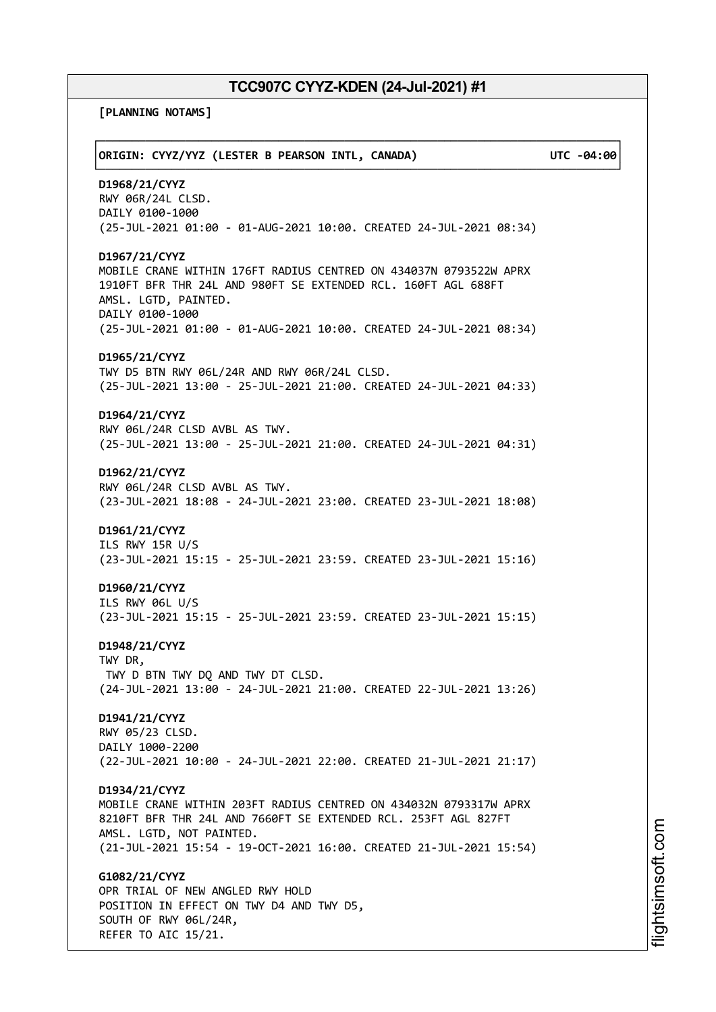**[PLANNING NOTAMS]**

| ORIGIN: CYYZ/YYZ (LESTER B PEARSON INTL, CANADA)                                                                                                                                                                                                       | UTC -04:00 |
|--------------------------------------------------------------------------------------------------------------------------------------------------------------------------------------------------------------------------------------------------------|------------|
| D1968/21/CYYZ<br>RWY 06R/24L CLSD.<br>DAILY 0100-1000<br>(25-JUL-2021 01:00 - 01-AUG-2021 10:00. CREATED 24-JUL-2021 08:34)                                                                                                                            |            |
| D1967/21/CYYZ<br>MOBILE CRANE WITHIN 176FT RADIUS CENTRED ON 434037N 0793522W APRX<br>1910FT BFR THR 24L AND 980FT SE EXTENDED RCL. 160FT AGL 688FT<br>AMSL. LGTD, PAINTED.<br>DAILY 0100-1000                                                         |            |
| (25-JUL-2021 01:00 - 01-AUG-2021 10:00. CREATED 24-JUL-2021 08:34)<br>D1965/21/CYYZ<br>TWY D5 BTN RWY 06L/24R AND RWY 06R/24L CLSD.<br>(25-JUL-2021 13:00 - 25-JUL-2021 21:00. CREATED 24-JUL-2021 04:33)                                              |            |
| D1964/21/CYYZ<br>RWY 06L/24R CLSD AVBL AS TWY.<br>(25-JUL-2021 13:00 - 25-JUL-2021 21:00. CREATED 24-JUL-2021 04:31)                                                                                                                                   |            |
| D1962/21/CYYZ<br>RWY 06L/24R CLSD AVBL AS TWY.<br>(23-JUL-2021 18:08 - 24-JUL-2021 23:00. CREATED 23-JUL-2021 18:08)                                                                                                                                   |            |
| D1961/21/CYYZ<br>ILS RWY 15R U/S<br>(23-JUL-2021 15:15 - 25-JUL-2021 23:59. CREATED 23-JUL-2021 15:16)                                                                                                                                                 |            |
| D1960/21/CYYZ<br>ILS RWY 06L U/S<br>(23-JUL-2021 15:15 - 25-JUL-2021 23:59. CREATED 23-JUL-2021 15:15)                                                                                                                                                 |            |
| D1948/21/CYYZ<br>TWY DR,<br>TWY D BTN TWY DQ AND TWY DT CLSD.<br>(24-JUL-2021 13:00 - 24-JUL-2021 21:00. CREATED 22-JUL-2021 13:26)                                                                                                                    |            |
| D1941/21/CYYZ<br>RWY 05/23 CLSD.<br>DAILY 1000-2200<br>(22-JUL-2021 10:00 - 24-JUL-2021 22:00. CREATED 21-JUL-2021 21:17)                                                                                                                              |            |
| D1934/21/CYYZ<br>MOBILE CRANE WITHIN 203FT RADIUS CENTRED ON 434032N 0793317W APRX<br>8210FT BFR THR 24L AND 7660FT SE EXTENDED RCL. 253FT AGL 827FT<br>AMSL. LGTD, NOT PAINTED.<br>(21-JUL-2021 15:54 - 19-OCT-2021 16:00. CREATED 21-JUL-2021 15:54) |            |
| G1082/21/CYYZ<br>OPR TRIAL OF NEW ANGLED RWY HOLD<br>POSITION IN EFFECT ON TWY D4 AND TWY D5,<br>SOUTH OF RWY 06L/24R,<br>REFER TO AIC 15/21.                                                                                                          |            |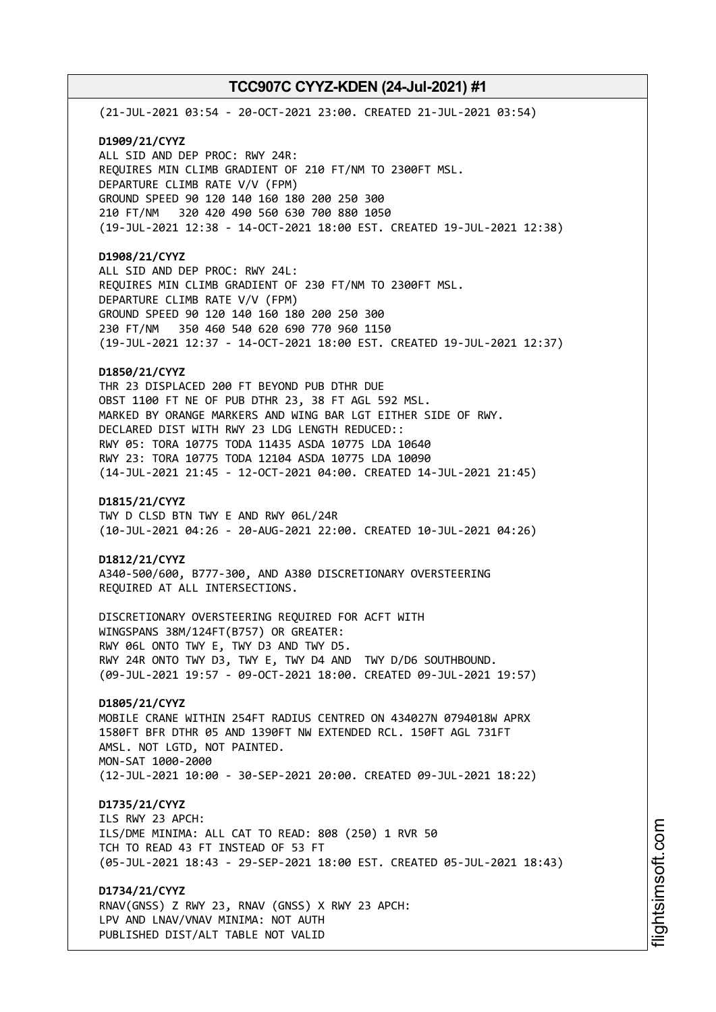(21-JUL-2021 03:54 - 20-OCT-2021 23:00. CREATED 21-JUL-2021 03:54) **D1909/21/CYYZ** ALL SID AND DEP PROC: RWY 24R:

REQUIRES MIN CLIMB GRADIENT OF 210 FT/NM TO 2300FT MSL. DEPARTURE CLIMB RATE V/V (FPM) GROUND SPEED 90 120 140 160 180 200 250 300 210 FT/NM 320 420 490 560 630 700 880 1050 (19-JUL-2021 12:38 - 14-OCT-2021 18:00 EST. CREATED 19-JUL-2021 12:38)

# **D1908/21/CYYZ**

ALL SID AND DEP PROC: RWY 24L: REQUIRES MIN CLIMB GRADIENT OF 230 FT/NM TO 2300FT MSL. DEPARTURE CLIMB RATE V/V (FPM) GROUND SPEED 90 120 140 160 180 200 250 300 230 FT/NM 350 460 540 620 690 770 960 1150 (19-JUL-2021 12:37 - 14-OCT-2021 18:00 EST. CREATED 19-JUL-2021 12:37)

## **D1850/21/CYYZ**

THR 23 DISPLACED 200 FT BEYOND PUB DTHR DUE OBST 1100 FT NE OF PUB DTHR 23, 38 FT AGL 592 MSL. MARKED BY ORANGE MARKERS AND WING BAR LGT EITHER SIDE OF RWY. DECLARED DIST WITH RWY 23 LDG LENGTH REDUCED:: RWY 05: TORA 10775 TODA 11435 ASDA 10775 LDA 10640 RWY 23: TORA 10775 TODA 12104 ASDA 10775 LDA 10090 (14-JUL-2021 21:45 - 12-OCT-2021 04:00. CREATED 14-JUL-2021 21:45)

### **D1815/21/CYYZ**

TWY D CLSD BTN TWY E AND RWY 06L/24R (10-JUL-2021 04:26 - 20-AUG-2021 22:00. CREATED 10-JUL-2021 04:26)

#### **D1812/21/CYYZ**

A340-500/600, B777-300, AND A380 DISCRETIONARY OVERSTEERING REQUIRED AT ALL INTERSECTIONS.

DISCRETIONARY OVERSTEERING REQUIRED FOR ACFT WITH WINGSPANS 38M/124FT(B757) OR GREATER: RWY 06L ONTO TWY E, TWY D3 AND TWY D5. RWY 24R ONTO TWY D3, TWY E, TWY D4 AND TWY D/D6 SOUTHBOUND. (09-JUL-2021 19:57 - 09-OCT-2021 18:00. CREATED 09-JUL-2021 19:57)

# **D1805/21/CYYZ**

MOBILE CRANE WITHIN 254FT RADIUS CENTRED ON 434027N 0794018W APRX 1580FT BFR DTHR 05 AND 1390FT NW EXTENDED RCL. 150FT AGL 731FT AMSL. NOT LGTD, NOT PAINTED. MON-SAT 1000-2000 (12-JUL-2021 10:00 - 30-SEP-2021 20:00. CREATED 09-JUL-2021 18:22)

# **D1735/21/CYYZ**

ILS RWY 23 APCH: ILS/DME MINIMA: ALL CAT TO READ: 808 (250) 1 RVR 50 TCH TO READ 43 FT INSTEAD OF 53 FT (05-JUL-2021 18:43 - 29-SEP-2021 18:00 EST. CREATED 05-JUL-2021 18:43)

**D1734/21/CYYZ** RNAV(GNSS) Z RWY 23, RNAV (GNSS) X RWY 23 APCH:

LPV AND LNAV/VNAV MINIMA: NOT AUTH PUBLISHED DIST/ALT TABLE NOT VALID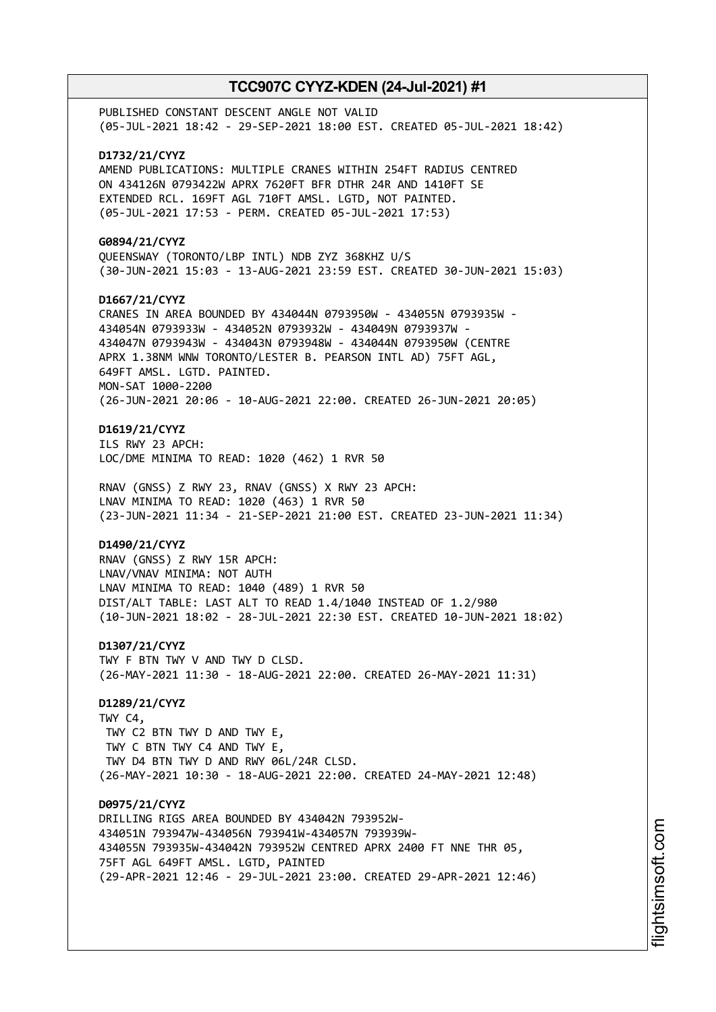PUBLISHED CONSTANT DESCENT ANGLE NOT VALID (05-JUL-2021 18:42 - 29-SEP-2021 18:00 EST. CREATED 05-JUL-2021 18:42) **D1732/21/CYYZ** AMEND PUBLICATIONS: MULTIPLE CRANES WITHIN 254FT RADIUS CENTRED ON 434126N 0793422W APRX 7620FT BFR DTHR 24R AND 1410FT SE EXTENDED RCL. 169FT AGL 710FT AMSL. LGTD, NOT PAINTED. (05-JUL-2021 17:53 - PERM. CREATED 05-JUL-2021 17:53) **G0894/21/CYYZ** QUEENSWAY (TORONTO/LBP INTL) NDB ZYZ 368KHZ U/S (30-JUN-2021 15:03 - 13-AUG-2021 23:59 EST. CREATED 30-JUN-2021 15:03) **D1667/21/CYYZ** CRANES IN AREA BOUNDED BY 434044N 0793950W - 434055N 0793935W - 434054N 0793933W - 434052N 0793932W - 434049N 0793937W - 434047N 0793943W - 434043N 0793948W - 434044N 0793950W (CENTRE APRX 1.38NM WNW TORONTO/LESTER B. PEARSON INTL AD) 75FT AGL, 649FT AMSL. LGTD. PAINTED. MON-SAT 1000-2200 (26-JUN-2021 20:06 - 10-AUG-2021 22:00. CREATED 26-JUN-2021 20:05) **D1619/21/CYYZ** ILS RWY 23 APCH: LOC/DME MINIMA TO READ: 1020 (462) 1 RVR 50 RNAV (GNSS) Z RWY 23, RNAV (GNSS) X RWY 23 APCH: LNAV MINIMA TO READ: 1020 (463) 1 RVR 50 (23-JUN-2021 11:34 - 21-SEP-2021 21:00 EST. CREATED 23-JUN-2021 11:34) **D1490/21/CYYZ** RNAV (GNSS) Z RWY 15R APCH: LNAV/VNAV MINIMA: NOT AUTH LNAV MINIMA TO READ: 1040 (489) 1 RVR 50 DIST/ALT TABLE: LAST ALT TO READ 1.4/1040 INSTEAD OF 1.2/980 (10-JUN-2021 18:02 - 28-JUL-2021 22:30 EST. CREATED 10-JUN-2021 18:02) **D1307/21/CYYZ** TWY F BTN TWY V AND TWY D CLSD. (26-MAY-2021 11:30 - 18-AUG-2021 22:00. CREATED 26-MAY-2021 11:31) **D1289/21/CYYZ** TWY C4, TWY C2 BTN TWY D AND TWY E, TWY C BTN TWY C4 AND TWY E, TWY D4 BTN TWY D AND RWY 06L/24R CLSD. (26-MAY-2021 10:30 - 18-AUG-2021 22:00. CREATED 24-MAY-2021 12:48) **D0975/21/CYYZ** DRILLING RIGS AREA BOUNDED BY 434042N 793952W-434051N 793947W-434056N 793941W-434057N 793939W-434055N 793935W-434042N 793952W CENTRED APRX 2400 FT NNE THR 05, 75FT AGL 649FT AMSL. LGTD, PAINTED (29-APR-2021 12:46 - 29-JUL-2021 23:00. CREATED 29-APR-2021 12:46)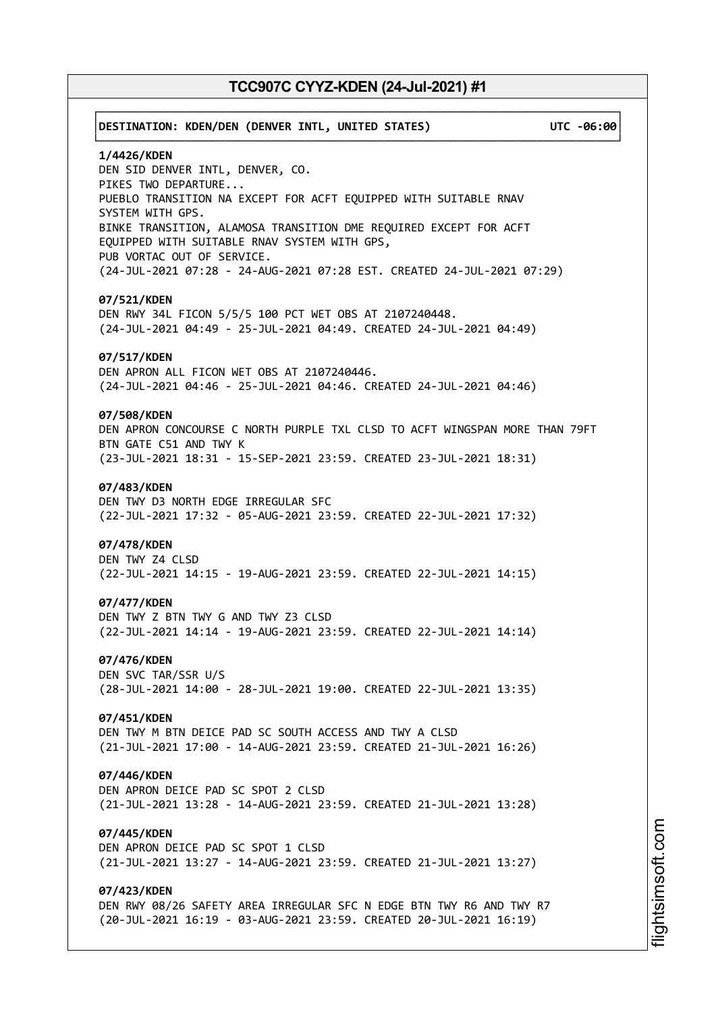# ┌──────────────────────────────────────────────────────────────────────────────┐ │**DESTINATION: KDEN/DEN (DENVER INTL, UNITED STATES) UTC -06:00**│ └──────────────────────────────────────────────────────────────────────────────┘ **1/4426/KDEN** DEN SID DENVER INTL, DENVER, CO. PIKES TWO DEPARTURE... PUEBLO TRANSITION NA EXCEPT FOR ACFT EQUIPPED WITH SUITABLE RNAV SYSTEM WITH GPS. BINKE TRANSITION, ALAMOSA TRANSITION DME REQUIRED EXCEPT FOR ACFT EQUIPPED WITH SUITABLE RNAV SYSTEM WITH GPS, PUB VORTAC OUT OF SERVICE. (24-JUL-2021 07:28 - 24-AUG-2021 07:28 EST. CREATED 24-JUL-2021 07:29) **07/521/KDEN** DEN RWY 34L FICON 5/5/5 100 PCT WET OBS AT 2107240448. (24-JUL-2021 04:49 - 25-JUL-2021 04:49. CREATED 24-JUL-2021 04:49) **07/517/KDEN** DEN APRON ALL FICON WET OBS AT 2107240446. (24-JUL-2021 04:46 - 25-JUL-2021 04:46. CREATED 24-JUL-2021 04:46) **07/508/KDEN** DEN APRON CONCOURSE C NORTH PURPLE TXL CLSD TO ACFT WINGSPAN MORE THAN 79FT BTN GATE C51 AND TWY K (23-JUL-2021 18:31 - 15-SEP-2021 23:59. CREATED 23-JUL-2021 18:31) **07/483/KDEN** DEN TWY D3 NORTH EDGE IRREGULAR SFC (22-JUL-2021 17:32 - 05-AUG-2021 23:59. CREATED 22-JUL-2021 17:32) **07/478/KDEN** DEN TWY Z4 CLSD (22-JUL-2021 14:15 - 19-AUG-2021 23:59. CREATED 22-JUL-2021 14:15) **07/477/KDEN** DEN TWY Z BTN TWY G AND TWY Z3 CLSD (22-JUL-2021 14:14 - 19-AUG-2021 23:59. CREATED 22-JUL-2021 14:14) **07/476/KDEN** DEN SVC TAR/SSR U/S (28-JUL-2021 14:00 - 28-JUL-2021 19:00. CREATED 22-JUL-2021 13:35) **07/451/KDEN** DEN TWY M BTN DEICE PAD SC SOUTH ACCESS AND TWY A CLSD (21-JUL-2021 17:00 - 14-AUG-2021 23:59. CREATED 21-JUL-2021 16:26) **07/446/KDEN** DEN APRON DEICE PAD SC SPOT 2 CLSD (21-JUL-2021 13:28 - 14-AUG-2021 23:59. CREATED 21-JUL-2021 13:28) **07/445/KDEN** DEN APRON DEICE PAD SC SPOT 1 CLSD (21-JUL-2021 13:27 - 14-AUG-2021 23:59. CREATED 21-JUL-2021 13:27) **07/423/KDEN** DEN RWY 08/26 SAFETY AREA IRREGULAR SFC N EDGE BTN TWY R6 AND TWY R7 (20-JUL-2021 16:19 - 03-AUG-2021 23:59. CREATED 20-JUL-2021 16:19)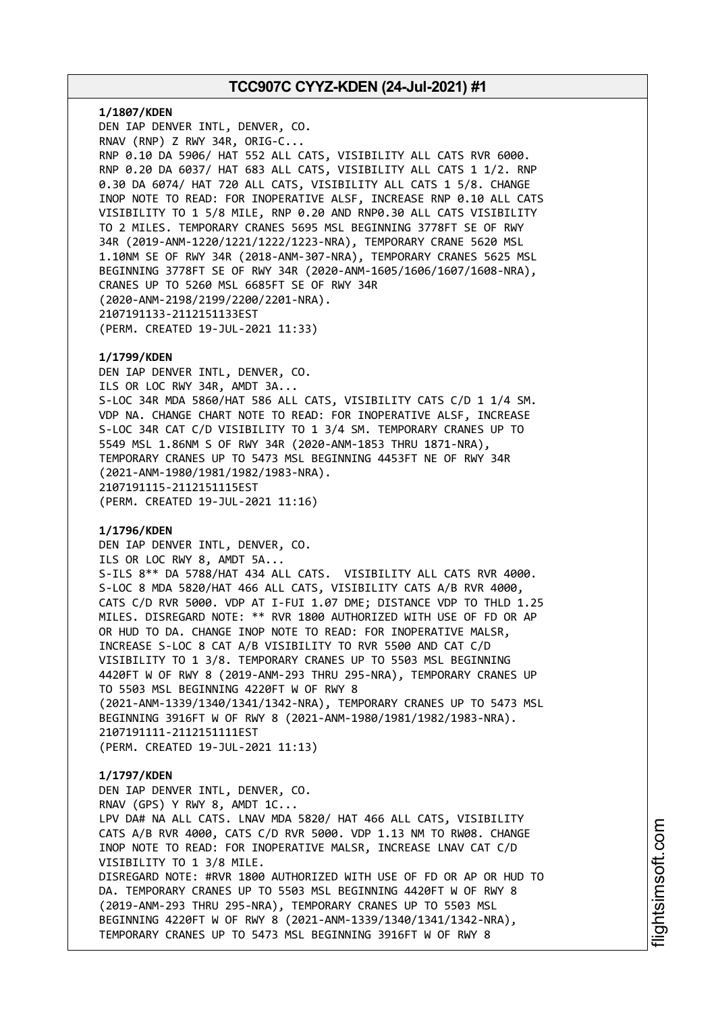**1/1807/KDEN** DEN IAP DENVER INTL, DENVER, CO. RNAV (RNP) Z RWY 34R, ORIG-C... RNP 0.10 DA 5906/ HAT 552 ALL CATS, VISIBILITY ALL CATS RVR 6000. RNP 0.20 DA 6037/ HAT 683 ALL CATS, VISIBILITY ALL CATS 1 1/2. RNP 0.30 DA 6074/ HAT 720 ALL CATS, VISIBILITY ALL CATS 1 5/8. CHANGE INOP NOTE TO READ: FOR INOPERATIVE ALSF, INCREASE RNP 0.10 ALL CATS VISIBILITY TO 1 5/8 MILE, RNP 0.20 AND RNP0.30 ALL CATS VISIBILITY TO 2 MILES. TEMPORARY CRANES 5695 MSL BEGINNING 3778FT SE OF RWY 34R (2019-ANM-1220/1221/1222/1223-NRA), TEMPORARY CRANE 5620 MSL 1.10NM SE OF RWY 34R (2018-ANM-307-NRA), TEMPORARY CRANES 5625 MSL BEGINNING 3778FT SE OF RWY 34R (2020-ANM-1605/1606/1607/1608-NRA), CRANES UP TO 5260 MSL 6685FT SE OF RWY 34R (2020-ANM-2198/2199/2200/2201-NRA). 2107191133-2112151133EST (PERM. CREATED 19-JUL-2021 11:33)

## **1/1799/KDEN**

DEN IAP DENVER INTL, DENVER, CO. ILS OR LOC RWY 34R, AMDT 3A... S-LOC 34R MDA 5860/HAT 586 ALL CATS, VISIBILITY CATS C/D 1 1/4 SM. VDP NA. CHANGE CHART NOTE TO READ: FOR INOPERATIVE ALSF, INCREASE S-LOC 34R CAT C/D VISIBILITY TO 1 3/4 SM. TEMPORARY CRANES UP TO 5549 MSL 1.86NM S OF RWY 34R (2020-ANM-1853 THRU 1871-NRA), TEMPORARY CRANES UP TO 5473 MSL BEGINNING 4453FT NE OF RWY 34R (2021-ANM-1980/1981/1982/1983-NRA). 2107191115-2112151115EST (PERM. CREATED 19-JUL-2021 11:16)

# **1/1796/KDEN**

DEN IAP DENVER INTL, DENVER, CO. ILS OR LOC RWY 8, AMDT 5A... S-ILS 8\*\* DA 5788/HAT 434 ALL CATS. VISIBILITY ALL CATS RVR 4000. S-LOC 8 MDA 5820/HAT 466 ALL CATS, VISIBILITY CATS A/B RVR 4000, CATS C/D RVR 5000. VDP AT I-FUI 1.07 DME; DISTANCE VDP TO THLD 1.25 MILES. DISREGARD NOTE: \*\* RVR 1800 AUTHORIZED WITH USE OF FD OR AP OR HUD TO DA. CHANGE INOP NOTE TO READ: FOR INOPERATIVE MALSR, INCREASE S-LOC 8 CAT A/B VISIBILITY TO RVR 5500 AND CAT C/D VISIBILITY TO 1 3/8. TEMPORARY CRANES UP TO 5503 MSL BEGINNING 4420FT W OF RWY 8 (2019-ANM-293 THRU 295-NRA), TEMPORARY CRANES UP TO 5503 MSL BEGINNING 4220FT W OF RWY 8 (2021-ANM-1339/1340/1341/1342-NRA), TEMPORARY CRANES UP TO 5473 MSL BEGINNING 3916FT W OF RWY 8 (2021-ANM-1980/1981/1982/1983-NRA). 2107191111-2112151111EST (PERM. CREATED 19-JUL-2021 11:13)

## **1/1797/KDEN**

DEN IAP DENVER INTL, DENVER, CO. RNAV (GPS) Y RWY 8, AMDT 1C... LPV DA# NA ALL CATS. LNAV MDA 5820/ HAT 466 ALL CATS, VISIBILITY CATS A/B RVR 4000, CATS C/D RVR 5000. VDP 1.13 NM TO RW08. CHANGE INOP NOTE TO READ: FOR INOPERATIVE MALSR, INCREASE LNAV CAT C/D VISIBILITY TO 1 3/8 MILE. DISREGARD NOTE: #RVR 1800 AUTHORIZED WITH USE OF FD OR AP OR HUD TO DA. TEMPORARY CRANES UP TO 5503 MSL BEGINNING 4420FT W OF RWY 8 (2019-ANM-293 THRU 295-NRA), TEMPORARY CRANES UP TO 5503 MSL BEGINNING 4220FT W OF RWY 8 (2021-ANM-1339/1340/1341/1342-NRA), TEMPORARY CRANES UP TO 5473 MSL BEGINNING 3916FT W OF RWY 8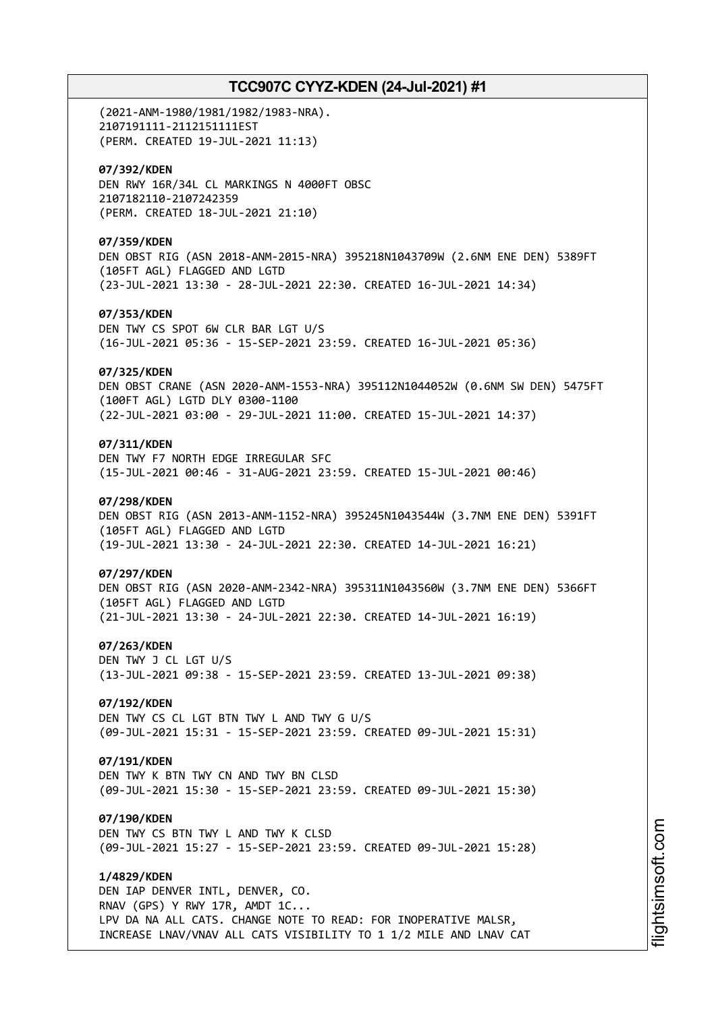(2021-ANM-1980/1981/1982/1983-NRA). 2107191111-2112151111EST (PERM. CREATED 19-JUL-2021 11:13) **07/392/KDEN** DEN RWY 16R/34L CL MARKINGS N 4000FT OBSC 2107182110-2107242359 (PERM. CREATED 18-JUL-2021 21:10) **07/359/KDEN** DEN OBST RIG (ASN 2018-ANM-2015-NRA) 395218N1043709W (2.6NM ENE DEN) 5389FT (105FT AGL) FLAGGED AND LGTD (23-JUL-2021 13:30 - 28-JUL-2021 22:30. CREATED 16-JUL-2021 14:34) **07/353/KDEN** DEN TWY CS SPOT 6W CLR BAR LGT U/S (16-JUL-2021 05:36 - 15-SEP-2021 23:59. CREATED 16-JUL-2021 05:36) **07/325/KDEN** DEN OBST CRANE (ASN 2020-ANM-1553-NRA) 395112N1044052W (0.6NM SW DEN) 5475FT (100FT AGL) LGTD DLY 0300-1100 (22-JUL-2021 03:00 - 29-JUL-2021 11:00. CREATED 15-JUL-2021 14:37) **07/311/KDEN** DEN TWY F7 NORTH EDGE IRREGULAR SFC (15-JUL-2021 00:46 - 31-AUG-2021 23:59. CREATED 15-JUL-2021 00:46) **07/298/KDEN** DEN OBST RIG (ASN 2013-ANM-1152-NRA) 395245N1043544W (3.7NM ENE DEN) 5391FT (105FT AGL) FLAGGED AND LGTD (19-JUL-2021 13:30 - 24-JUL-2021 22:30. CREATED 14-JUL-2021 16:21) **07/297/KDEN** DEN OBST RIG (ASN 2020-ANM-2342-NRA) 395311N1043560W (3.7NM ENE DEN) 5366FT (105FT AGL) FLAGGED AND LGTD (21-JUL-2021 13:30 - 24-JUL-2021 22:30. CREATED 14-JUL-2021 16:19) **07/263/KDEN** DEN TWY J CL LGT U/S (13-JUL-2021 09:38 - 15-SEP-2021 23:59. CREATED 13-JUL-2021 09:38) **07/192/KDEN** DEN TWY CS CL LGT BTN TWY L AND TWY G U/S (09-JUL-2021 15:31 - 15-SEP-2021 23:59. CREATED 09-JUL-2021 15:31) **07/191/KDEN** DEN TWY K BTN TWY CN AND TWY BN CLSD (09-JUL-2021 15:30 - 15-SEP-2021 23:59. CREATED 09-JUL-2021 15:30) **07/190/KDEN** DEN TWY CS BTN TWY L AND TWY K CLSD (09-JUL-2021 15:27 - 15-SEP-2021 23:59. CREATED 09-JUL-2021 15:28) **1/4829/KDEN** DEN IAP DENVER INTL, DENVER, CO. RNAV (GPS) Y RWY 17R, AMDT 1C... LPV DA NA ALL CATS. CHANGE NOTE TO READ: FOR INOPERATIVE MALSR, INCREASE LNAV/VNAV ALL CATS VISIBILITY TO 1 1/2 MILE AND LNAV CAT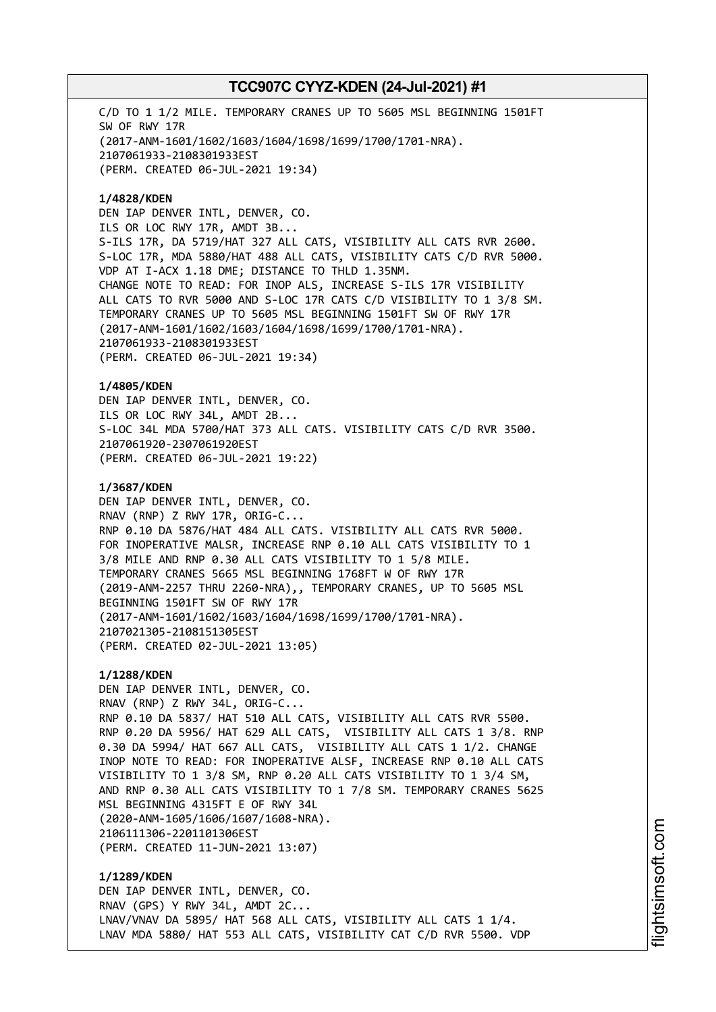C/D TO 1 1/2 MILE. TEMPORARY CRANES UP TO 5605 MSL BEGINNING 1501FT SW OF RWY 17R (2017-ANM-1601/1602/1603/1604/1698/1699/1700/1701-NRA). 2107061933-2108301933EST (PERM. CREATED 06-JUL-2021 19:34)

**1/4828/KDEN** DEN IAP DENVER INTL, DENVER, CO. ILS OR LOC RWY 17R, AMDT 3B... S-ILS 17R, DA 5719/HAT 327 ALL CATS, VISIBILITY ALL CATS RVR 2600. S-LOC 17R, MDA 5880/HAT 488 ALL CATS, VISIBILITY CATS C/D RVR 5000. VDP AT I-ACX 1.18 DME; DISTANCE TO THLD 1.35NM. CHANGE NOTE TO READ: FOR INOP ALS, INCREASE S-ILS 17R VISIBILITY ALL CATS TO RVR 5000 AND S-LOC 17R CATS C/D VISIBILITY TO 1 3/8 SM. TEMPORARY CRANES UP TO 5605 MSL BEGINNING 1501FT SW OF RWY 17R (2017-ANM-1601/1602/1603/1604/1698/1699/1700/1701-NRA). 2107061933-2108301933EST (PERM. CREATED 06-JUL-2021 19:34)

**1/4805/KDEN** DEN IAP DENVER INTL, DENVER, CO. ILS OR LOC RWY 34L, AMDT 2B... S-LOC 34L MDA 5700/HAT 373 ALL CATS. VISIBILITY CATS C/D RVR 3500. 2107061920-2307061920EST (PERM. CREATED 06-JUL-2021 19:22)

**1/3687/KDEN** DEN IAP DENVER INTL, DENVER, CO. RNAV (RNP) Z RWY 17R, ORIG-C... RNP 0.10 DA 5876/HAT 484 ALL CATS. VISIBILITY ALL CATS RVR 5000. FOR INOPERATIVE MALSR, INCREASE RNP 0.10 ALL CATS VISIBILITY TO 1 3/8 MILE AND RNP 0.30 ALL CATS VISIBILITY TO 1 5/8 MILE. TEMPORARY CRANES 5665 MSL BEGINNING 1768FT W OF RWY 17R (2019-ANM-2257 THRU 2260-NRA),, TEMPORARY CRANES, UP TO 5605 MSL BEGINNING 1501FT SW OF RWY 17R (2017-ANM-1601/1602/1603/1604/1698/1699/1700/1701-NRA). 2107021305-2108151305EST (PERM. CREATED 02-JUL-2021 13:05)

**1/1288/KDEN** DEN IAP DENVER INTL, DENVER, CO. RNAV (RNP) Z RWY 34L, ORIG-C... RNP 0.10 DA 5837/ HAT 510 ALL CATS, VISIBILITY ALL CATS RVR 5500. RNP 0.20 DA 5956/ HAT 629 ALL CATS, VISIBILITY ALL CATS 1 3/8. RNP 0.30 DA 5994/ HAT 667 ALL CATS, VISIBILITY ALL CATS 1 1/2. CHANGE INOP NOTE TO READ: FOR INOPERATIVE ALSF, INCREASE RNP 0.10 ALL CATS VISIBILITY TO 1 3/8 SM, RNP 0.20 ALL CATS VISIBILITY TO 1 3/4 SM, AND RNP 0.30 ALL CATS VISIBILITY TO 1 7/8 SM. TEMPORARY CRANES 5625 MSL BEGINNING 4315FT E OF RWY 34L (2020-ANM-1605/1606/1607/1608-NRA). 2106111306-2201101306EST (PERM. CREATED 11-JUN-2021 13:07)

**1/1289/KDEN** DEN IAP DENVER INTL, DENVER, CO. RNAV (GPS) Y RWY 34L, AMDT 2C... LNAV/VNAV DA 5895/ HAT 568 ALL CATS, VISIBILITY ALL CATS 1 1/4. LNAV MDA 5880/ HAT 553 ALL CATS, VISIBILITY CAT C/D RVR 5500. VDP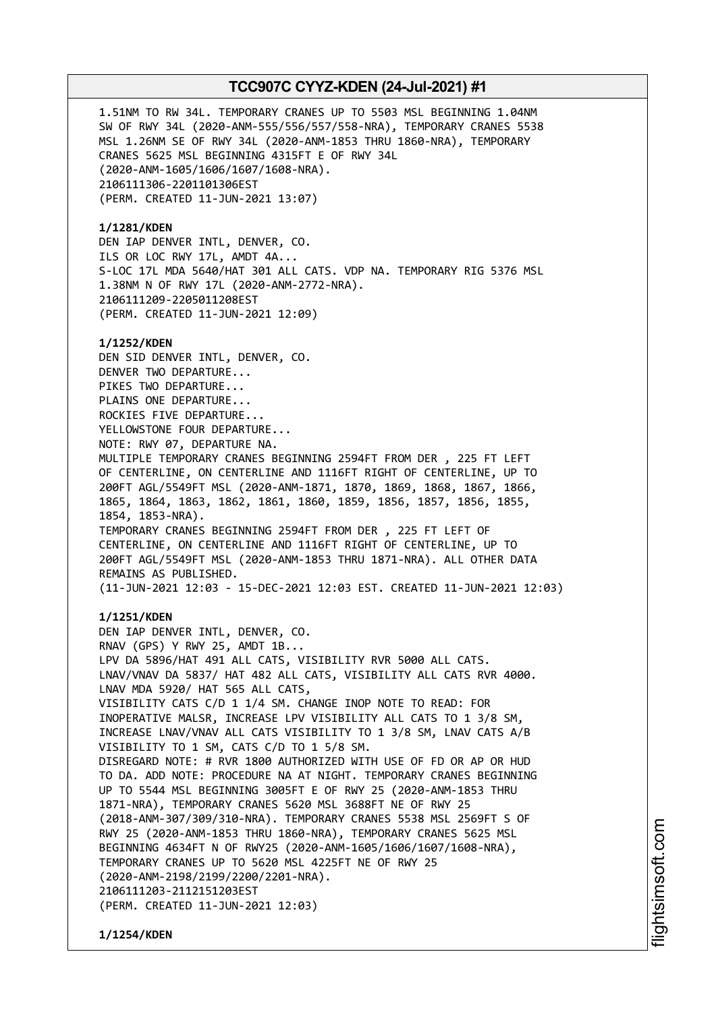1.51NM TO RW 34L. TEMPORARY CRANES UP TO 5503 MSL BEGINNING 1.04NM SW OF RWY 34L (2020-ANM-555/556/557/558-NRA), TEMPORARY CRANES 5538 MSL 1.26NM SE OF RWY 34L (2020-ANM-1853 THRU 1860-NRA), TEMPORARY CRANES 5625 MSL BEGINNING 4315FT E OF RWY 34L (2020-ANM-1605/1606/1607/1608-NRA). 2106111306-2201101306EST (PERM. CREATED 11-JUN-2021 13:07) **1/1281/KDEN** DEN IAP DENVER INTL, DENVER, CO. ILS OR LOC RWY 17L, AMDT 4A... S-LOC 17L MDA 5640/HAT 301 ALL CATS. VDP NA. TEMPORARY RIG 5376 MSL 1.38NM N OF RWY 17L (2020-ANM-2772-NRA). 2106111209-2205011208EST (PERM. CREATED 11-JUN-2021 12:09) **1/1252/KDEN** DEN SID DENVER INTL, DENVER, CO. DENVER TWO DEPARTURE... PIKES TWO DEPARTURE... PLAINS ONE DEPARTURE... ROCKIES FIVE DEPARTURE... YELLOWSTONE FOUR DEPARTURE... NOTE: RWY 07, DEPARTURE NA. MULTIPLE TEMPORARY CRANES BEGINNING 2594FT FROM DER , 225 FT LEFT OF CENTERLINE, ON CENTERLINE AND 1116FT RIGHT OF CENTERLINE, UP TO 200FT AGL/5549FT MSL (2020-ANM-1871, 1870, 1869, 1868, 1867, 1866, 1865, 1864, 1863, 1862, 1861, 1860, 1859, 1856, 1857, 1856, 1855, 1854, 1853-NRA). TEMPORARY CRANES BEGINNING 2594FT FROM DER , 225 FT LEFT OF CENTERLINE, ON CENTERLINE AND 1116FT RIGHT OF CENTERLINE, UP TO 200FT AGL/5549FT MSL (2020-ANM-1853 THRU 1871-NRA). ALL OTHER DATA REMAINS AS PUBLISHED. (11-JUN-2021 12:03 - 15-DEC-2021 12:03 EST. CREATED 11-JUN-2021 12:03) **1/1251/KDEN** DEN IAP DENVER INTL, DENVER, CO. RNAV (GPS) Y RWY 25, AMDT 1B... LPV DA 5896/HAT 491 ALL CATS, VISIBILITY RVR 5000 ALL CATS. LNAV/VNAV DA 5837/ HAT 482 ALL CATS, VISIBILITY ALL CATS RVR 4000. LNAV MDA 5920/ HAT 565 ALL CATS, VISIBILITY CATS C/D 1 1/4 SM. CHANGE INOP NOTE TO READ: FOR INOPERATIVE MALSR, INCREASE LPV VISIBILITY ALL CATS TO 1 3/8 SM, INCREASE LNAV/VNAV ALL CATS VISIBILITY TO 1 3/8 SM, LNAV CATS A/B VISIBILITY TO 1 SM, CATS C/D TO 1 5/8 SM. DISREGARD NOTE: # RVR 1800 AUTHORIZED WITH USE OF FD OR AP OR HUD TO DA. ADD NOTE: PROCEDURE NA AT NIGHT. TEMPORARY CRANES BEGINNING

UP TO 5544 MSL BEGINNING 3005FT E OF RWY 25 (2020-ANM-1853 THRU 1871-NRA), TEMPORARY CRANES 5620 MSL 3688FT NE OF RWY 25 (2018-ANM-307/309/310-NRA). TEMPORARY CRANES 5538 MSL 2569FT S OF RWY 25 (2020-ANM-1853 THRU 1860-NRA), TEMPORARY CRANES 5625 MSL BEGINNING 4634FT N OF RWY25 (2020-ANM-1605/1606/1607/1608-NRA), TEMPORARY CRANES UP TO 5620 MSL 4225FT NE OF RWY 25 (2020-ANM-2198/2199/2200/2201-NRA). 2106111203-2112151203EST (PERM. CREATED 11-JUN-2021 12:03)

**1/1254/KDEN**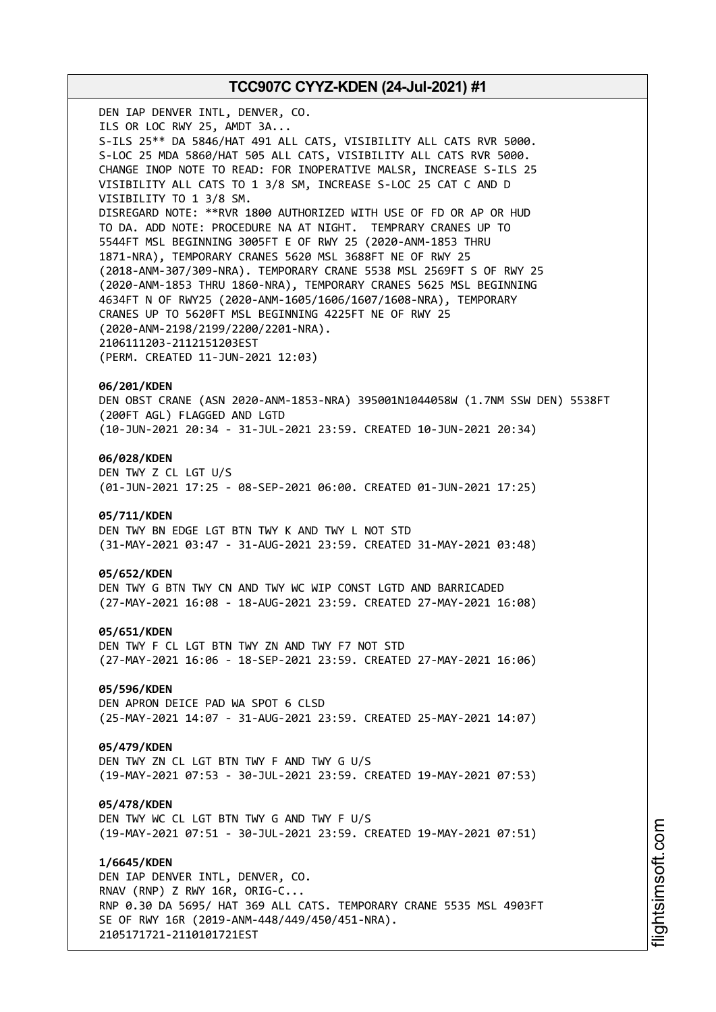DEN IAP DENVER INTL, DENVER, CO. ILS OR LOC RWY 25, AMDT 3A... S-ILS 25\*\* DA 5846/HAT 491 ALL CATS, VISIBILITY ALL CATS RVR 5000. S-LOC 25 MDA 5860/HAT 505 ALL CATS, VISIBILITY ALL CATS RVR 5000. CHANGE INOP NOTE TO READ: FOR INOPERATIVE MALSR, INCREASE S-ILS 25 VISIBILITY ALL CATS TO 1 3/8 SM, INCREASE S-LOC 25 CAT C AND D VISIBILITY TO 1 3/8 SM. DISREGARD NOTE: \*\*RVR 1800 AUTHORIZED WITH USE OF FD OR AP OR HUD TO DA. ADD NOTE: PROCEDURE NA AT NIGHT. TEMPRARY CRANES UP TO 5544FT MSL BEGINNING 3005FT E OF RWY 25 (2020-ANM-1853 THRU 1871-NRA), TEMPORARY CRANES 5620 MSL 3688FT NE OF RWY 25 (2018-ANM-307/309-NRA). TEMPORARY CRANE 5538 MSL 2569FT S OF RWY 25 (2020-ANM-1853 THRU 1860-NRA), TEMPORARY CRANES 5625 MSL BEGINNING 4634FT N OF RWY25 (2020-ANM-1605/1606/1607/1608-NRA), TEMPORARY CRANES UP TO 5620FT MSL BEGINNING 4225FT NE OF RWY 25 (2020-ANM-2198/2199/2200/2201-NRA). 2106111203-2112151203EST (PERM. CREATED 11-JUN-2021 12:03) **06/201/KDEN** DEN OBST CRANE (ASN 2020-ANM-1853-NRA) 395001N1044058W (1.7NM SSW DEN) 5538FT (200FT AGL) FLAGGED AND LGTD (10-JUN-2021 20:34 - 31-JUL-2021 23:59. CREATED 10-JUN-2021 20:34) **06/028/KDEN** DEN TWY Z CL LGT U/S (01-JUN-2021 17:25 - 08-SEP-2021 06:00. CREATED 01-JUN-2021 17:25) **05/711/KDEN** DEN TWY BN EDGE LGT BTN TWY K AND TWY L NOT STD (31-MAY-2021 03:47 - 31-AUG-2021 23:59. CREATED 31-MAY-2021 03:48) **05/652/KDEN** DEN TWY G BTN TWY CN AND TWY WC WIP CONST LGTD AND BARRICADED (27-MAY-2021 16:08 - 18-AUG-2021 23:59. CREATED 27-MAY-2021 16:08) **05/651/KDEN** DEN TWY F CL LGT BTN TWY ZN AND TWY F7 NOT STD (27-MAY-2021 16:06 - 18-SEP-2021 23:59. CREATED 27-MAY-2021 16:06) **05/596/KDEN** DEN APRON DEICE PAD WA SPOT 6 CLSD (25-MAY-2021 14:07 - 31-AUG-2021 23:59. CREATED 25-MAY-2021 14:07) **05/479/KDEN** DEN TWY ZN CL LGT BTN TWY F AND TWY G U/S (19-MAY-2021 07:53 - 30-JUL-2021 23:59. CREATED 19-MAY-2021 07:53) **05/478/KDEN** DEN TWY WC CL LGT BTN TWY G AND TWY F U/S (19-MAY-2021 07:51 - 30-JUL-2021 23:59. CREATED 19-MAY-2021 07:51) **1/6645/KDEN**

DEN IAP DENVER INTL, DENVER, CO. RNAV (RNP) Z RWY 16R, ORIG-C... RNP 0.30 DA 5695/ HAT 369 ALL CATS. TEMPORARY CRANE 5535 MSL 4903FT SE OF RWY 16R (2019-ANM-448/449/450/451-NRA). 2105171721-2110101721EST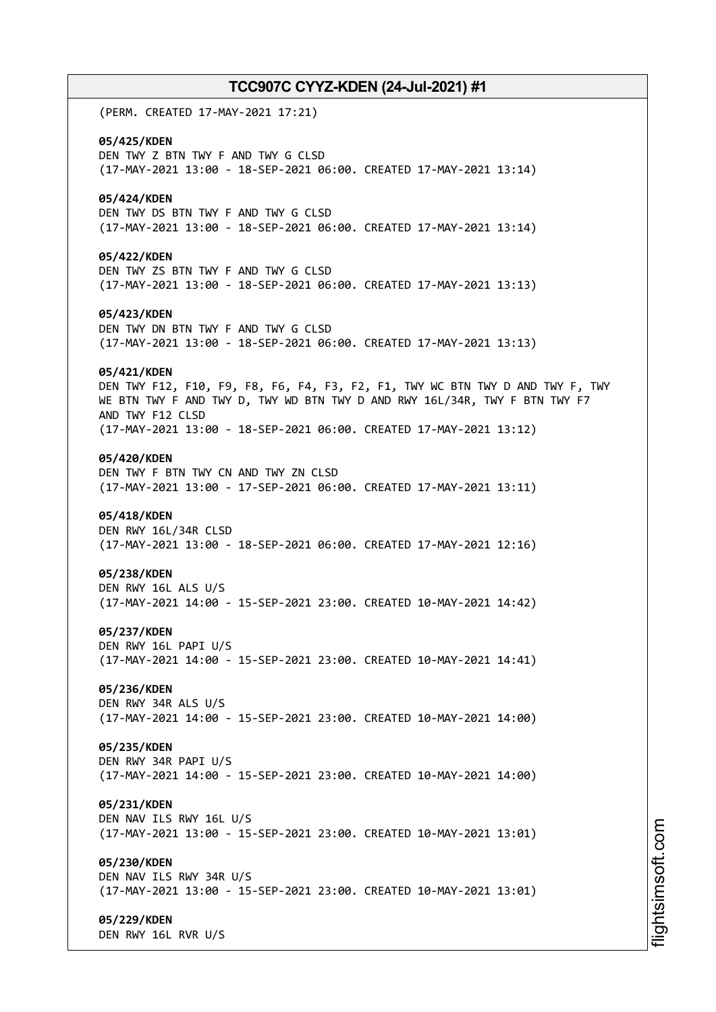(PERM. CREATED 17-MAY-2021 17:21) **05/425/KDEN** DEN TWY Z BTN TWY F AND TWY G CLSD (17-MAY-2021 13:00 - 18-SEP-2021 06:00. CREATED 17-MAY-2021 13:14) **05/424/KDEN** DEN TWY DS BTN TWY F AND TWY G CLSD (17-MAY-2021 13:00 - 18-SEP-2021 06:00. CREATED 17-MAY-2021 13:14) **05/422/KDEN** DEN TWY ZS BTN TWY F AND TWY G CLSD (17-MAY-2021 13:00 - 18-SEP-2021 06:00. CREATED 17-MAY-2021 13:13) **05/423/KDEN** DEN TWY DN BTN TWY F AND TWY G CLSD (17-MAY-2021 13:00 - 18-SEP-2021 06:00. CREATED 17-MAY-2021 13:13) **05/421/KDEN** DEN TWY F12, F10, F9, F8, F6, F4, F3, F2, F1, TWY WC BTN TWY D AND TWY F, TWY WE BTN TWY F AND TWY D, TWY WD BTN TWY D AND RWY 16L/34R, TWY F BTN TWY F7 AND TWY F12 CLSD (17-MAY-2021 13:00 - 18-SEP-2021 06:00. CREATED 17-MAY-2021 13:12) **05/420/KDEN** DEN TWY F BTN TWY CN AND TWY ZN CLSD (17-MAY-2021 13:00 - 17-SEP-2021 06:00. CREATED 17-MAY-2021 13:11) **05/418/KDEN** DEN RWY 16L/34R CLSD (17-MAY-2021 13:00 - 18-SEP-2021 06:00. CREATED 17-MAY-2021 12:16) **05/238/KDEN** DEN RWY 16L ALS U/S (17-MAY-2021 14:00 - 15-SEP-2021 23:00. CREATED 10-MAY-2021 14:42) **05/237/KDEN** DEN RWY 16L PAPI U/S (17-MAY-2021 14:00 - 15-SEP-2021 23:00. CREATED 10-MAY-2021 14:41) **05/236/KDEN** DEN RWY 34R ALS U/S (17-MAY-2021 14:00 - 15-SEP-2021 23:00. CREATED 10-MAY-2021 14:00) **05/235/KDEN** DEN RWY 34R PAPI U/S (17-MAY-2021 14:00 - 15-SEP-2021 23:00. CREATED 10-MAY-2021 14:00) **05/231/KDEN** DEN NAV ILS RWY 16L U/S (17-MAY-2021 13:00 - 15-SEP-2021 23:00. CREATED 10-MAY-2021 13:01) **05/230/KDEN** DEN NAV ILS RWY 34R U/S (17-MAY-2021 13:00 - 15-SEP-2021 23:00. CREATED 10-MAY-2021 13:01) **05/229/KDEN** DEN RWY 16L RVR U/S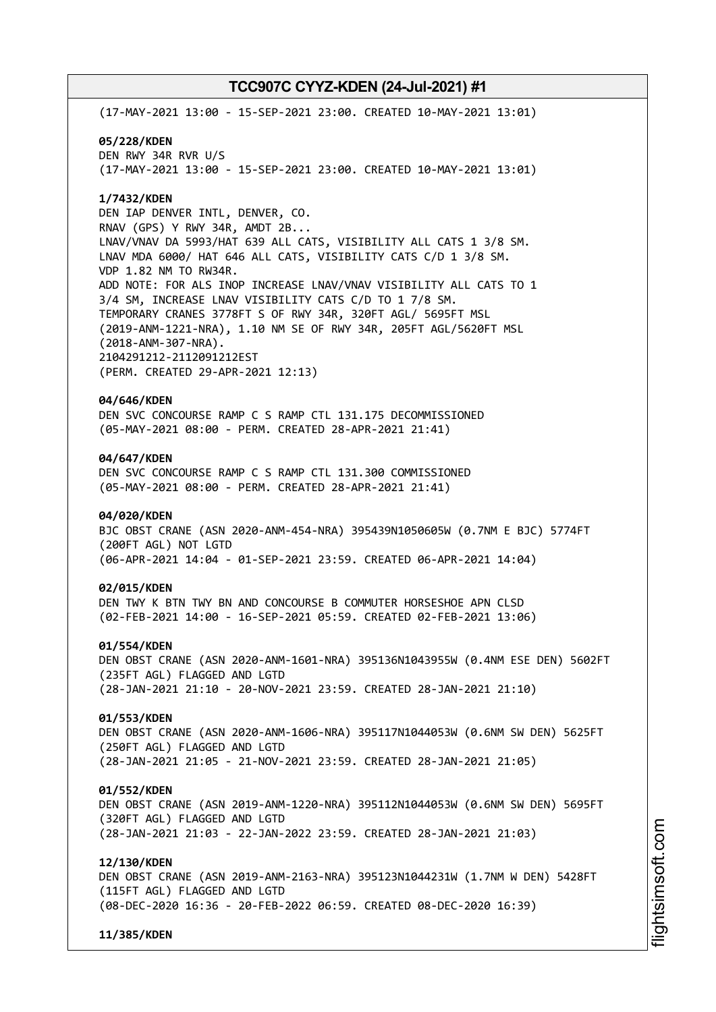(17-MAY-2021 13:00 - 15-SEP-2021 23:00. CREATED 10-MAY-2021 13:01) **05/228/KDEN** DEN RWY 34R RVR U/S (17-MAY-2021 13:00 - 15-SEP-2021 23:00. CREATED 10-MAY-2021 13:01) **1/7432/KDEN** DEN IAP DENVER INTL, DENVER, CO. RNAV (GPS) Y RWY 34R, AMDT 2B... LNAV/VNAV DA 5993/HAT 639 ALL CATS, VISIBILITY ALL CATS 1 3/8 SM. LNAV MDA 6000/ HAT 646 ALL CATS, VISIBILITY CATS C/D 1 3/8 SM. VDP 1.82 NM TO RW34R. ADD NOTE: FOR ALS INOP INCREASE LNAV/VNAV VISIBILITY ALL CATS TO 1 3/4 SM, INCREASE LNAV VISIBILITY CATS C/D TO 1 7/8 SM. TEMPORARY CRANES 3778FT S OF RWY 34R, 320FT AGL/ 5695FT MSL (2019-ANM-1221-NRA), 1.10 NM SE OF RWY 34R, 205FT AGL/5620FT MSL (2018-ANM-307-NRA). 2104291212-2112091212EST (PERM. CREATED 29-APR-2021 12:13) **04/646/KDEN** DEN SVC CONCOURSE RAMP C S RAMP CTL 131.175 DECOMMISSIONED (05-MAY-2021 08:00 - PERM. CREATED 28-APR-2021 21:41) **04/647/KDEN** DEN SVC CONCOURSE RAMP C S RAMP CTL 131.300 COMMISSIONED (05-MAY-2021 08:00 - PERM. CREATED 28-APR-2021 21:41) **04/020/KDEN** BJC OBST CRANE (ASN 2020-ANM-454-NRA) 395439N1050605W (0.7NM E BJC) 5774FT (200FT AGL) NOT LGTD (06-APR-2021 14:04 - 01-SEP-2021 23:59. CREATED 06-APR-2021 14:04) **02/015/KDEN** DEN TWY K BTN TWY BN AND CONCOURSE B COMMUTER HORSESHOE APN CLSD (02-FEB-2021 14:00 - 16-SEP-2021 05:59. CREATED 02-FEB-2021 13:06) **01/554/KDEN** DEN OBST CRANE (ASN 2020-ANM-1601-NRA) 395136N1043955W (0.4NM ESE DEN) 5602FT (235FT AGL) FLAGGED AND LGTD (28-JAN-2021 21:10 - 20-NOV-2021 23:59. CREATED 28-JAN-2021 21:10) **01/553/KDEN** DEN OBST CRANE (ASN 2020-ANM-1606-NRA) 395117N1044053W (0.6NM SW DEN) 5625FT (250FT AGL) FLAGGED AND LGTD (28-JAN-2021 21:05 - 21-NOV-2021 23:59. CREATED 28-JAN-2021 21:05) **01/552/KDEN** DEN OBST CRANE (ASN 2019-ANM-1220-NRA) 395112N1044053W (0.6NM SW DEN) 5695FT (320FT AGL) FLAGGED AND LGTD (28-JAN-2021 21:03 - 22-JAN-2022 23:59. CREATED 28-JAN-2021 21:03) **12/130/KDEN** DEN OBST CRANE (ASN 2019-ANM-2163-NRA) 395123N1044231W (1.7NM W DEN) 5428FT (115FT AGL) FLAGGED AND LGTD (08-DEC-2020 16:36 - 20-FEB-2022 06:59. CREATED 08-DEC-2020 16:39) **11/385/KDEN**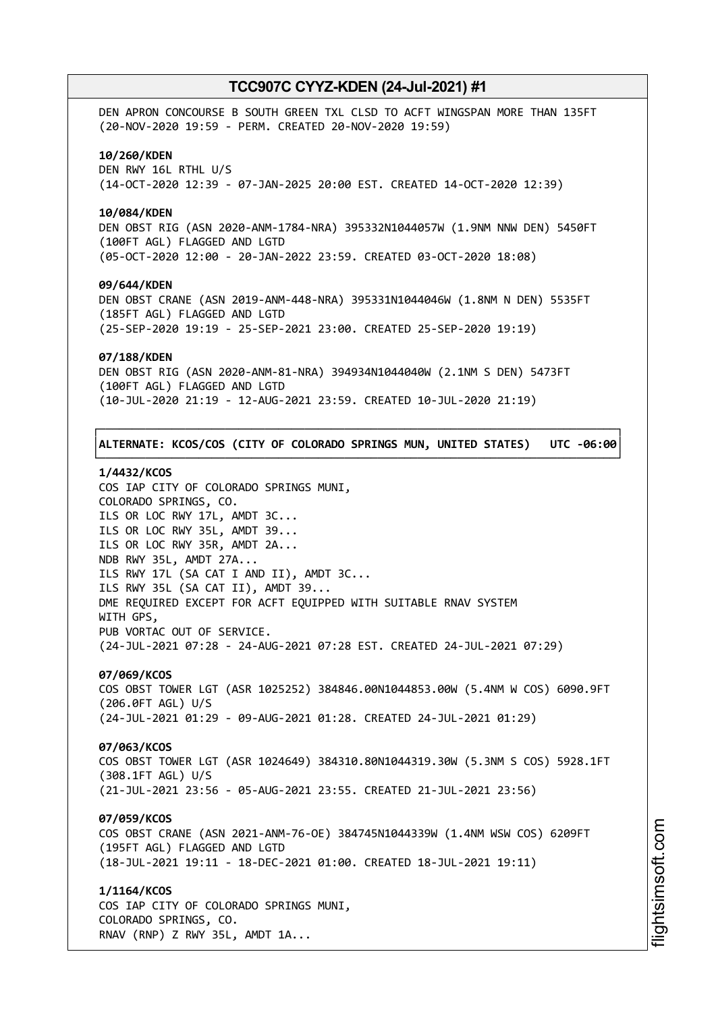DEN APRON CONCOURSE B SOUTH GREEN TXL CLSD TO ACFT WINGSPAN MORE THAN 135FT (20-NOV-2020 19:59 - PERM. CREATED 20-NOV-2020 19:59) **10/260/KDEN** DEN RWY 16L RTHL U/S (14-OCT-2020 12:39 - 07-JAN-2025 20:00 EST. CREATED 14-OCT-2020 12:39) **10/084/KDEN** DEN OBST RIG (ASN 2020-ANM-1784-NRA) 395332N1044057W (1.9NM NNW DEN) 5450FT (100FT AGL) FLAGGED AND LGTD (05-OCT-2020 12:00 - 20-JAN-2022 23:59. CREATED 03-OCT-2020 18:08) **09/644/KDEN** DEN OBST CRANE (ASN 2019-ANM-448-NRA) 395331N1044046W (1.8NM N DEN) 5535FT (185FT AGL) FLAGGED AND LGTD (25-SEP-2020 19:19 - 25-SEP-2021 23:00. CREATED 25-SEP-2020 19:19) **07/188/KDEN** DEN OBST RIG (ASN 2020-ANM-81-NRA) 394934N1044040W (2.1NM S DEN) 5473FT (100FT AGL) FLAGGED AND LGTD (10-JUL-2020 21:19 - 12-AUG-2021 23:59. CREATED 10-JUL-2020 21:19) ┌──────────────────────────────────────────────────────────────────────────────┐ │**ALTERNATE: KCOS/COS (CITY OF COLORADO SPRINGS MUN, UNITED STATES) UTC -06:00**│

### **1/4432/KCOS**

COS IAP CITY OF COLORADO SPRINGS MUNI, COLORADO SPRINGS, CO. ILS OR LOC RWY 17L, AMDT 3C... ILS OR LOC RWY 35L, AMDT 39... ILS OR LOC RWY 35R, AMDT 2A... NDB RWY 35L, AMDT 27A... ILS RWY 17L (SA CAT I AND II), AMDT 3C... ILS RWY 35L (SA CAT II), AMDT 39... DME REQUIRED EXCEPT FOR ACFT EQUIPPED WITH SUITABLE RNAV SYSTEM WITH GPS, PUB VORTAC OUT OF SERVICE. (24-JUL-2021 07:28 - 24-AUG-2021 07:28 EST. CREATED 24-JUL-2021 07:29)

└──────────────────────────────────────────────────────────────────────────────┘

# **07/069/KCOS**

COS OBST TOWER LGT (ASR 1025252) 384846.00N1044853.00W (5.4NM W COS) 6090.9FT (206.0FT AGL) U/S (24-JUL-2021 01:29 - 09-AUG-2021 01:28. CREATED 24-JUL-2021 01:29)

## **07/063/KCOS**

COS OBST TOWER LGT (ASR 1024649) 384310.80N1044319.30W (5.3NM S COS) 5928.1FT (308.1FT AGL) U/S (21-JUL-2021 23:56 - 05-AUG-2021 23:55. CREATED 21-JUL-2021 23:56)

## **07/059/KCOS**

COS OBST CRANE (ASN 2021-ANM-76-OE) 384745N1044339W (1.4NM WSW COS) 6209FT (195FT AGL) FLAGGED AND LGTD (18-JUL-2021 19:11 - 18-DEC-2021 01:00. CREATED 18-JUL-2021 19:11)

### **1/1164/KCOS**

COS IAP CITY OF COLORADO SPRINGS MUNI, COLORADO SPRINGS, CO. RNAV (RNP) Z RWY 35L, AMDT 1A...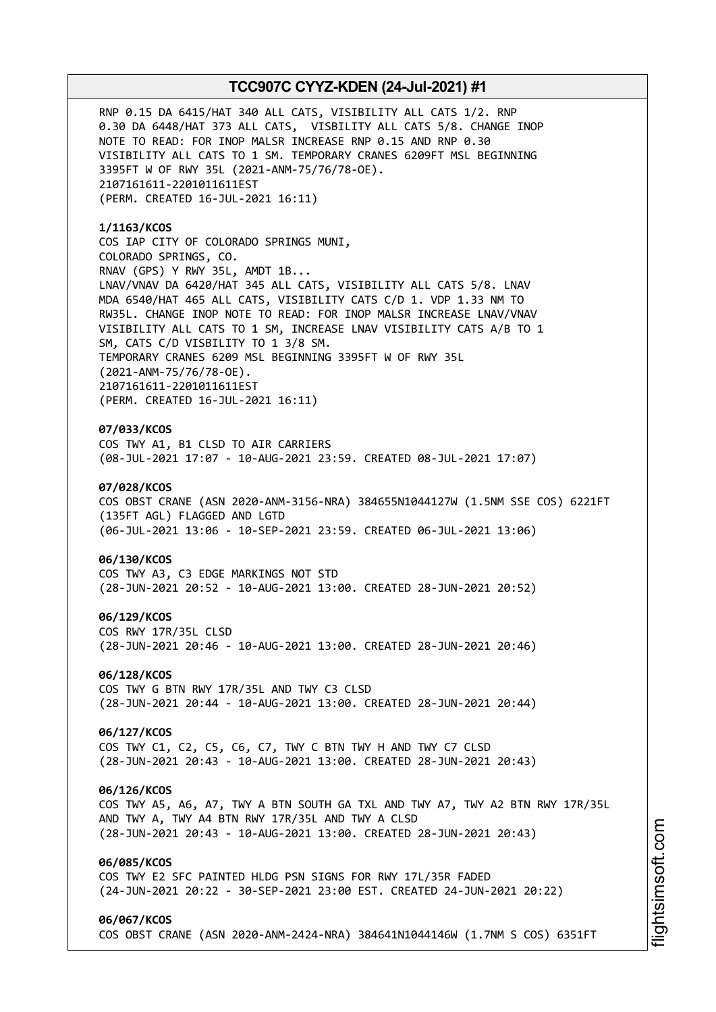RNP 0.15 DA 6415/HAT 340 ALL CATS, VISIBILITY ALL CATS 1/2. RNP 0.30 DA 6448/HAT 373 ALL CATS, VISBILITY ALL CATS 5/8. CHANGE INOP NOTE TO READ: FOR INOP MALSR INCREASE RNP 0.15 AND RNP 0.30 VISIBILITY ALL CATS TO 1 SM. TEMPORARY CRANES 6209FT MSL BEGINNING 3395FT W OF RWY 35L (2021-ANM-75/76/78-OE). 2107161611-2201011611EST (PERM. CREATED 16-JUL-2021 16:11)

**1/1163/KCOS** COS IAP CITY OF COLORADO SPRINGS MUNI, COLORADO SPRINGS, CO. RNAV (GPS) Y RWY 35L, AMDT 1B... LNAV/VNAV DA 6420/HAT 345 ALL CATS, VISIBILITY ALL CATS 5/8. LNAV MDA 6540/HAT 465 ALL CATS, VISIBILITY CATS C/D 1. VDP 1.33 NM TO RW35L. CHANGE INOP NOTE TO READ: FOR INOP MALSR INCREASE LNAV/VNAV VISIBILITY ALL CATS TO 1 SM, INCREASE LNAV VISIBILITY CATS A/B TO 1 SM, CATS C/D VISBILITY TO 1 3/8 SM. TEMPORARY CRANES 6209 MSL BEGINNING 3395FT W OF RWY 35L (2021-ANM-75/76/78-OE). 2107161611-2201011611EST (PERM. CREATED 16-JUL-2021 16:11)

## **07/033/KCOS**

COS TWY A1, B1 CLSD TO AIR CARRIERS (08-JUL-2021 17:07 - 10-AUG-2021 23:59. CREATED 08-JUL-2021 17:07)

# **07/028/KCOS**

COS OBST CRANE (ASN 2020-ANM-3156-NRA) 384655N1044127W (1.5NM SSE COS) 6221FT (135FT AGL) FLAGGED AND LGTD (06-JUL-2021 13:06 - 10-SEP-2021 23:59. CREATED 06-JUL-2021 13:06)

#### **06/130/KCOS**

COS TWY A3, C3 EDGE MARKINGS NOT STD (28-JUN-2021 20:52 - 10-AUG-2021 13:00. CREATED 28-JUN-2021 20:52)

#### **06/129/KCOS**

COS RWY 17R/35L CLSD (28-JUN-2021 20:46 - 10-AUG-2021 13:00. CREATED 28-JUN-2021 20:46)

### **06/128/KCOS**

COS TWY G BTN RWY 17R/35L AND TWY C3 CLSD (28-JUN-2021 20:44 - 10-AUG-2021 13:00. CREATED 28-JUN-2021 20:44)

# **06/127/KCOS**

COS TWY C1, C2, C5, C6, C7, TWY C BTN TWY H AND TWY C7 CLSD (28-JUN-2021 20:43 - 10-AUG-2021 13:00. CREATED 28-JUN-2021 20:43)

#### **06/126/KCOS**

COS TWY A5, A6, A7, TWY A BTN SOUTH GA TXL AND TWY A7, TWY A2 BTN RWY 17R/35L AND TWY A, TWY A4 BTN RWY 17R/35L AND TWY A CLSD (28-JUN-2021 20:43 - 10-AUG-2021 13:00. CREATED 28-JUN-2021 20:43)

## **06/085/KCOS**

COS TWY E2 SFC PAINTED HLDG PSN SIGNS FOR RWY 17L/35R FADED (24-JUN-2021 20:22 - 30-SEP-2021 23:00 EST. CREATED 24-JUN-2021 20:22)

#### **06/067/KCOS**

COS OBST CRANE (ASN 2020-ANM-2424-NRA) 384641N1044146W (1.7NM S COS) 6351FT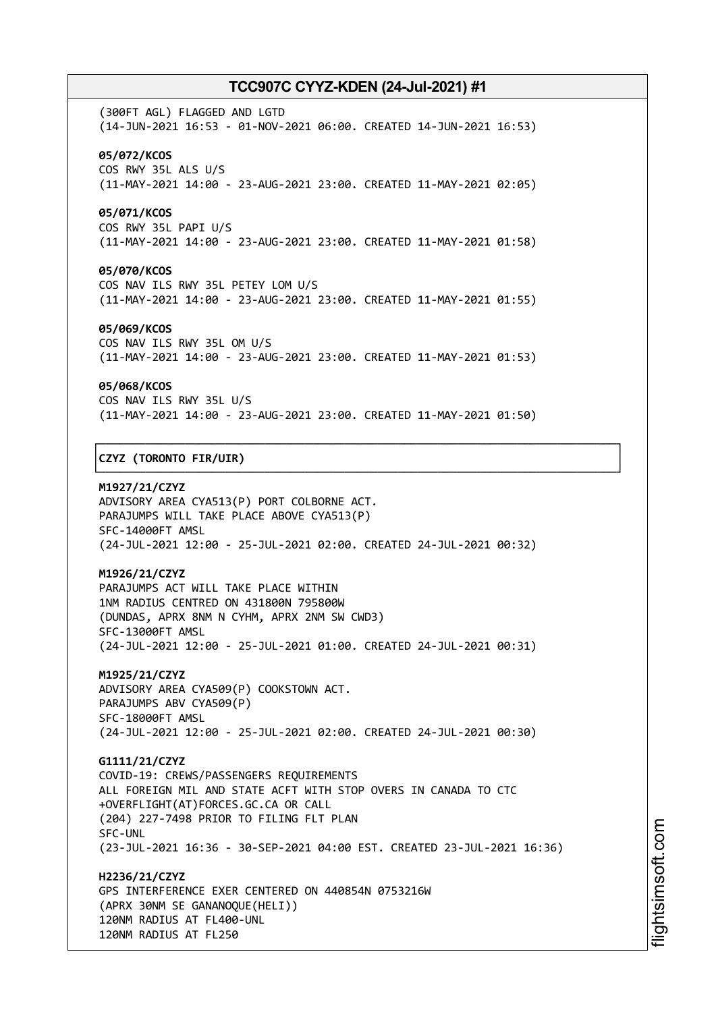(300FT AGL) FLAGGED AND LGTD (14-JUN-2021 16:53 - 01-NOV-2021 06:00. CREATED 14-JUN-2021 16:53) **05/072/KCOS** COS RWY 35L ALS U/S (11-MAY-2021 14:00 - 23-AUG-2021 23:00. CREATED 11-MAY-2021 02:05)

## **05/071/KCOS**

COS RWY 35L PAPI U/S (11-MAY-2021 14:00 - 23-AUG-2021 23:00. CREATED 11-MAY-2021 01:58)

## **05/070/KCOS**

COS NAV ILS RWY 35L PETEY LOM U/S (11-MAY-2021 14:00 - 23-AUG-2021 23:00. CREATED 11-MAY-2021 01:55)

## **05/069/KCOS**

COS NAV ILS RWY 35L OM U/S (11-MAY-2021 14:00 - 23-AUG-2021 23:00. CREATED 11-MAY-2021 01:53)

#### **05/068/KCOS**

COS NAV ILS RWY 35L U/S (11-MAY-2021 14:00 - 23-AUG-2021 23:00. CREATED 11-MAY-2021 01:50)

┌──────────────────────────────────────────────────────────────────────────────┐

└──────────────────────────────────────────────────────────────────────────────┘

## │**CZYZ (TORONTO FIR/UIR)** │

**M1927/21/CZYZ** ADVISORY AREA CYA513(P) PORT COLBORNE ACT. PARAJUMPS WILL TAKE PLACE ABOVE CYA513(P) SFC-14000FT AMSL (24-JUL-2021 12:00 - 25-JUL-2021 02:00. CREATED 24-JUL-2021 00:32)

### **M1926/21/CZYZ**

PARAJUMPS ACT WILL TAKE PLACE WITHIN 1NM RADIUS CENTRED ON 431800N 795800W (DUNDAS, APRX 8NM N CYHM, APRX 2NM SW CWD3) SFC-13000FT AMSL (24-JUL-2021 12:00 - 25-JUL-2021 01:00. CREATED 24-JUL-2021 00:31)

**M1925/21/CZYZ** ADVISORY AREA CYA509(P) COOKSTOWN ACT. PARAJUMPS ABV CYA509(P) SFC-18000FT AMSL (24-JUL-2021 12:00 - 25-JUL-2021 02:00. CREATED 24-JUL-2021 00:30)

**G1111/21/CZYZ** COVID-19: CREWS/PASSENGERS REQUIREMENTS ALL FOREIGN MIL AND STATE ACFT WITH STOP OVERS IN CANADA TO CTC +OVERFLIGHT(AT)FORCES.GC.CA OR CALL (204) 227-7498 PRIOR TO FILING FLT PLAN SFC-UNL (23-JUL-2021 16:36 - 30-SEP-2021 04:00 EST. CREATED 23-JUL-2021 16:36)

**H2236/21/CZYZ** GPS INTERFERENCE EXER CENTERED ON 440854N 0753216W (APRX 30NM SE GANANOQUE(HELI)) 120NM RADIUS AT FL400-UNL 120NM RADIUS AT FL250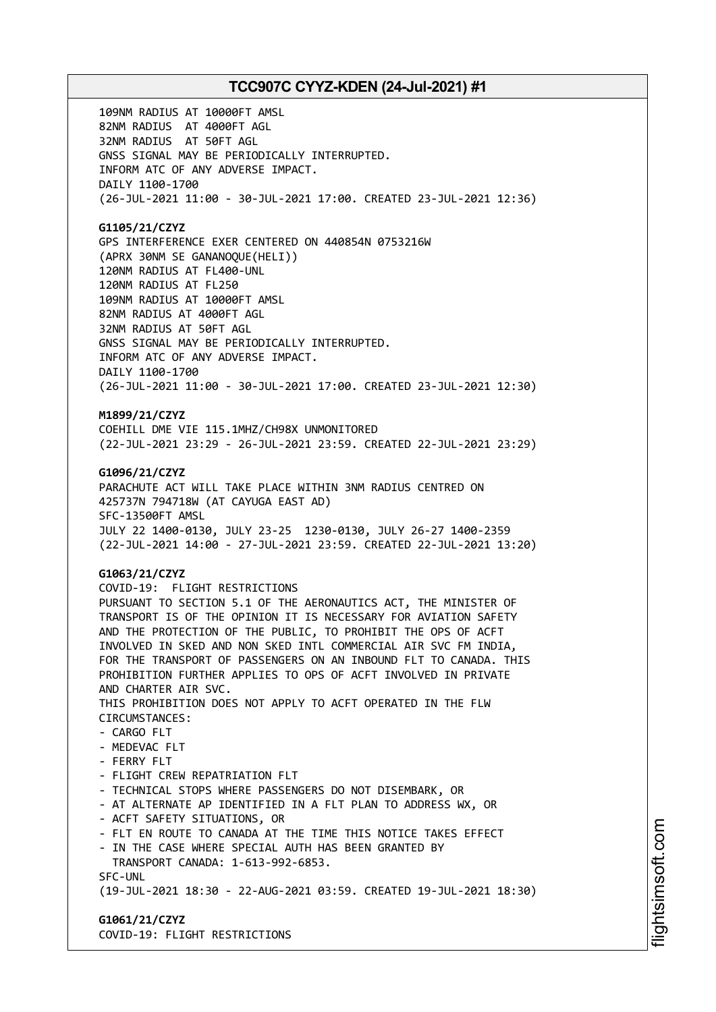109NM RADIUS AT 10000FT AMSL 82NM RADIUS AT 4000FT AGL 32NM RADIUS AT 50FT AGL GNSS SIGNAL MAY BE PERIODICALLY INTERRUPTED. INFORM ATC OF ANY ADVERSE IMPACT. DAILY 1100-1700 (26-JUL-2021 11:00 - 30-JUL-2021 17:00. CREATED 23-JUL-2021 12:36)

## **G1105/21/CZYZ**

GPS INTERFERENCE EXER CENTERED ON 440854N 0753216W (APRX 30NM SE GANANOQUE(HELI)) 120NM RADIUS AT FL400-UNL 120NM RADIUS AT FL250 109NM RADIUS AT 10000FT AMSL 82NM RADIUS AT 4000FT AGL 32NM RADIUS AT 50FT AGL GNSS SIGNAL MAY BE PERIODICALLY INTERRUPTED. INFORM ATC OF ANY ADVERSE IMPACT. DAILY 1100-1700 (26-JUL-2021 11:00 - 30-JUL-2021 17:00. CREATED 23-JUL-2021 12:30)

# **M1899/21/CZYZ**

COEHILL DME VIE 115.1MHZ/CH98X UNMONITORED (22-JUL-2021 23:29 - 26-JUL-2021 23:59. CREATED 22-JUL-2021 23:29)

## **G1096/21/CZYZ**

PARACHUTE ACT WILL TAKE PLACE WITHIN 3NM RADIUS CENTRED ON 425737N 794718W (AT CAYUGA EAST AD) SFC-13500FT AMSL JULY 22 1400-0130, JULY 23-25 1230-0130, JULY 26-27 1400-2359 (22-JUL-2021 14:00 - 27-JUL-2021 23:59. CREATED 22-JUL-2021 13:20)

# **G1063/21/CZYZ**

COVID-19: FLIGHT RESTRICTIONS PURSUANT TO SECTION 5.1 OF THE AERONAUTICS ACT, THE MINISTER OF TRANSPORT IS OF THE OPINION IT IS NECESSARY FOR AVIATION SAFETY AND THE PROTECTION OF THE PUBLIC, TO PROHIBIT THE OPS OF ACFT INVOLVED IN SKED AND NON SKED INTL COMMERCIAL AIR SVC FM INDIA, FOR THE TRANSPORT OF PASSENGERS ON AN INBOUND FLT TO CANADA. THIS PROHIBITION FURTHER APPLIES TO OPS OF ACFT INVOLVED IN PRIVATE AND CHARTER AIR SVC. THIS PROHIBITION DOES NOT APPLY TO ACFT OPERATED IN THE FLW CIRCUMSTANCES: - CARGO FLT - MEDEVAC FLT - FERRY FLT - FLIGHT CREW REPATRIATION FLT - TECHNICAL STOPS WHERE PASSENGERS DO NOT DISEMBARK, OR - AT ALTERNATE AP IDENTIFIED IN A FLT PLAN TO ADDRESS WX, OR - ACFT SAFETY SITUATIONS, OR - FLT EN ROUTE TO CANADA AT THE TIME THIS NOTICE TAKES EFFECT - IN THE CASE WHERE SPECIAL AUTH HAS BEEN GRANTED BY TRANSPORT CANADA: 1-613-992-6853. SFC-UNL (19-JUL-2021 18:30 - 22-AUG-2021 03:59. CREATED 19-JUL-2021 18:30)

**G1061/21/CZYZ** COVID-19: FLIGHT RESTRICTIONS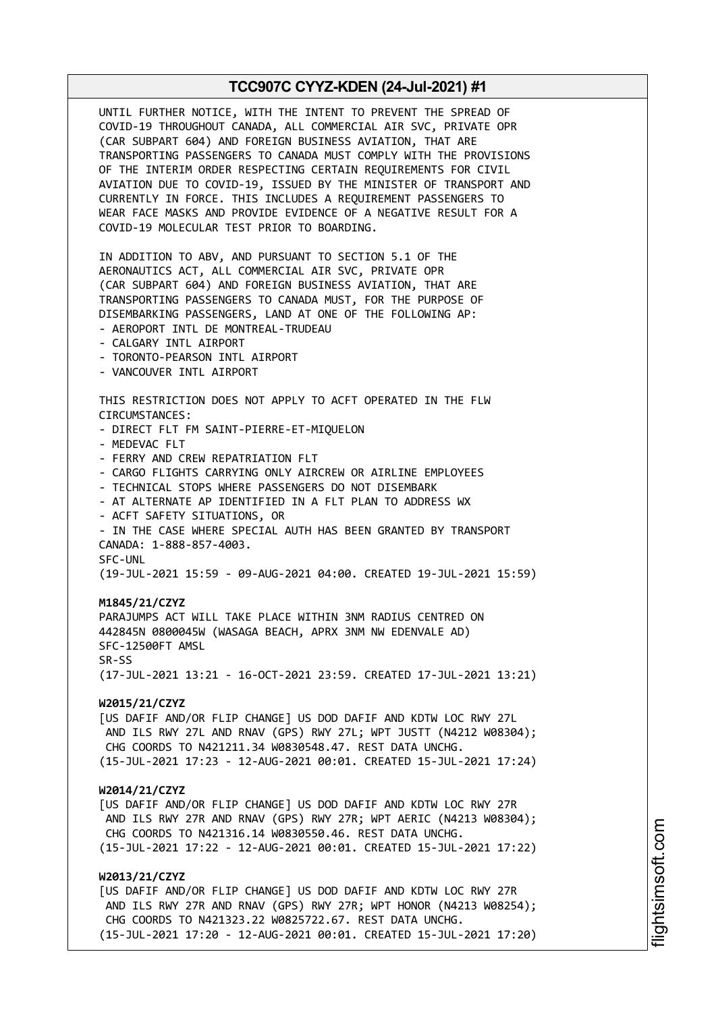UNTIL FURTHER NOTICE, WITH THE INTENT TO PREVENT THE SPREAD OF COVID-19 THROUGHOUT CANADA, ALL COMMERCIAL AIR SVC, PRIVATE OPR (CAR SUBPART 604) AND FOREIGN BUSINESS AVIATION, THAT ARE TRANSPORTING PASSENGERS TO CANADA MUST COMPLY WITH THE PROVISIONS OF THE INTERIM ORDER RESPECTING CERTAIN REQUIREMENTS FOR CIVIL AVIATION DUE TO COVID-19, ISSUED BY THE MINISTER OF TRANSPORT AND CURRENTLY IN FORCE. THIS INCLUDES A REQUIREMENT PASSENGERS TO WEAR FACE MASKS AND PROVIDE EVIDENCE OF A NEGATIVE RESULT FOR A COVID-19 MOLECULAR TEST PRIOR TO BOARDING. IN ADDITION TO ABV, AND PURSUANT TO SECTION 5.1 OF THE AERONAUTICS ACT, ALL COMMERCIAL AIR SVC, PRIVATE OPR (CAR SUBPART 604) AND FOREIGN BUSINESS AVIATION, THAT ARE TRANSPORTING PASSENGERS TO CANADA MUST, FOR THE PURPOSE OF DISEMBARKING PASSENGERS, LAND AT ONE OF THE FOLLOWING AP: - AEROPORT INTL DE MONTREAL-TRUDEAU - CALGARY INTL AIRPORT - TORONTO-PEARSON INTL AIRPORT - VANCOUVER INTL AIRPORT THIS RESTRICTION DOES NOT APPLY TO ACFT OPERATED IN THE FLW CIRCUMSTANCES: - DIRECT FLT FM SAINT-PIERRE-ET-MIQUELON - MEDEVAC FLT - FERRY AND CREW REPATRIATION FLT - CARGO FLIGHTS CARRYING ONLY AIRCREW OR AIRLINE EMPLOYEES - TECHNICAL STOPS WHERE PASSENGERS DO NOT DISEMBARK - AT ALTERNATE AP IDENTIFIED IN A FLT PLAN TO ADDRESS WX - ACFT SAFETY SITUATIONS, OR - IN THE CASE WHERE SPECIAL AUTH HAS BEEN GRANTED BY TRANSPORT CANADA: 1-888-857-4003. SFC-UNL (19-JUL-2021 15:59 - 09-AUG-2021 04:00. CREATED 19-JUL-2021 15:59) **M1845/21/CZYZ** PARAJUMPS ACT WILL TAKE PLACE WITHIN 3NM RADIUS CENTRED ON 442845N 0800045W (WASAGA BEACH, APRX 3NM NW EDENVALE AD) SFC-12500FT AMSL SR-SS (17-JUL-2021 13:21 - 16-OCT-2021 23:59. CREATED 17-JUL-2021 13:21) **W2015/21/CZYZ** [US DAFIF AND/OR FLIP CHANGE] US DOD DAFIF AND KDTW LOC RWY 27L AND ILS RWY 27L AND RNAV (GPS) RWY 27L; WPT JUSTT (N4212 W08304); CHG COORDS TO N421211.34 W0830548.47. REST DATA UNCHG. (15-JUL-2021 17:23 - 12-AUG-2021 00:01. CREATED 15-JUL-2021 17:24) **W2014/21/CZYZ** [US DAFIF AND/OR FLIP CHANGE] US DOD DAFIF AND KDTW LOC RWY 27R AND ILS RWY 27R AND RNAV (GPS) RWY 27R; WPT AERIC (N4213 W08304); CHG COORDS TO N421316.14 W0830550.46. REST DATA UNCHG. (15-JUL-2021 17:22 - 12-AUG-2021 00:01. CREATED 15-JUL-2021 17:22) **W2013/21/CZYZ** [US DAFIF AND/OR FLIP CHANGE] US DOD DAFIF AND KDTW LOC RWY 27R AND ILS RWY 27R AND RNAV (GPS) RWY 27R; WPT HONOR (N4213 W08254); CHG COORDS TO N421323.22 W0825722.67. REST DATA UNCHG. (15-JUL-2021 17:20 - 12-AUG-2021 00:01. CREATED 15-JUL-2021 17:20)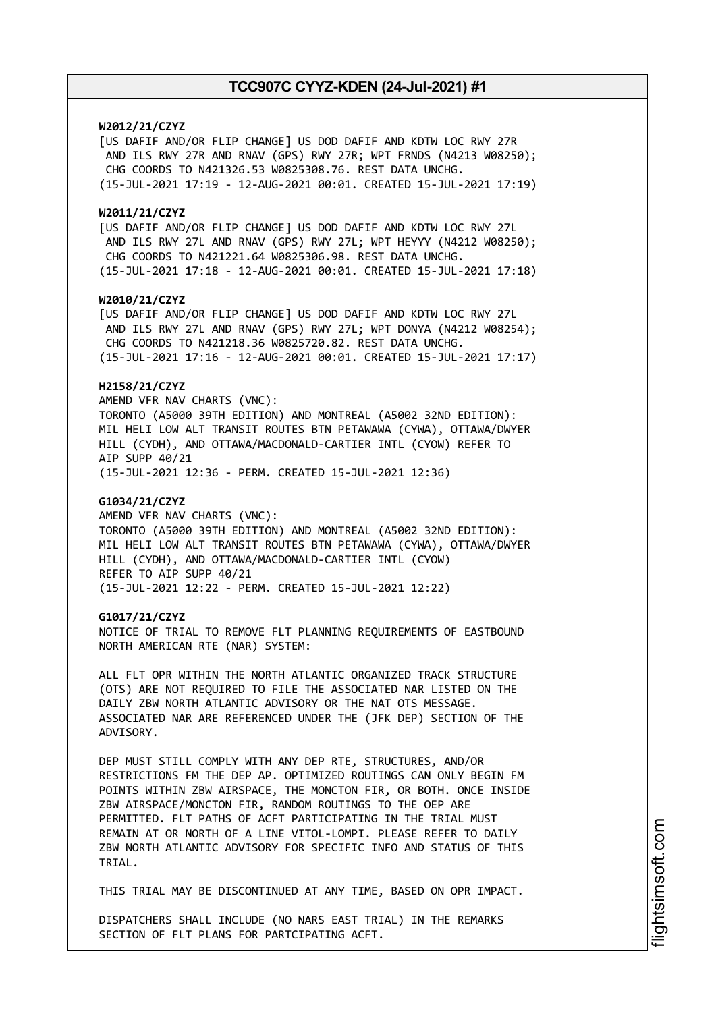## **W2012/21/CZYZ**

[US DAFIF AND/OR FLIP CHANGE] US DOD DAFIF AND KDTW LOC RWY 27R AND ILS RWY 27R AND RNAV (GPS) RWY 27R; WPT FRNDS (N4213 W08250); CHG COORDS TO N421326.53 W0825308.76. REST DATA UNCHG. (15-JUL-2021 17:19 - 12-AUG-2021 00:01. CREATED 15-JUL-2021 17:19)

### **W2011/21/CZYZ**

[US DAFIF AND/OR FLIP CHANGE] US DOD DAFIF AND KDTW LOC RWY 27L AND ILS RWY 27L AND RNAV (GPS) RWY 27L; WPT HEYYY (N4212 W08250); CHG COORDS TO N421221.64 W0825306.98. REST DATA UNCHG. (15-JUL-2021 17:18 - 12-AUG-2021 00:01. CREATED 15-JUL-2021 17:18)

### **W2010/21/CZYZ**

[US DAFIF AND/OR FLIP CHANGE] US DOD DAFIF AND KDTW LOC RWY 27L AND ILS RWY 27L AND RNAV (GPS) RWY 27L; WPT DONYA (N4212 W08254); CHG COORDS TO N421218.36 W0825720.82. REST DATA UNCHG.

# (15-JUL-2021 17:16 - 12-AUG-2021 00:01. CREATED 15-JUL-2021 17:17)

# **H2158/21/CZYZ**

AMEND VFR NAV CHARTS (VNC): TORONTO (A5000 39TH EDITION) AND MONTREAL (A5002 32ND EDITION): MIL HELI LOW ALT TRANSIT ROUTES BTN PETAWAWA (CYWA), OTTAWA/DWYER HILL (CYDH), AND OTTAWA/MACDONALD-CARTIER INTL (CYOW) REFER TO AIP SUPP 40/21

(15-JUL-2021 12:36 - PERM. CREATED 15-JUL-2021 12:36)

## **G1034/21/CZYZ**

AMEND VFR NAV CHARTS (VNC): TORONTO (A5000 39TH EDITION) AND MONTREAL (A5002 32ND EDITION): MIL HELI LOW ALT TRANSIT ROUTES BTN PETAWAWA (CYWA), OTTAWA/DWYER HILL (CYDH), AND OTTAWA/MACDONALD-CARTIER INTL (CYOW) REFER TO AIP SUPP 40/21 (15-JUL-2021 12:22 - PERM. CREATED 15-JUL-2021 12:22)

#### **G1017/21/CZYZ**

NOTICE OF TRIAL TO REMOVE FLT PLANNING REQUIREMENTS OF EASTBOUND NORTH AMERICAN RTE (NAR) SYSTEM:

ALL FLT OPR WITHIN THE NORTH ATLANTIC ORGANIZED TRACK STRUCTURE (OTS) ARE NOT REQUIRED TO FILE THE ASSOCIATED NAR LISTED ON THE DAILY ZBW NORTH ATLANTIC ADVISORY OR THE NAT OTS MESSAGE. ASSOCIATED NAR ARE REFERENCED UNDER THE (JFK DEP) SECTION OF THE ADVISORY.

DEP MUST STILL COMPLY WITH ANY DEP RTE, STRUCTURES, AND/OR RESTRICTIONS FM THE DEP AP. OPTIMIZED ROUTINGS CAN ONLY BEGIN FM POINTS WITHIN ZBW AIRSPACE, THE MONCTON FIR, OR BOTH. ONCE INSIDE ZBW AIRSPACE/MONCTON FIR, RANDOM ROUTINGS TO THE OEP ARE PERMITTED. FLT PATHS OF ACFT PARTICIPATING IN THE TRIAL MUST REMAIN AT OR NORTH OF A LINE VITOL-LOMPI. PLEASE REFER TO DAILY ZBW NORTH ATLANTIC ADVISORY FOR SPECIFIC INFO AND STATUS OF THIS TRIAL.

THIS TRIAL MAY BE DISCONTINUED AT ANY TIME, BASED ON OPR IMPACT.

DISPATCHERS SHALL INCLUDE (NO NARS EAST TRIAL) IN THE REMARKS SECTION OF FLT PLANS FOR PARTCIPATING ACFT.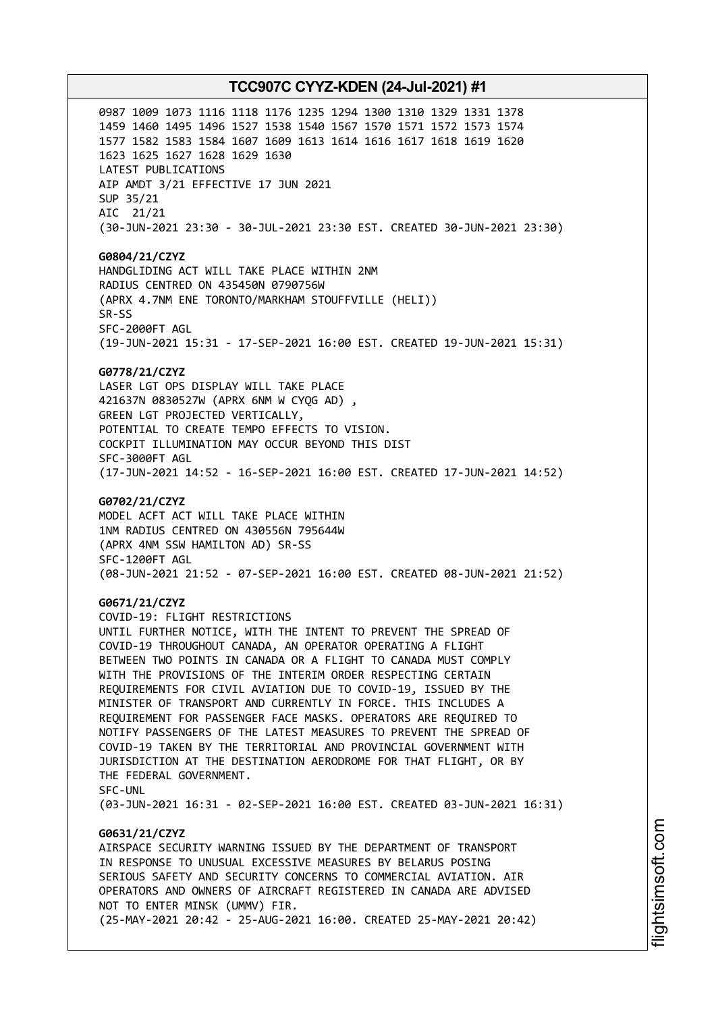0987 1009 1073 1116 1118 1176 1235 1294 1300 1310 1329 1331 1378 1459 1460 1495 1496 1527 1538 1540 1567 1570 1571 1572 1573 1574 1577 1582 1583 1584 1607 1609 1613 1614 1616 1617 1618 1619 1620 1623 1625 1627 1628 1629 1630 LATEST PUBLICATIONS AIP AMDT 3/21 EFFECTIVE 17 JUN 2021 SUP 35/21 AIC 21/21 (30-JUN-2021 23:30 - 30-JUL-2021 23:30 EST. CREATED 30-JUN-2021 23:30)

**G0804/21/CZYZ** HANDGLIDING ACT WILL TAKE PLACE WITHIN 2NM RADIUS CENTRED ON 435450N 0790756W (APRX 4.7NM ENE TORONTO/MARKHAM STOUFFVILLE (HELI)) SR-SS SFC-2000FT AGL (19-JUN-2021 15:31 - 17-SEP-2021 16:00 EST. CREATED 19-JUN-2021 15:31)

#### **G0778/21/CZYZ**

LASER LGT OPS DISPLAY WILL TAKE PLACE 421637N 0830527W (APRX 6NM W CYQG AD) , GREEN LGT PROJECTED VERTICALLY, POTENTIAL TO CREATE TEMPO EFFECTS TO VISION. COCKPIT ILLUMINATION MAY OCCUR BEYOND THIS DIST SFC-3000FT AGL (17-JUN-2021 14:52 - 16-SEP-2021 16:00 EST. CREATED 17-JUN-2021 14:52)

#### **G0702/21/CZYZ**

MODEL ACFT ACT WILL TAKE PLACE WITHIN 1NM RADIUS CENTRED ON 430556N 795644W (APRX 4NM SSW HAMILTON AD) SR-SS SFC-1200FT AGL (08-JUN-2021 21:52 - 07-SEP-2021 16:00 EST. CREATED 08-JUN-2021 21:52)

### **G0671/21/CZYZ**

COVID-19: FLIGHT RESTRICTIONS UNTIL FURTHER NOTICE, WITH THE INTENT TO PREVENT THE SPREAD OF COVID-19 THROUGHOUT CANADA, AN OPERATOR OPERATING A FLIGHT BETWEEN TWO POINTS IN CANADA OR A FLIGHT TO CANADA MUST COMPLY WITH THE PROVISIONS OF THE INTERIM ORDER RESPECTING CERTAIN REQUIREMENTS FOR CIVIL AVIATION DUE TO COVID-19, ISSUED BY THE MINISTER OF TRANSPORT AND CURRENTLY IN FORCE. THIS INCLUDES A REQUIREMENT FOR PASSENGER FACE MASKS. OPERATORS ARE REQUIRED TO NOTIFY PASSENGERS OF THE LATEST MEASURES TO PREVENT THE SPREAD OF COVID-19 TAKEN BY THE TERRITORIAL AND PROVINCIAL GOVERNMENT WITH JURISDICTION AT THE DESTINATION AERODROME FOR THAT FLIGHT, OR BY THE FEDERAL GOVERNMENT. SFC-UNL

(03-JUN-2021 16:31 - 02-SEP-2021 16:00 EST. CREATED 03-JUN-2021 16:31)

# **G0631/21/CZYZ**

AIRSPACE SECURITY WARNING ISSUED BY THE DEPARTMENT OF TRANSPORT IN RESPONSE TO UNUSUAL EXCESSIVE MEASURES BY BELARUS POSING SERIOUS SAFETY AND SECURITY CONCERNS TO COMMERCIAL AVIATION. AIR OPERATORS AND OWNERS OF AIRCRAFT REGISTERED IN CANADA ARE ADVISED NOT TO ENTER MINSK (UMMV) FIR. (25-MAY-2021 20:42 - 25-AUG-2021 16:00. CREATED 25-MAY-2021 20:42)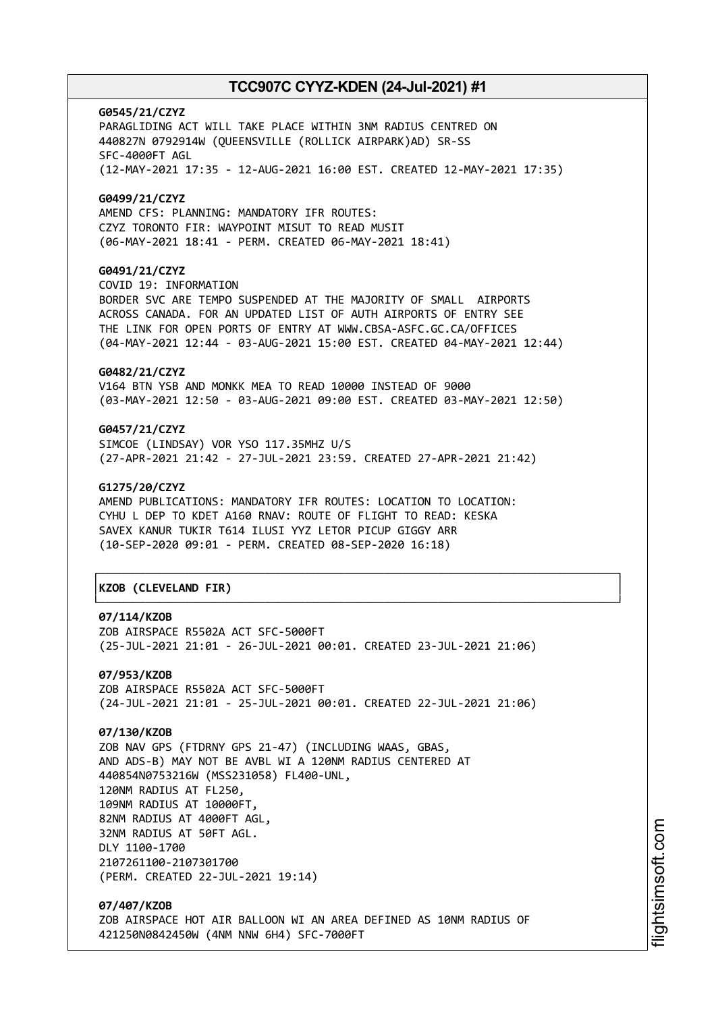**G0545/21/CZYZ** PARAGLIDING ACT WILL TAKE PLACE WITHIN 3NM RADIUS CENTRED ON 440827N 0792914W (QUEENSVILLE (ROLLICK AIRPARK)AD) SR-SS SFC-4000FT AGL (12-MAY-2021 17:35 - 12-AUG-2021 16:00 EST. CREATED 12-MAY-2021 17:35) **G0499/21/CZYZ**

AMEND CFS: PLANNING: MANDATORY IFR ROUTES: CZYZ TORONTO FIR: WAYPOINT MISUT TO READ MUSIT (06-MAY-2021 18:41 - PERM. CREATED 06-MAY-2021 18:41)

# **G0491/21/CZYZ**

COVID 19: INFORMATION BORDER SVC ARE TEMPO SUSPENDED AT THE MAJORITY OF SMALL AIRPORTS ACROSS CANADA. FOR AN UPDATED LIST OF AUTH AIRPORTS OF ENTRY SEE THE LINK FOR OPEN PORTS OF ENTRY AT WWW.CBSA-ASFC.GC.CA/OFFICES (04-MAY-2021 12:44 - 03-AUG-2021 15:00 EST. CREATED 04-MAY-2021 12:44)

# **G0482/21/CZYZ**

V164 BTN YSB AND MONKK MEA TO READ 10000 INSTEAD OF 9000 (03-MAY-2021 12:50 - 03-AUG-2021 09:00 EST. CREATED 03-MAY-2021 12:50)

## **G0457/21/CZYZ**

SIMCOE (LINDSAY) VOR YSO 117.35MHZ U/S (27-APR-2021 21:42 - 27-JUL-2021 23:59. CREATED 27-APR-2021 21:42)

### **G1275/20/CZYZ**

AMEND PUBLICATIONS: MANDATORY IFR ROUTES: LOCATION TO LOCATION: CYHU L DEP TO KDET A160 RNAV: ROUTE OF FLIGHT TO READ: KESKA SAVEX KANUR TUKIR T614 ILUSI YYZ LETOR PICUP GIGGY ARR (10-SEP-2020 09:01 - PERM. CREATED 08-SEP-2020 16:18)

# │**KZOB (CLEVELAND FIR)** │

### **07/114/KZOB**

ZOB AIRSPACE R5502A ACT SFC-5000FT (25-JUL-2021 21:01 - 26-JUL-2021 00:01. CREATED 23-JUL-2021 21:06)

┌──────────────────────────────────────────────────────────────────────────────┐

└──────────────────────────────────────────────────────────────────────────────┘

**07/953/KZOB** ZOB AIRSPACE R5502A ACT SFC-5000FT (24-JUL-2021 21:01 - 25-JUL-2021 00:01. CREATED 22-JUL-2021 21:06)

## **07/130/KZOB**

ZOB NAV GPS (FTDRNY GPS 21-47) (INCLUDING WAAS, GBAS, AND ADS-B) MAY NOT BE AVBL WI A 120NM RADIUS CENTERED AT 440854N0753216W (MSS231058) FL400-UNL, 120NM RADIUS AT FL250, 109NM RADIUS AT 10000FT, 82NM RADIUS AT 4000FT AGL, 32NM RADIUS AT 50FT AGL. DLY 1100-1700 2107261100-2107301700 (PERM. CREATED 22-JUL-2021 19:14)

**07/407/KZOB** ZOB AIRSPACE HOT AIR BALLOON WI AN AREA DEFINED AS 10NM RADIUS OF 421250N0842450W (4NM NNW 6H4) SFC-7000FT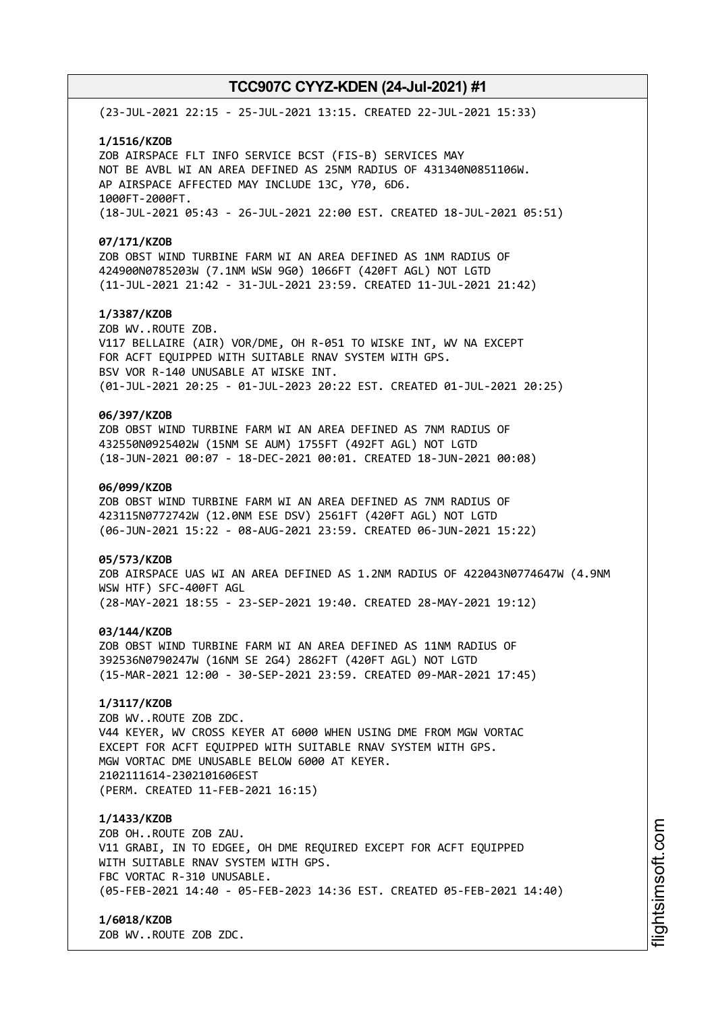(23-JUL-2021 22:15 - 25-JUL-2021 13:15. CREATED 22-JUL-2021 15:33)

#### **1/1516/KZOB**

ZOB AIRSPACE FLT INFO SERVICE BCST (FIS-B) SERVICES MAY NOT BE AVBL WI AN AREA DEFINED AS 25NM RADIUS OF 431340N0851106W. AP AIRSPACE AFFECTED MAY INCLUDE 13C, Y70, 6D6. 1000FT-2000FT. (18-JUL-2021 05:43 - 26-JUL-2021 22:00 EST. CREATED 18-JUL-2021 05:51)

#### **07/171/KZOB**

ZOB OBST WIND TURBINE FARM WI AN AREA DEFINED AS 1NM RADIUS OF 424900N0785203W (7.1NM WSW 9G0) 1066FT (420FT AGL) NOT LGTD (11-JUL-2021 21:42 - 31-JUL-2021 23:59. CREATED 11-JUL-2021 21:42)

# **1/3387/KZOB**

ZOB WV..ROUTE ZOB. V117 BELLAIRE (AIR) VOR/DME, OH R-051 TO WISKE INT, WV NA EXCEPT FOR ACFT EQUIPPED WITH SUITABLE RNAV SYSTEM WITH GPS. BSV VOR R-140 UNUSABLE AT WISKE INT. (01-JUL-2021 20:25 - 01-JUL-2023 20:22 EST. CREATED 01-JUL-2021 20:25)

# **06/397/KZOB**

ZOB OBST WIND TURBINE FARM WI AN AREA DEFINED AS 7NM RADIUS OF 432550N0925402W (15NM SE AUM) 1755FT (492FT AGL) NOT LGTD (18-JUN-2021 00:07 - 18-DEC-2021 00:01. CREATED 18-JUN-2021 00:08)

## **06/099/KZOB**

ZOB OBST WIND TURBINE FARM WI AN AREA DEFINED AS 7NM RADIUS OF 423115N0772742W (12.0NM ESE DSV) 2561FT (420FT AGL) NOT LGTD (06-JUN-2021 15:22 - 08-AUG-2021 23:59. CREATED 06-JUN-2021 15:22)

#### **05/573/KZOB**

ZOB AIRSPACE UAS WI AN AREA DEFINED AS 1.2NM RADIUS OF 422043N0774647W (4.9NM WSW HTF) SFC-400FT AGL (28-MAY-2021 18:55 - 23-SEP-2021 19:40. CREATED 28-MAY-2021 19:12)

### **03/144/KZOB**

ZOB OBST WIND TURBINE FARM WI AN AREA DEFINED AS 11NM RADIUS OF 392536N0790247W (16NM SE 2G4) 2862FT (420FT AGL) NOT LGTD (15-MAR-2021 12:00 - 30-SEP-2021 23:59. CREATED 09-MAR-2021 17:45)

# **1/3117/KZOB**

ZOB WV..ROUTE ZOB ZDC. V44 KEYER, WV CROSS KEYER AT 6000 WHEN USING DME FROM MGW VORTAC EXCEPT FOR ACFT EQUIPPED WITH SUITABLE RNAV SYSTEM WITH GPS. MGW VORTAC DME UNUSABLE BELOW 6000 AT KEYER. 2102111614-2302101606EST (PERM. CREATED 11-FEB-2021 16:15)

### **1/1433/KZOB**

ZOB OH..ROUTE ZOB ZAU. V11 GRABI, IN TO EDGEE, OH DME REQUIRED EXCEPT FOR ACFT EQUIPPED WITH SUITABLE RNAV SYSTEM WITH GPS. FBC VORTAC R-310 UNUSABLE. (05-FEB-2021 14:40 - 05-FEB-2023 14:36 EST. CREATED 05-FEB-2021 14:40)

## **1/6018/KZOB**

ZOB WV..ROUTE ZOB ZDC.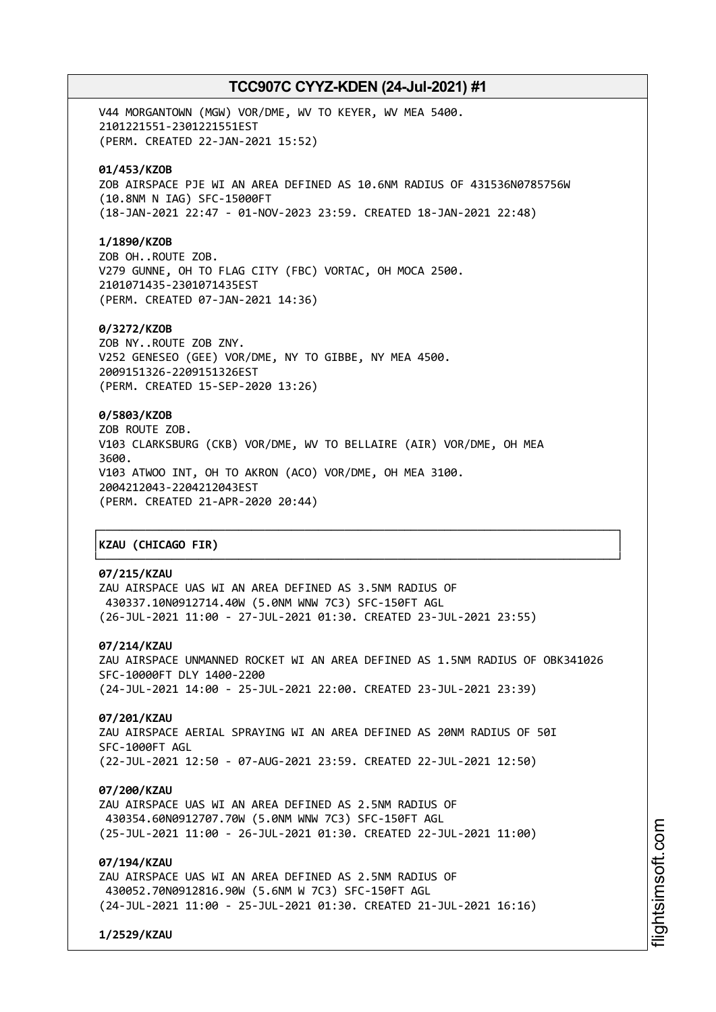V44 MORGANTOWN (MGW) VOR/DME, WV TO KEYER, WV MEA 5400. 2101221551-2301221551EST (PERM. CREATED 22-JAN-2021 15:52)

## **01/453/KZOB**

ZOB AIRSPACE PJE WI AN AREA DEFINED AS 10.6NM RADIUS OF 431536N0785756W (10.8NM N IAG) SFC-15000FT (18-JAN-2021 22:47 - 01-NOV-2023 23:59. CREATED 18-JAN-2021 22:48)

### **1/1890/KZOB**

ZOB OH..ROUTE ZOB. V279 GUNNE, OH TO FLAG CITY (FBC) VORTAC, OH MOCA 2500. 2101071435-2301071435EST (PERM. CREATED 07-JAN-2021 14:36)

## **0/3272/KZOB**

ZOB NY..ROUTE ZOB ZNY. V252 GENESEO (GEE) VOR/DME, NY TO GIBBE, NY MEA 4500. 2009151326-2209151326EST (PERM. CREATED 15-SEP-2020 13:26)

# **0/5803/KZOB**

ZOB ROUTE ZOB. V103 CLARKSBURG (CKB) VOR/DME, WV TO BELLAIRE (AIR) VOR/DME, OH MEA 3600. V103 ATWOO INT, OH TO AKRON (ACO) VOR/DME, OH MEA 3100. 2004212043-2204212043EST (PERM. CREATED 21-APR-2020 20:44)

# │**KZAU (CHICAGO FIR)** │

# **07/215/KZAU**

ZAU AIRSPACE UAS WI AN AREA DEFINED AS 3.5NM RADIUS OF 430337.10N0912714.40W (5.0NM WNW 7C3) SFC-150FT AGL (26-JUL-2021 11:00 - 27-JUL-2021 01:30. CREATED 23-JUL-2021 23:55)

## **07/214/KZAU**

ZAU AIRSPACE UNMANNED ROCKET WI AN AREA DEFINED AS 1.5NM RADIUS OF OBK341026 SFC-10000FT DLY 1400-2200 (24-JUL-2021 14:00 - 25-JUL-2021 22:00. CREATED 23-JUL-2021 23:39)

┌──────────────────────────────────────────────────────────────────────────────┐

└──────────────────────────────────────────────────────────────────────────────┘

#### **07/201/KZAU**

ZAU AIRSPACE AERIAL SPRAYING WI AN AREA DEFINED AS 20NM RADIUS OF 50I SFC-1000FT AGL (22-JUL-2021 12:50 - 07-AUG-2021 23:59. CREATED 22-JUL-2021 12:50)

#### **07/200/KZAU**

ZAU AIRSPACE UAS WI AN AREA DEFINED AS 2.5NM RADIUS OF 430354.60N0912707.70W (5.0NM WNW 7C3) SFC-150FT AGL (25-JUL-2021 11:00 - 26-JUL-2021 01:30. CREATED 22-JUL-2021 11:00)

# **07/194/KZAU**

ZAU AIRSPACE UAS WI AN AREA DEFINED AS 2.5NM RADIUS OF 430052.70N0912816.90W (5.6NM W 7C3) SFC-150FT AGL (24-JUL-2021 11:00 - 25-JUL-2021 01:30. CREATED 21-JUL-2021 16:16)

**1/2529/KZAU**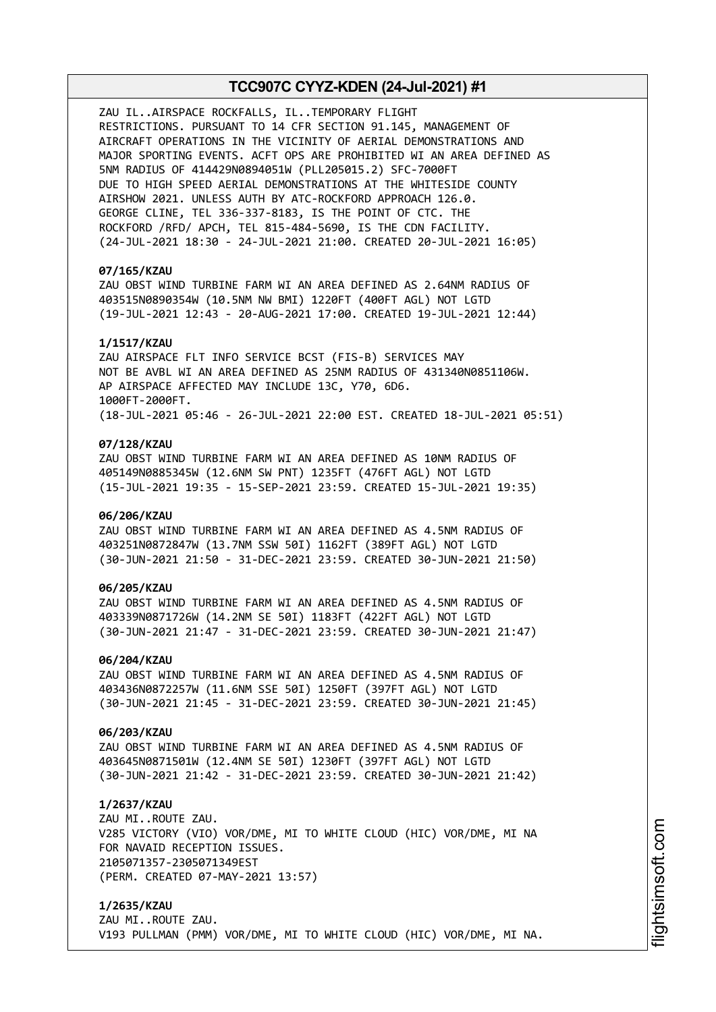ZAU IL..AIRSPACE ROCKFALLS, IL..TEMPORARY FLIGHT RESTRICTIONS. PURSUANT TO 14 CFR SECTION 91.145, MANAGEMENT OF AIRCRAFT OPERATIONS IN THE VICINITY OF AERIAL DEMONSTRATIONS AND MAJOR SPORTING EVENTS. ACFT OPS ARE PROHIBITED WI AN AREA DEFINED AS 5NM RADIUS OF 414429N0894051W (PLL205015.2) SFC-7000FT DUE TO HIGH SPEED AERIAL DEMONSTRATIONS AT THE WHITESIDE COUNTY AIRSHOW 2021. UNLESS AUTH BY ATC-ROCKFORD APPROACH 126.0. GEORGE CLINE, TEL 336-337-8183, IS THE POINT OF CTC. THE ROCKFORD /RFD/ APCH, TEL 815-484-5690, IS THE CDN FACILITY. (24-JUL-2021 18:30 - 24-JUL-2021 21:00. CREATED 20-JUL-2021 16:05)

## **07/165/KZAU**

ZAU OBST WIND TURBINE FARM WI AN AREA DEFINED AS 2.64NM RADIUS OF 403515N0890354W (10.5NM NW BMI) 1220FT (400FT AGL) NOT LGTD (19-JUL-2021 12:43 - 20-AUG-2021 17:00. CREATED 19-JUL-2021 12:44)

### **1/1517/KZAU**

ZAU AIRSPACE FLT INFO SERVICE BCST (FIS-B) SERVICES MAY NOT BE AVBL WI AN AREA DEFINED AS 25NM RADIUS OF 431340N0851106W. AP AIRSPACE AFFECTED MAY INCLUDE 13C, Y70, 6D6. 1000FT-2000FT. (18-JUL-2021 05:46 - 26-JUL-2021 22:00 EST. CREATED 18-JUL-2021 05:51)

### **07/128/KZAU**

ZAU OBST WIND TURBINE FARM WI AN AREA DEFINED AS 10NM RADIUS OF 405149N0885345W (12.6NM SW PNT) 1235FT (476FT AGL) NOT LGTD (15-JUL-2021 19:35 - 15-SEP-2021 23:59. CREATED 15-JUL-2021 19:35)

## **06/206/KZAU**

ZAU OBST WIND TURBINE FARM WI AN AREA DEFINED AS 4.5NM RADIUS OF 403251N0872847W (13.7NM SSW 50I) 1162FT (389FT AGL) NOT LGTD (30-JUN-2021 21:50 - 31-DEC-2021 23:59. CREATED 30-JUN-2021 21:50)

## **06/205/KZAU**

ZAU OBST WIND TURBINE FARM WI AN AREA DEFINED AS 4.5NM RADIUS OF 403339N0871726W (14.2NM SE 50I) 1183FT (422FT AGL) NOT LGTD (30-JUN-2021 21:47 - 31-DEC-2021 23:59. CREATED 30-JUN-2021 21:47)

#### **06/204/KZAU**

ZAU OBST WIND TURBINE FARM WI AN AREA DEFINED AS 4.5NM RADIUS OF 403436N0872257W (11.6NM SSE 50I) 1250FT (397FT AGL) NOT LGTD (30-JUN-2021 21:45 - 31-DEC-2021 23:59. CREATED 30-JUN-2021 21:45)

### **06/203/KZAU**

ZAU OBST WIND TURBINE FARM WI AN AREA DEFINED AS 4.5NM RADIUS OF 403645N0871501W (12.4NM SE 50I) 1230FT (397FT AGL) NOT LGTD (30-JUN-2021 21:42 - 31-DEC-2021 23:59. CREATED 30-JUN-2021 21:42)

#### **1/2637/KZAU**

ZAU MI..ROUTE ZAU. V285 VICTORY (VIO) VOR/DME, MI TO WHITE CLOUD (HIC) VOR/DME, MI NA FOR NAVAID RECEPTION ISSUES. 2105071357-2305071349EST (PERM. CREATED 07-MAY-2021 13:57)

**1/2635/KZAU** ZAU MI..ROUTE ZAU. V193 PULLMAN (PMM) VOR/DME, MI TO WHITE CLOUD (HIC) VOR/DME, MI NA.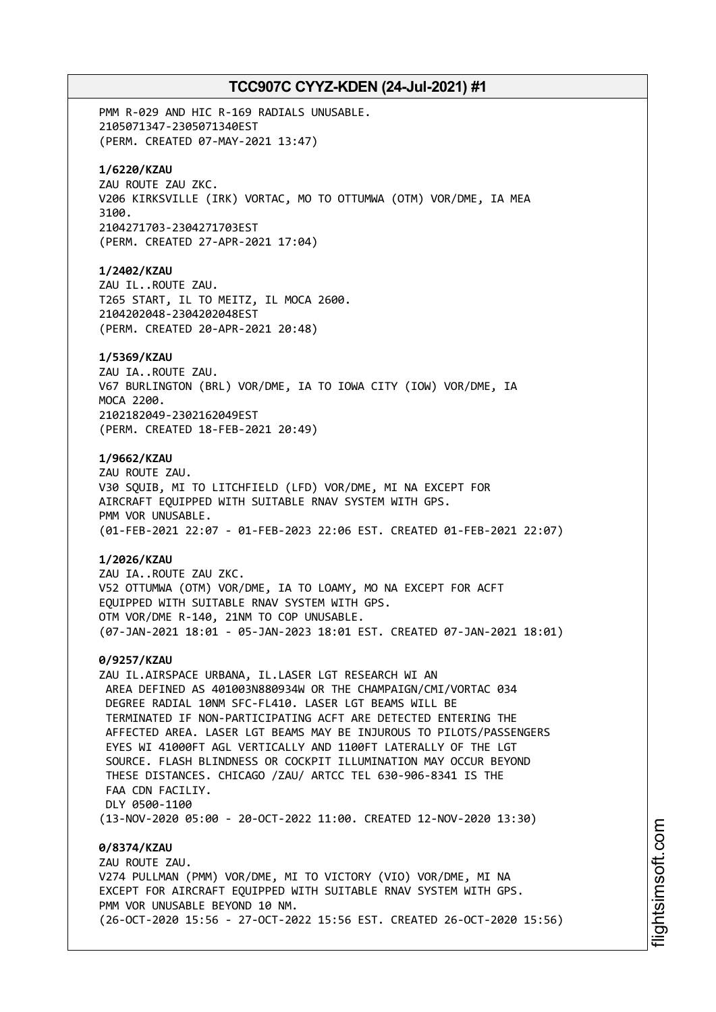PMM R-029 AND HIC R-169 RADIALS UNUSABLE. 2105071347-2305071340EST (PERM. CREATED 07-MAY-2021 13:47) **1/6220/KZAU** ZAU ROUTE ZAU ZKC. V206 KIRKSVILLE (IRK) VORTAC, MO TO OTTUMWA (OTM) VOR/DME, IA MEA 3100. 2104271703-2304271703EST (PERM. CREATED 27-APR-2021 17:04) **1/2402/KZAU** ZAU IL..ROUTE ZAU. T265 START, IL TO MEITZ, IL MOCA 2600. 2104202048-2304202048EST (PERM. CREATED 20-APR-2021 20:48) **1/5369/KZAU** ZAU IA..ROUTE ZAU. V67 BURLINGTON (BRL) VOR/DME, IA TO IOWA CITY (IOW) VOR/DME, IA MOCA 2200. 2102182049-2302162049EST (PERM. CREATED 18-FEB-2021 20:49) **1/9662/KZAU** ZAU ROUTE ZAU. V30 SQUIB, MI TO LITCHFIELD (LFD) VOR/DME, MI NA EXCEPT FOR AIRCRAFT EQUIPPED WITH SUITABLE RNAV SYSTEM WITH GPS. PMM VOR UNUSABLE. (01-FEB-2021 22:07 - 01-FEB-2023 22:06 EST. CREATED 01-FEB-2021 22:07) **1/2026/KZAU** ZAU IA..ROUTE ZAU ZKC. V52 OTTUMWA (OTM) VOR/DME, IA TO LOAMY, MO NA EXCEPT FOR ACFT EQUIPPED WITH SUITABLE RNAV SYSTEM WITH GPS. OTM VOR/DME R-140, 21NM TO COP UNUSABLE. (07-JAN-2021 18:01 - 05-JAN-2023 18:01 EST. CREATED 07-JAN-2021 18:01) **0/9257/KZAU** ZAU IL.AIRSPACE URBANA, IL.LASER LGT RESEARCH WI AN AREA DEFINED AS 401003N880934W OR THE CHAMPAIGN/CMI/VORTAC 034 DEGREE RADIAL 10NM SFC-FL410. LASER LGT BEAMS WILL BE TERMINATED IF NON-PARTICIPATING ACFT ARE DETECTED ENTERING THE AFFECTED AREA. LASER LGT BEAMS MAY BE INJUROUS TO PILOTS/PASSENGERS EYES WI 41000FT AGL VERTICALLY AND 1100FT LATERALLY OF THE LGT SOURCE. FLASH BLINDNESS OR COCKPIT ILLUMINATION MAY OCCUR BEYOND THESE DISTANCES. CHICAGO /ZAU/ ARTCC TEL 630-906-8341 IS THE FAA CDN FACTLTY. DLY 0500-1100 (13-NOV-2020 05:00 - 20-OCT-2022 11:00. CREATED 12-NOV-2020 13:30) **0/8374/KZAU** ZAU ROUTE ZAU. V274 PULLMAN (PMM) VOR/DME, MI TO VICTORY (VIO) VOR/DME, MI NA EXCEPT FOR AIRCRAFT EQUIPPED WITH SUITABLE RNAV SYSTEM WITH GPS. PMM VOR UNUSABLE BEYOND 10 NM.

(26-OCT-2020 15:56 - 27-OCT-2022 15:56 EST. CREATED 26-OCT-2020 15:56)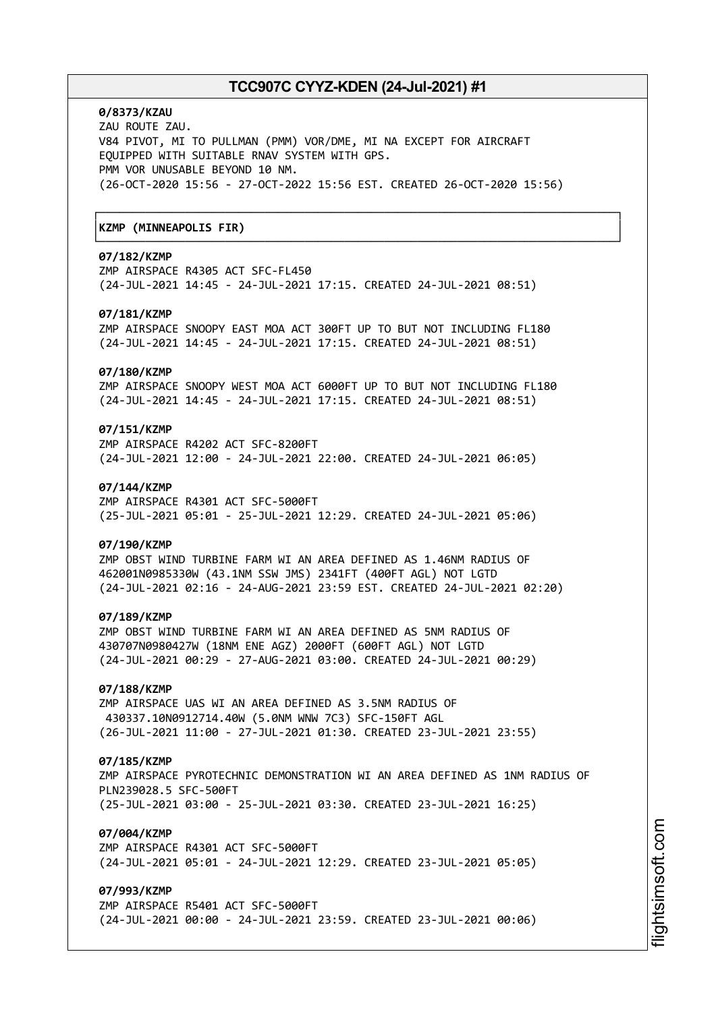┌──────────────────────────────────────────────────────────────────────────────┐

└──────────────────────────────────────────────────────────────────────────────┘

## **0/8373/KZAU**

ZAU ROUTE ZAU. V84 PIVOT, MI TO PULLMAN (PMM) VOR/DME, MI NA EXCEPT FOR AIRCRAFT EQUIPPED WITH SUITABLE RNAV SYSTEM WITH GPS. PMM VOR UNUSABLE BEYOND 10 NM. (26-OCT-2020 15:56 - 27-OCT-2022 15:56 EST. CREATED 26-OCT-2020 15:56)

# │**KZMP (MINNEAPOLIS FIR)** │

## **07/182/KZMP**

ZMP AIRSPACE R4305 ACT SFC-FL450 (24-JUL-2021 14:45 - 24-JUL-2021 17:15. CREATED 24-JUL-2021 08:51)

## **07/181/KZMP**

ZMP AIRSPACE SNOOPY EAST MOA ACT 300FT UP TO BUT NOT INCLUDING FL180 (24-JUL-2021 14:45 - 24-JUL-2021 17:15. CREATED 24-JUL-2021 08:51)

### **07/180/KZMP**

ZMP AIRSPACE SNOOPY WEST MOA ACT 6000FT UP TO BUT NOT INCLUDING FL180 (24-JUL-2021 14:45 - 24-JUL-2021 17:15. CREATED 24-JUL-2021 08:51)

# **07/151/KZMP**

ZMP AIRSPACE R4202 ACT SFC-8200FT (24-JUL-2021 12:00 - 24-JUL-2021 22:00. CREATED 24-JUL-2021 06:05)

### **07/144/KZMP**

ZMP AIRSPACE R4301 ACT SFC-5000FT (25-JUL-2021 05:01 - 25-JUL-2021 12:29. CREATED 24-JUL-2021 05:06)

### **07/190/KZMP**

ZMP OBST WIND TURBINE FARM WI AN AREA DEFINED AS 1.46NM RADIUS OF 462001N0985330W (43.1NM SSW JMS) 2341FT (400FT AGL) NOT LGTD (24-JUL-2021 02:16 - 24-AUG-2021 23:59 EST. CREATED 24-JUL-2021 02:20)

#### **07/189/KZMP**

ZMP OBST WIND TURBINE FARM WI AN AREA DEFINED AS 5NM RADIUS OF 430707N0980427W (18NM ENE AGZ) 2000FT (600FT AGL) NOT LGTD (24-JUL-2021 00:29 - 27-AUG-2021 03:00. CREATED 24-JUL-2021 00:29)

# **07/188/KZMP**

ZMP AIRSPACE UAS WI AN AREA DEFINED AS 3.5NM RADIUS OF 430337.10N0912714.40W (5.0NM WNW 7C3) SFC-150FT AGL (26-JUL-2021 11:00 - 27-JUL-2021 01:30. CREATED 23-JUL-2021 23:55)

### **07/185/KZMP**

ZMP AIRSPACE PYROTECHNIC DEMONSTRATION WI AN AREA DEFINED AS 1NM RADIUS OF PLN239028.5 SFC-500FT (25-JUL-2021 03:00 - 25-JUL-2021 03:30. CREATED 23-JUL-2021 16:25)

## **07/004/KZMP**

ZMP AIRSPACE R4301 ACT SFC-5000FT (24-JUL-2021 05:01 - 24-JUL-2021 12:29. CREATED 23-JUL-2021 05:05)

# **07/993/KZMP**

ZMP AIRSPACE R5401 ACT SFC-5000FT (24-JUL-2021 00:00 - 24-JUL-2021 23:59. CREATED 23-JUL-2021 00:06)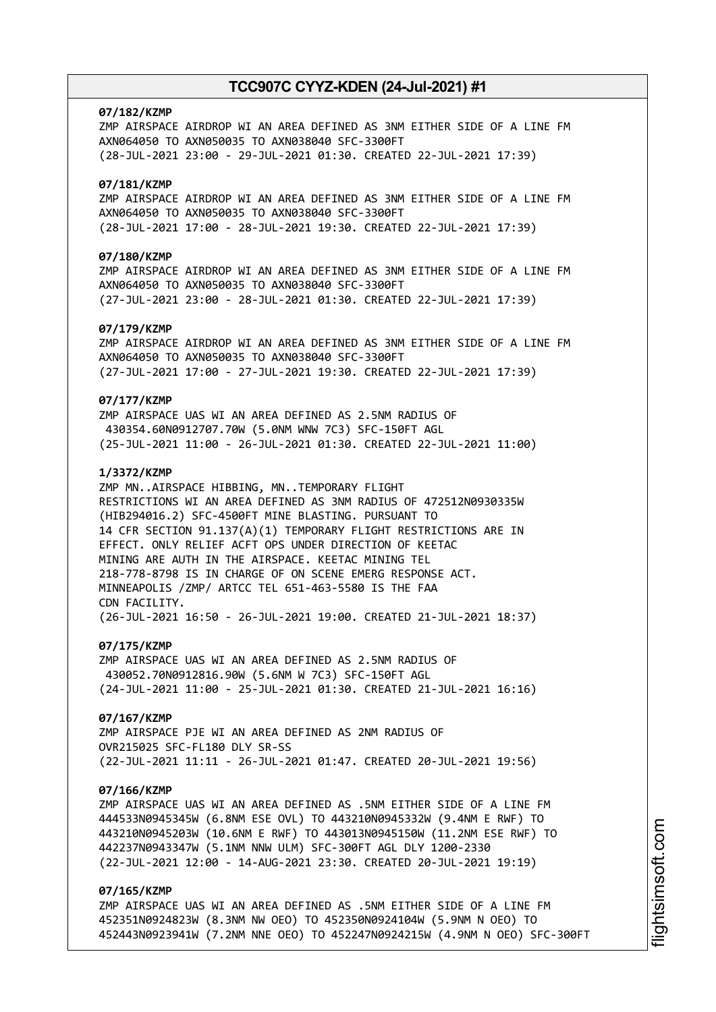### **07/182/KZMP**

ZMP AIRSPACE AIRDROP WI AN AREA DEFINED AS 3NM EITHER SIDE OF A LINE FM AXN064050 TO AXN050035 TO AXN038040 SFC-3300FT (28-JUL-2021 23:00 - 29-JUL-2021 01:30. CREATED 22-JUL-2021 17:39)

## **07/181/KZMP**

ZMP AIRSPACE AIRDROP WI AN AREA DEFINED AS 3NM EITHER SIDE OF A LINE FM AXN064050 TO AXN050035 TO AXN038040 SFC-3300FT (28-JUL-2021 17:00 - 28-JUL-2021 19:30. CREATED 22-JUL-2021 17:39)

## **07/180/KZMP**

ZMP AIRSPACE AIRDROP WI AN AREA DEFINED AS 3NM EITHER SIDE OF A LINE FM AXN064050 TO AXN050035 TO AXN038040 SFC-3300FT (27-JUL-2021 23:00 - 28-JUL-2021 01:30. CREATED 22-JUL-2021 17:39)

## **07/179/KZMP**

ZMP AIRSPACE AIRDROP WI AN AREA DEFINED AS 3NM EITHER SIDE OF A LINE FM AXN064050 TO AXN050035 TO AXN038040 SFC-3300FT (27-JUL-2021 17:00 - 27-JUL-2021 19:30. CREATED 22-JUL-2021 17:39)

### **07/177/KZMP**

ZMP AIRSPACE UAS WI AN AREA DEFINED AS 2.5NM RADIUS OF 430354.60N0912707.70W (5.0NM WNW 7C3) SFC-150FT AGL (25-JUL-2021 11:00 - 26-JUL-2021 01:30. CREATED 22-JUL-2021 11:00)

## **1/3372/KZMP**

ZMP MN..AIRSPACE HIBBING, MN..TEMPORARY FLIGHT RESTRICTIONS WI AN AREA DEFINED AS 3NM RADIUS OF 472512N0930335W (HIB294016.2) SFC-4500FT MINE BLASTING. PURSUANT TO 14 CFR SECTION 91.137(A)(1) TEMPORARY FLIGHT RESTRICTIONS ARE IN EFFECT. ONLY RELIEF ACFT OPS UNDER DIRECTION OF KEETAC MINING ARE AUTH IN THE AIRSPACE. KEETAC MINING TEL 218-778-8798 IS IN CHARGE OF ON SCENE EMERG RESPONSE ACT. MINNEAPOLIS /ZMP/ ARTCC TEL 651-463-5580 IS THE FAA CDN FACILITY. (26-JUL-2021 16:50 - 26-JUL-2021 19:00. CREATED 21-JUL-2021 18:37)

### **07/175/KZMP**

ZMP AIRSPACE UAS WI AN AREA DEFINED AS 2.5NM RADIUS OF 430052.70N0912816.90W (5.6NM W 7C3) SFC-150FT AGL (24-JUL-2021 11:00 - 25-JUL-2021 01:30. CREATED 21-JUL-2021 16:16)

#### **07/167/KZMP**

ZMP AIRSPACE PJE WI AN AREA DEFINED AS 2NM RADIUS OF OVR215025 SFC-FL180 DLY SR-SS (22-JUL-2021 11:11 - 26-JUL-2021 01:47. CREATED 20-JUL-2021 19:56)

#### **07/166/KZMP**

ZMP AIRSPACE UAS WI AN AREA DEFINED AS .5NM EITHER SIDE OF A LINE FM 444533N0945345W (6.8NM ESE OVL) TO 443210N0945332W (9.4NM E RWF) TO 443210N0945203W (10.6NM E RWF) TO 443013N0945150W (11.2NM ESE RWF) TO 442237N0943347W (5.1NM NNW ULM) SFC-300FT AGL DLY 1200-2330 (22-JUL-2021 12:00 - 14-AUG-2021 23:30. CREATED 20-JUL-2021 19:19)

# **07/165/KZMP**

ZMP AIRSPACE UAS WI AN AREA DEFINED AS .5NM EITHER SIDE OF A LINE FM 452351N0924823W (8.3NM NW OEO) TO 452350N0924104W (5.9NM N OEO) TO 452443N0923941W (7.2NM NNE OEO) TO 452247N0924215W (4.9NM N OEO) SFC-300FT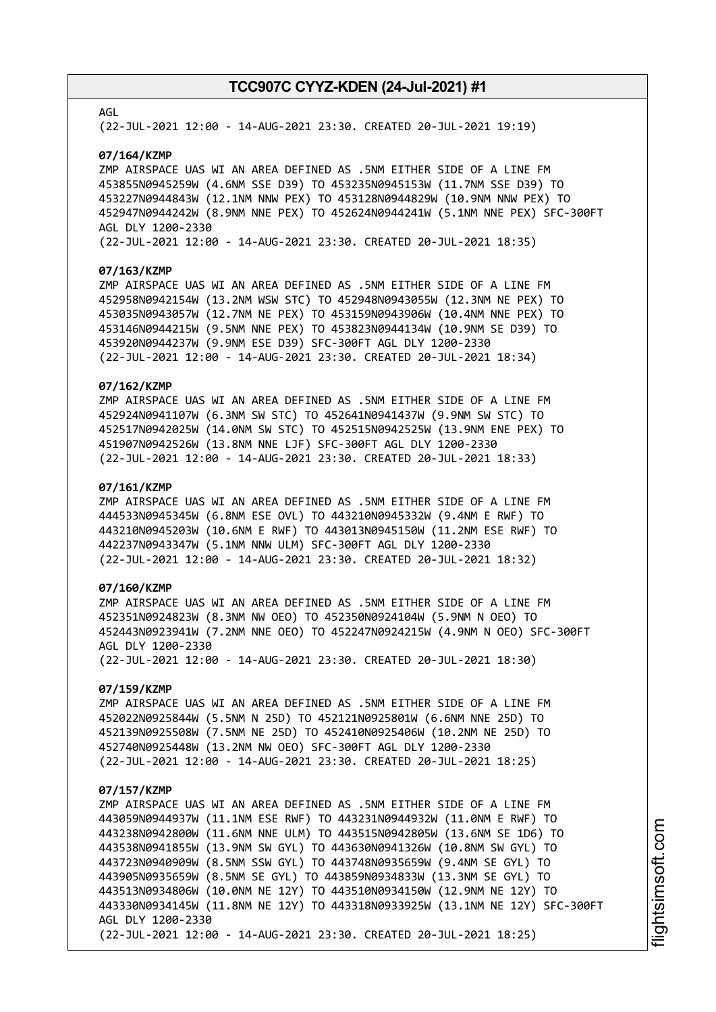### AGL

(22-JUL-2021 12:00 - 14-AUG-2021 23:30. CREATED 20-JUL-2021 19:19)

#### **07/164/KZMP**

ZMP AIRSPACE UAS WI AN AREA DEFINED AS .5NM EITHER SIDE OF A LINE FM 453855N0945259W (4.6NM SSE D39) TO 453235N0945153W (11.7NM SSE D39) TO 453227N0944843W (12.1NM NNW PEX) TO 453128N0944829W (10.9NM NNW PEX) TO 452947N0944242W (8.9NM NNE PEX) TO 452624N0944241W (5.1NM NNE PEX) SFC-300FT AGL DLY 1200-2330

(22-JUL-2021 12:00 - 14-AUG-2021 23:30. CREATED 20-JUL-2021 18:35)

#### **07/163/KZMP**

ZMP AIRSPACE UAS WI AN AREA DEFINED AS .5NM EITHER SIDE OF A LINE FM 452958N0942154W (13.2NM WSW STC) TO 452948N0943055W (12.3NM NE PEX) TO 453035N0943057W (12.7NM NE PEX) TO 453159N0943906W (10.4NM NNE PEX) TO 453146N0944215W (9.5NM NNE PEX) TO 453823N0944134W (10.9NM SE D39) TO 453920N0944237W (9.9NM ESE D39) SFC-300FT AGL DLY 1200-2330 (22-JUL-2021 12:00 - 14-AUG-2021 23:30. CREATED 20-JUL-2021 18:34)

## **07/162/KZMP**

ZMP AIRSPACE UAS WI AN AREA DEFINED AS .5NM EITHER SIDE OF A LINE FM 452924N0941107W (6.3NM SW STC) TO 452641N0941437W (9.9NM SW STC) TO 452517N0942025W (14.0NM SW STC) TO 452515N0942525W (13.9NM ENE PEX) TO 451907N0942526W (13.8NM NNE LJF) SFC-300FT AGL DLY 1200-2330 (22-JUL-2021 12:00 - 14-AUG-2021 23:30. CREATED 20-JUL-2021 18:33)

### **07/161/KZMP**

ZMP AIRSPACE UAS WI AN AREA DEFINED AS .5NM EITHER SIDE OF A LINE FM 444533N0945345W (6.8NM ESE OVL) TO 443210N0945332W (9.4NM E RWF) TO 443210N0945203W (10.6NM E RWF) TO 443013N0945150W (11.2NM ESE RWF) TO 442237N0943347W (5.1NM NNW ULM) SFC-300FT AGL DLY 1200-2330 (22-JUL-2021 12:00 - 14-AUG-2021 23:30. CREATED 20-JUL-2021 18:32)

# **07/160/KZMP**

ZMP AIRSPACE UAS WI AN AREA DEFINED AS .5NM EITHER SIDE OF A LINE FM 452351N0924823W (8.3NM NW OEO) TO 452350N0924104W (5.9NM N OEO) TO 452443N0923941W (7.2NM NNE OEO) TO 452247N0924215W (4.9NM N OEO) SFC-300FT AGL DLY 1200-2330 (22-JUL-2021 12:00 - 14-AUG-2021 23:30. CREATED 20-JUL-2021 18:30)

# **07/159/KZMP**

ZMP AIRSPACE UAS WI AN AREA DEFINED AS .5NM EITHER SIDE OF A LINE FM 452022N0925844W (5.5NM N 25D) TO 452121N0925801W (6.6NM NNE 25D) TO 452139N0925508W (7.5NM NE 25D) TO 452410N0925406W (10.2NM NE 25D) TO 452740N0925448W (13.2NM NW OEO) SFC-300FT AGL DLY 1200-2330 (22-JUL-2021 12:00 - 14-AUG-2021 23:30. CREATED 20-JUL-2021 18:25)

#### **07/157/KZMP**

ZMP AIRSPACE UAS WI AN AREA DEFINED AS .5NM EITHER SIDE OF A LINE FM 443059N0944937W (11.1NM ESE RWF) TO 443231N0944932W (11.0NM E RWF) TO 443238N0942800W (11.6NM NNE ULM) TO 443515N0942805W (13.6NM SE 1D6) TO 443538N0941855W (13.9NM SW GYL) TO 443630N0941326W (10.8NM SW GYL) TO 443723N0940909W (8.5NM SSW GYL) TO 443748N0935659W (9.4NM SE GYL) TO 443905N0935659W (8.5NM SE GYL) TO 443859N0934833W (13.3NM SE GYL) TO 443513N0934806W (10.0NM NE 12Y) TO 443510N0934150W (12.9NM NE 12Y) TO 443330N0934145W (11.8NM NE 12Y) TO 443318N0933925W (13.1NM NE 12Y) SFC-300FT AGL DLY 1200-2330 (22-JUL-2021 12:00 - 14-AUG-2021 23:30. CREATED 20-JUL-2021 18:25)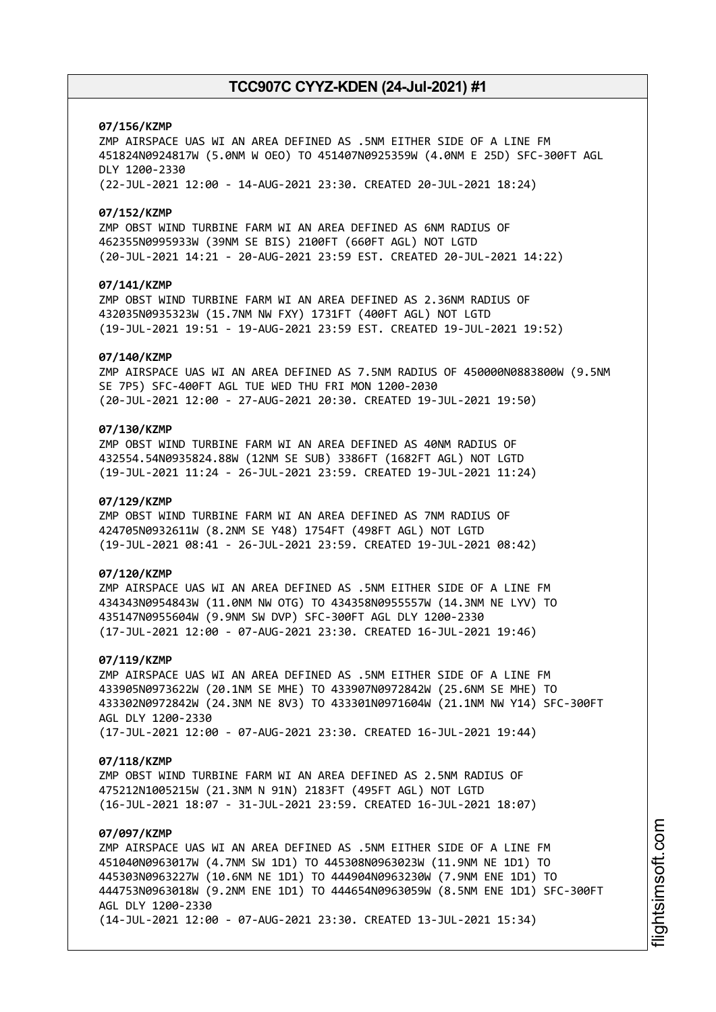### **07/156/KZMP**

ZMP AIRSPACE UAS WI AN AREA DEFINED AS .5NM EITHER SIDE OF A LINE FM 451824N0924817W (5.0NM W OEO) TO 451407N0925359W (4.0NM E 25D) SFC-300FT AGL DLY 1200-2330 (22-JUL-2021 12:00 - 14-AUG-2021 23:30. CREATED 20-JUL-2021 18:24)

#### **07/152/KZMP**

ZMP OBST WIND TURBINE FARM WI AN AREA DEFINED AS 6NM RADIUS OF 462355N0995933W (39NM SE BIS) 2100FT (660FT AGL) NOT LGTD (20-JUL-2021 14:21 - 20-AUG-2021 23:59 EST. CREATED 20-JUL-2021 14:22)

## **07/141/KZMP**

ZMP OBST WIND TURBINE FARM WI AN AREA DEFINED AS 2.36NM RADIUS OF 432035N0935323W (15.7NM NW FXY) 1731FT (400FT AGL) NOT LGTD (19-JUL-2021 19:51 - 19-AUG-2021 23:59 EST. CREATED 19-JUL-2021 19:52)

#### **07/140/KZMP**

ZMP AIRSPACE UAS WI AN AREA DEFINED AS 7.5NM RADIUS OF 450000N0883800W (9.5NM SE 7P5) SFC-400FT AGL TUE WED THU FRI MON 1200-2030 (20-JUL-2021 12:00 - 27-AUG-2021 20:30. CREATED 19-JUL-2021 19:50)

# **07/130/KZMP**

ZMP OBST WIND TURBINE FARM WI AN AREA DEFINED AS 40NM RADIUS OF 432554.54N0935824.88W (12NM SE SUB) 3386FT (1682FT AGL) NOT LGTD (19-JUL-2021 11:24 - 26-JUL-2021 23:59. CREATED 19-JUL-2021 11:24)

### **07/129/KZMP**

ZMP OBST WIND TURBINE FARM WI AN AREA DEFINED AS 7NM RADIUS OF 424705N0932611W (8.2NM SE Y48) 1754FT (498FT AGL) NOT LGTD (19-JUL-2021 08:41 - 26-JUL-2021 23:59. CREATED 19-JUL-2021 08:42)

## **07/120/KZMP**

ZMP AIRSPACE UAS WI AN AREA DEFINED AS .5NM EITHER SIDE OF A LINE FM 434343N0954843W (11.0NM NW OTG) TO 434358N0955557W (14.3NM NE LYV) TO 435147N0955604W (9.9NM SW DVP) SFC-300FT AGL DLY 1200-2330 (17-JUL-2021 12:00 - 07-AUG-2021 23:30. CREATED 16-JUL-2021 19:46)

#### **07/119/KZMP**

ZMP AIRSPACE UAS WI AN AREA DEFINED AS .5NM EITHER SIDE OF A LINE FM 433905N0973622W (20.1NM SE MHE) TO 433907N0972842W (25.6NM SE MHE) TO 433302N0972842W (24.3NM NE 8V3) TO 433301N0971604W (21.1NM NW Y14) SFC-300FT AGL DLY 1200-2330 (17-JUL-2021 12:00 - 07-AUG-2021 23:30. CREATED 16-JUL-2021 19:44)

#### **07/118/KZMP**

ZMP OBST WIND TURBINE FARM WI AN AREA DEFINED AS 2.5NM RADIUS OF 475212N1005215W (21.3NM N 91N) 2183FT (495FT AGL) NOT LGTD (16-JUL-2021 18:07 - 31-JUL-2021 23:59. CREATED 16-JUL-2021 18:07)

# **07/097/KZMP**

ZMP AIRSPACE UAS WI AN AREA DEFINED AS .5NM EITHER SIDE OF A LINE FM 451040N0963017W (4.7NM SW 1D1) TO 445308N0963023W (11.9NM NE 1D1) TO 445303N0963227W (10.6NM NE 1D1) TO 444904N0963230W (7.9NM ENE 1D1) TO 444753N0963018W (9.2NM ENE 1D1) TO 444654N0963059W (8.5NM ENE 1D1) SFC-300FT AGL DLY 1200-2330 (14-JUL-2021 12:00 - 07-AUG-2021 23:30. CREATED 13-JUL-2021 15:34)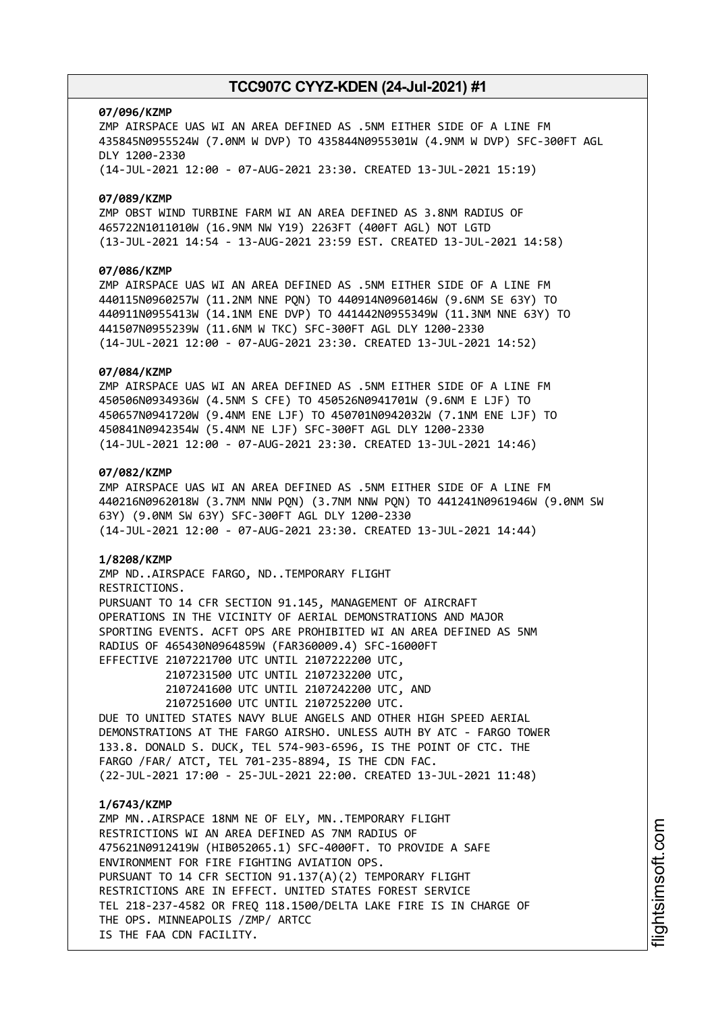#### **07/096/KZMP**

ZMP AIRSPACE UAS WI AN AREA DEFINED AS .5NM EITHER SIDE OF A LINE FM 435845N0955524W (7.0NM W DVP) TO 435844N0955301W (4.9NM W DVP) SFC-300FT AGL DLY 1200-2330 (14-JUL-2021 12:00 - 07-AUG-2021 23:30. CREATED 13-JUL-2021 15:19)

### **07/089/KZMP**

ZMP OBST WIND TURBINE FARM WI AN AREA DEFINED AS 3.8NM RADIUS OF 465722N1011010W (16.9NM NW Y19) 2263FT (400FT AGL) NOT LGTD (13-JUL-2021 14:54 - 13-AUG-2021 23:59 EST. CREATED 13-JUL-2021 14:58)

# **07/086/KZMP**

ZMP AIRSPACE UAS WI AN AREA DEFINED AS .5NM EITHER SIDE OF A LINE FM 440115N0960257W (11.2NM NNE PQN) TO 440914N0960146W (9.6NM SE 63Y) TO 440911N0955413W (14.1NM ENE DVP) TO 441442N0955349W (11.3NM NNE 63Y) TO 441507N0955239W (11.6NM W TKC) SFC-300FT AGL DLY 1200-2330 (14-JUL-2021 12:00 - 07-AUG-2021 23:30. CREATED 13-JUL-2021 14:52)

### **07/084/KZMP**

ZMP AIRSPACE UAS WI AN AREA DEFINED AS .5NM EITHER SIDE OF A LINE FM 450506N0934936W (4.5NM S CFE) TO 450526N0941701W (9.6NM E LJF) TO 450657N0941720W (9.4NM ENE LJF) TO 450701N0942032W (7.1NM ENE LJF) TO 450841N0942354W (5.4NM NE LJF) SFC-300FT AGL DLY 1200-2330 (14-JUL-2021 12:00 - 07-AUG-2021 23:30. CREATED 13-JUL-2021 14:46)

# **07/082/KZMP**

ZMP AIRSPACE UAS WI AN AREA DEFINED AS .5NM EITHER SIDE OF A LINE FM 440216N0962018W (3.7NM NNW PQN) (3.7NM NNW PQN) TO 441241N0961946W (9.0NM SW 63Y) (9.0NM SW 63Y) SFC-300FT AGL DLY 1200-2330 (14-JUL-2021 12:00 - 07-AUG-2021 23:30. CREATED 13-JUL-2021 14:44)

#### **1/8208/KZMP**

ZMP ND..AIRSPACE FARGO, ND..TEMPORARY FLIGHT RESTRICTIONS. PURSUANT TO 14 CFR SECTION 91.145, MANAGEMENT OF AIRCRAFT OPERATIONS IN THE VICINITY OF AERIAL DEMONSTRATIONS AND MAJOR SPORTING EVENTS. ACFT OPS ARE PROHIBITED WI AN AREA DEFINED AS 5NM RADIUS OF 465430N0964859W (FAR360009.4) SFC-16000FT EFFECTIVE 2107221700 UTC UNTIL 2107222200 UTC,

> 2107231500 UTC UNTIL 2107232200 UTC, 2107241600 UTC UNTIL 2107242200 UTC, AND 2107251600 UTC UNTIL 2107252200 UTC.

DUE TO UNITED STATES NAVY BLUE ANGELS AND OTHER HIGH SPEED AERIAL DEMONSTRATIONS AT THE FARGO AIRSHO. UNLESS AUTH BY ATC - FARGO TOWER 133.8. DONALD S. DUCK, TEL 574-903-6596, IS THE POINT OF CTC. THE FARGO /FAR/ ATCT, TEL 701-235-8894, IS THE CDN FAC. (22-JUL-2021 17:00 - 25-JUL-2021 22:00. CREATED 13-JUL-2021 11:48)

#### **1/6743/KZMP**

ZMP MN..AIRSPACE 18NM NE OF ELY, MN..TEMPORARY FLIGHT RESTRICTIONS WI AN AREA DEFINED AS 7NM RADIUS OF 475621N0912419W (HIB052065.1) SFC-4000FT. TO PROVIDE A SAFE ENVIRONMENT FOR FIRE FIGHTING AVIATION OPS. PURSUANT TO 14 CFR SECTION 91.137(A)(2) TEMPORARY FLIGHT RESTRICTIONS ARE IN EFFECT. UNITED STATES FOREST SERVICE TEL 218-237-4582 OR FREQ 118.1500/DELTA LAKE FIRE IS IN CHARGE OF THE OPS. MINNEAPOLIS /ZMP/ ARTCC IS THE FAA CDN FACILITY.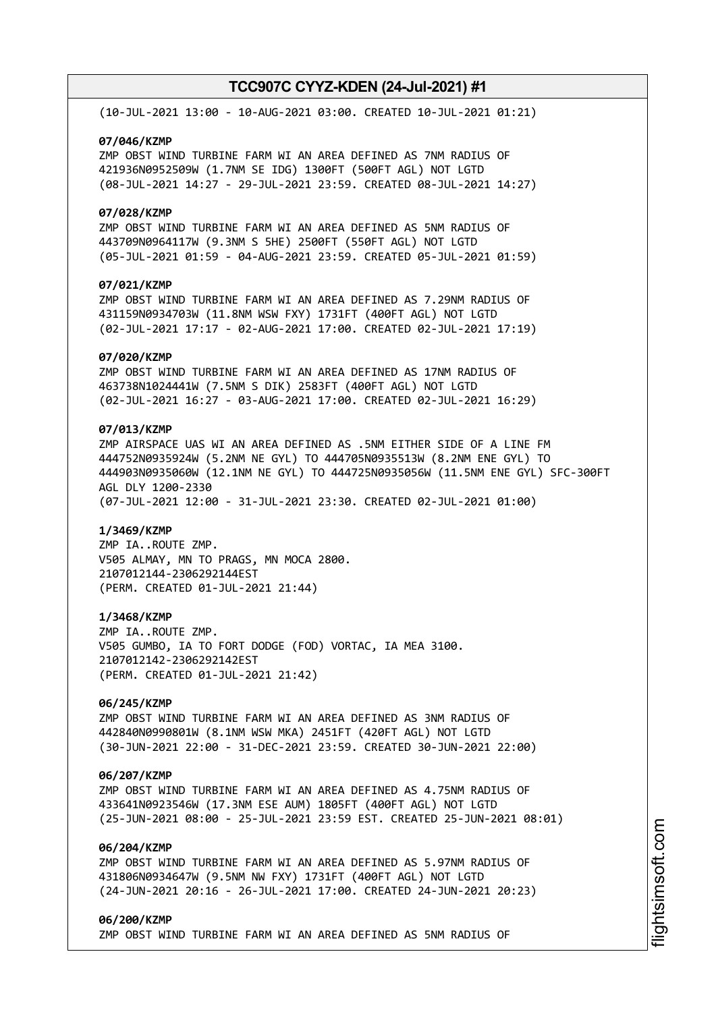(10-JUL-2021 13:00 - 10-AUG-2021 03:00. CREATED 10-JUL-2021 01:21)

#### **07/046/KZMP**

ZMP OBST WIND TURBINE FARM WI AN AREA DEFINED AS 7NM RADIUS OF 421936N0952509W (1.7NM SE IDG) 1300FT (500FT AGL) NOT LGTD (08-JUL-2021 14:27 - 29-JUL-2021 23:59. CREATED 08-JUL-2021 14:27)

### **07/028/KZMP**

ZMP OBST WIND TURBINE FARM WI AN AREA DEFINED AS 5NM RADIUS OF 443709N0964117W (9.3NM S 5HE) 2500FT (550FT AGL) NOT LGTD (05-JUL-2021 01:59 - 04-AUG-2021 23:59. CREATED 05-JUL-2021 01:59)

# **07/021/KZMP**

ZMP OBST WIND TURBINE FARM WI AN AREA DEFINED AS 7.29NM RADIUS OF 431159N0934703W (11.8NM WSW FXY) 1731FT (400FT AGL) NOT LGTD (02-JUL-2021 17:17 - 02-AUG-2021 17:00. CREATED 02-JUL-2021 17:19)

#### **07/020/KZMP**

ZMP OBST WIND TURBINE FARM WI AN AREA DEFINED AS 17NM RADIUS OF 463738N1024441W (7.5NM S DIK) 2583FT (400FT AGL) NOT LGTD (02-JUL-2021 16:27 - 03-AUG-2021 17:00. CREATED 02-JUL-2021 16:29)

# **07/013/KZMP**

ZMP AIRSPACE UAS WI AN AREA DEFINED AS .5NM EITHER SIDE OF A LINE FM 444752N0935924W (5.2NM NE GYL) TO 444705N0935513W (8.2NM ENE GYL) TO 444903N0935060W (12.1NM NE GYL) TO 444725N0935056W (11.5NM ENE GYL) SFC-300FT AGL DLY 1200-2330 (07-JUL-2021 12:00 - 31-JUL-2021 23:30. CREATED 02-JUL-2021 01:00)

#### **1/3469/KZMP**

ZMP IA..ROUTE ZMP. V505 ALMAY, MN TO PRAGS, MN MOCA 2800. 2107012144-2306292144EST (PERM. CREATED 01-JUL-2021 21:44)

#### **1/3468/KZMP**

ZMP IA..ROUTE ZMP. V505 GUMBO, IA TO FORT DODGE (FOD) VORTAC, IA MEA 3100. 2107012142-2306292142EST (PERM. CREATED 01-JUL-2021 21:42)

# **06/245/KZMP**

ZMP OBST WIND TURBINE FARM WI AN AREA DEFINED AS 3NM RADIUS OF 442840N0990801W (8.1NM WSW MKA) 2451FT (420FT AGL) NOT LGTD (30-JUN-2021 22:00 - 31-DEC-2021 23:59. CREATED 30-JUN-2021 22:00)

### **06/207/KZMP**

ZMP OBST WIND TURBINE FARM WI AN AREA DEFINED AS 4.75NM RADIUS OF 433641N0923546W (17.3NM ESE AUM) 1805FT (400FT AGL) NOT LGTD (25-JUN-2021 08:00 - 25-JUL-2021 23:59 EST. CREATED 25-JUN-2021 08:01)

# **06/204/KZMP**

ZMP OBST WIND TURBINE FARM WI AN AREA DEFINED AS 5.97NM RADIUS OF 431806N0934647W (9.5NM NW FXY) 1731FT (400FT AGL) NOT LGTD (24-JUN-2021 20:16 - 26-JUL-2021 17:00. CREATED 24-JUN-2021 20:23)

## **06/200/KZMP** ZMP OBST WIND TURBINE FARM WI AN AREA DEFINED AS 5NM RADIUS OF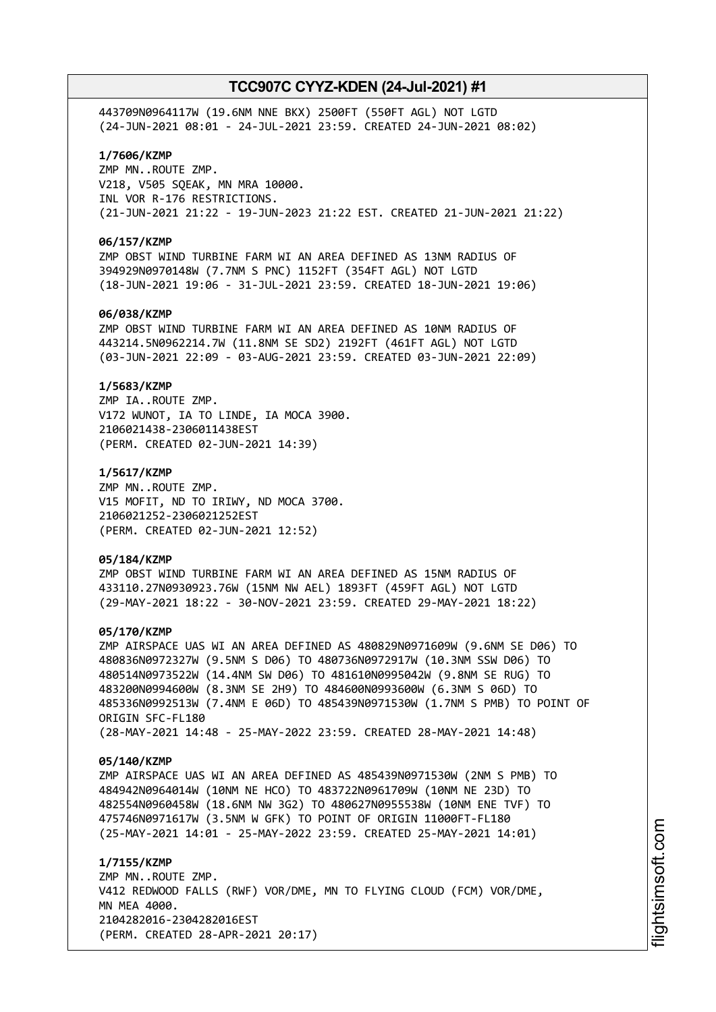443709N0964117W (19.6NM NNE BKX) 2500FT (550FT AGL) NOT LGTD (24-JUN-2021 08:01 - 24-JUL-2021 23:59. CREATED 24-JUN-2021 08:02)

# **1/7606/KZMP**

ZMP MN..ROUTE ZMP. V218, V505 SQEAK, MN MRA 10000. INL VOR R-176 RESTRICTIONS. (21-JUN-2021 21:22 - 19-JUN-2023 21:22 EST. CREATED 21-JUN-2021 21:22)

### **06/157/KZMP**

ZMP OBST WIND TURBINE FARM WI AN AREA DEFINED AS 13NM RADIUS OF 394929N0970148W (7.7NM S PNC) 1152FT (354FT AGL) NOT LGTD (18-JUN-2021 19:06 - 31-JUL-2021 23:59. CREATED 18-JUN-2021 19:06)

## **06/038/KZMP**

ZMP OBST WIND TURBINE FARM WI AN AREA DEFINED AS 10NM RADIUS OF 443214.5N0962214.7W (11.8NM SE SD2) 2192FT (461FT AGL) NOT LGTD (03-JUN-2021 22:09 - 03-AUG-2021 23:59. CREATED 03-JUN-2021 22:09)

#### **1/5683/KZMP**

ZMP IA..ROUTE ZMP. V172 WUNOT, IA TO LINDE, IA MOCA 3900. 2106021438-2306011438EST (PERM. CREATED 02-JUN-2021 14:39)

#### **1/5617/KZMP**

ZMP MN..ROUTE ZMP. V15 MOFIT, ND TO IRIWY, ND MOCA 3700. 2106021252-2306021252EST (PERM. CREATED 02-JUN-2021 12:52)

#### **05/184/KZMP**

ZMP OBST WIND TURBINE FARM WI AN AREA DEFINED AS 15NM RADIUS OF 433110.27N0930923.76W (15NM NW AEL) 1893FT (459FT AGL) NOT LGTD (29-MAY-2021 18:22 - 30-NOV-2021 23:59. CREATED 29-MAY-2021 18:22)

#### **05/170/KZMP**

ZMP AIRSPACE UAS WI AN AREA DEFINED AS 480829N0971609W (9.6NM SE D06) TO 480836N0972327W (9.5NM S D06) TO 480736N0972917W (10.3NM SSW D06) TO 480514N0973522W (14.4NM SW D06) TO 481610N0995042W (9.8NM SE RUG) TO 483200N0994600W (8.3NM SE 2H9) TO 484600N0993600W (6.3NM S 06D) TO 485336N0992513W (7.4NM E 06D) TO 485439N0971530W (1.7NM S PMB) TO POINT OF ORIGIN SFC-FL180 (28-MAY-2021 14:48 - 25-MAY-2022 23:59. CREATED 28-MAY-2021 14:48)

#### **05/140/KZMP**

ZMP AIRSPACE UAS WI AN AREA DEFINED AS 485439N0971530W (2NM S PMB) TO 484942N0964014W (10NM NE HCO) TO 483722N0961709W (10NM NE 23D) TO 482554N0960458W (18.6NM NW 3G2) TO 480627N0955538W (10NM ENE TVF) TO 475746N0971617W (3.5NM W GFK) TO POINT OF ORIGIN 11000FT-FL180 (25-MAY-2021 14:01 - 25-MAY-2022 23:59. CREATED 25-MAY-2021 14:01)

**1/7155/KZMP** ZMP MN..ROUTE ZMP. V412 REDWOOD FALLS (RWF) VOR/DME, MN TO FLYING CLOUD (FCM) VOR/DME, MN MEA 4000. 2104282016-2304282016EST (PERM. CREATED 28-APR-2021 20:17)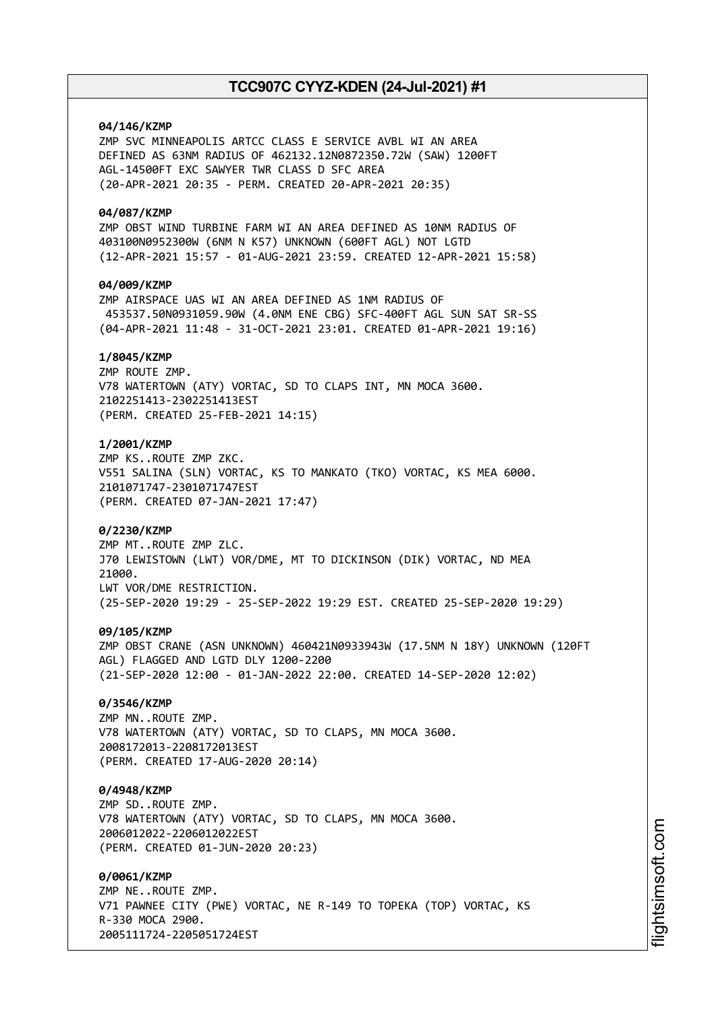# **04/146/KZMP**

ZMP SVC MINNEAPOLIS ARTCC CLASS E SERVICE AVBL WI AN AREA DEFINED AS 63NM RADIUS OF 462132.12N0872350.72W (SAW) 1200FT AGL-14500FT EXC SAWYER TWR CLASS D SFC AREA (20-APR-2021 20:35 - PERM. CREATED 20-APR-2021 20:35)

### **04/087/KZMP**

ZMP OBST WIND TURBINE FARM WI AN AREA DEFINED AS 10NM RADIUS OF 403100N0952300W (6NM N K57) UNKNOWN (600FT AGL) NOT LGTD (12-APR-2021 15:57 - 01-AUG-2021 23:59. CREATED 12-APR-2021 15:58)

# **04/009/KZMP**

ZMP AIRSPACE UAS WI AN AREA DEFINED AS 1NM RADIUS OF 453537.50N0931059.90W (4.0NM ENE CBG) SFC-400FT AGL SUN SAT SR-SS (04-APR-2021 11:48 - 31-OCT-2021 23:01. CREATED 01-APR-2021 19:16)

# **1/8045/KZMP**

ZMP ROUTE ZMP. V78 WATERTOWN (ATY) VORTAC, SD TO CLAPS INT, MN MOCA 3600. 2102251413-2302251413EST (PERM. CREATED 25-FEB-2021 14:15)

# **1/2001/KZMP**

ZMP KS..ROUTE ZMP ZKC. V551 SALINA (SLN) VORTAC, KS TO MANKATO (TKO) VORTAC, KS MEA 6000. 2101071747-2301071747EST (PERM. CREATED 07-JAN-2021 17:47)

## **0/2230/KZMP**

ZMP MT..ROUTE ZMP ZLC. J70 LEWISTOWN (LWT) VOR/DME, MT TO DICKINSON (DIK) VORTAC, ND MEA 21000. LWT VOR/DME RESTRICTION. (25-SEP-2020 19:29 - 25-SEP-2022 19:29 EST. CREATED 25-SEP-2020 19:29)

## **09/105/KZMP**

ZMP OBST CRANE (ASN UNKNOWN) 460421N0933943W (17.5NM N 18Y) UNKNOWN (120FT AGL) FLAGGED AND LGTD DLY 1200-2200 (21-SEP-2020 12:00 - 01-JAN-2022 22:00. CREATED 14-SEP-2020 12:02)

## **0/3546/KZMP**

ZMP MN..ROUTE ZMP. V78 WATERTOWN (ATY) VORTAC, SD TO CLAPS, MN MOCA 3600. 2008172013-2208172013EST (PERM. CREATED 17-AUG-2020 20:14)

## **0/4948/KZMP**

ZMP SD..ROUTE ZMP. V78 WATERTOWN (ATY) VORTAC, SD TO CLAPS, MN MOCA 3600. 2006012022-2206012022EST (PERM. CREATED 01-JUN-2020 20:23)

#### **0/0061/KZMP**

ZMP NE..ROUTE ZMP. V71 PAWNEE CITY (PWE) VORTAC, NE R-149 TO TOPEKA (TOP) VORTAC, KS R-330 MOCA 2900. 2005111724-2205051724EST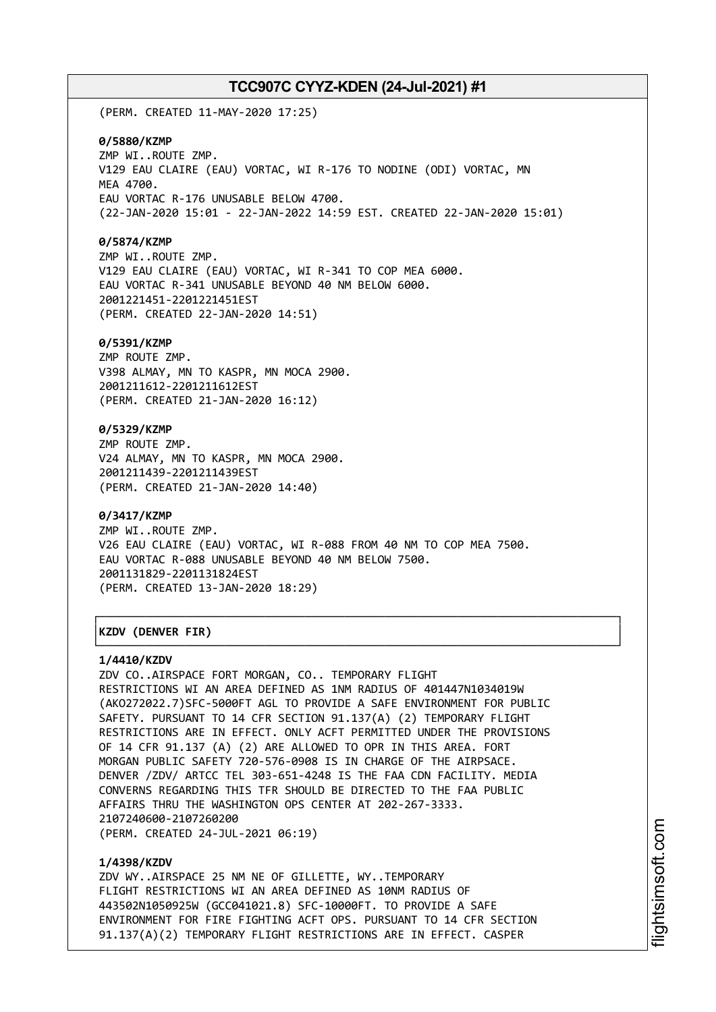(PERM. CREATED 11-MAY-2020 17:25)

#### **0/5880/KZMP**

ZMP WI..ROUTE ZMP. V129 EAU CLAIRE (EAU) VORTAC, WI R-176 TO NODINE (ODI) VORTAC, MN MEA 4700. EAU VORTAC R-176 UNUSABLE BELOW 4700. (22-JAN-2020 15:01 - 22-JAN-2022 14:59 EST. CREATED 22-JAN-2020 15:01)

### **0/5874/KZMP**

ZMP WI..ROUTE ZMP. V129 EAU CLAIRE (EAU) VORTAC, WI R-341 TO COP MEA 6000. EAU VORTAC R-341 UNUSABLE BEYOND 40 NM BELOW 6000. 2001221451-2201221451EST (PERM. CREATED 22-JAN-2020 14:51)

#### **0/5391/KZMP**

ZMP ROUTE ZMP. V398 ALMAY, MN TO KASPR, MN MOCA 2900. 2001211612-2201211612EST (PERM. CREATED 21-JAN-2020 16:12)

## **0/5329/KZMP**

ZMP ROUTE ZMP. V24 ALMAY, MN TO KASPR, MN MOCA 2900. 2001211439-2201211439EST (PERM. CREATED 21-JAN-2020 14:40)

### **0/3417/KZMP**

ZMP WI..ROUTE ZMP. V26 EAU CLAIRE (EAU) VORTAC, WI R-088 FROM 40 NM TO COP MEA 7500. EAU VORTAC R-088 UNUSABLE BEYOND 40 NM BELOW 7500. 2001131829-2201131824EST (PERM. CREATED 13-JAN-2020 18:29)

┌──────────────────────────────────────────────────────────────────────────────┐

└──────────────────────────────────────────────────────────────────────────────┘

# │**KZDV (DENVER FIR)** │

#### **1/4410/KZDV**

ZDV CO..AIRSPACE FORT MORGAN, CO.. TEMPORARY FLIGHT RESTRICTIONS WI AN AREA DEFINED AS 1NM RADIUS OF 401447N1034019W (AKO272022.7)SFC-5000FT AGL TO PROVIDE A SAFE ENVIRONMENT FOR PUBLIC SAFETY. PURSUANT TO 14 CFR SECTION 91.137(A) (2) TEMPORARY FLIGHT RESTRICTIONS ARE IN EFFECT. ONLY ACFT PERMITTED UNDER THE PROVISIONS OF 14 CFR 91.137 (A) (2) ARE ALLOWED TO OPR IN THIS AREA. FORT MORGAN PUBLIC SAFETY 720-576-0908 IS IN CHARGE OF THE AIRPSACE. DENVER /ZDV/ ARTCC TEL 303-651-4248 IS THE FAA CDN FACILITY. MEDIA CONVERNS REGARDING THIS TFR SHOULD BE DIRECTED TO THE FAA PUBLIC AFFAIRS THRU THE WASHINGTON OPS CENTER AT 202-267-3333. 2107240600-2107260200 (PERM. CREATED 24-JUL-2021 06:19)

#### **1/4398/KZDV**

ZDV WY..AIRSPACE 25 NM NE OF GILLETTE, WY..TEMPORARY FLIGHT RESTRICTIONS WI AN AREA DEFINED AS 10NM RADIUS OF 443502N1050925W (GCC041021.8) SFC-10000FT. TO PROVIDE A SAFE ENVIRONMENT FOR FIRE FIGHTING ACFT OPS. PURSUANT TO 14 CFR SECTION 91.137(A)(2) TEMPORARY FLIGHT RESTRICTIONS ARE IN EFFECT. CASPER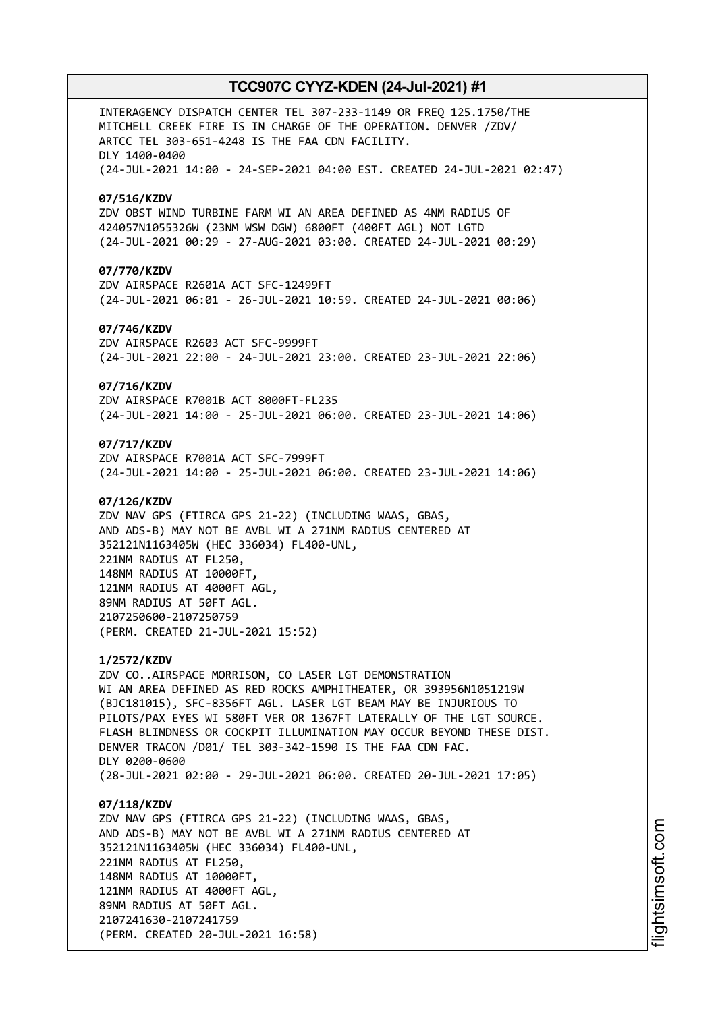INTERAGENCY DISPATCH CENTER TEL 307-233-1149 OR FREQ 125.1750/THE MITCHELL CREEK FIRE IS IN CHARGE OF THE OPERATION. DENVER /ZDV/ ARTCC TEL 303-651-4248 IS THE FAA CDN FACILITY. DLY 1400-0400 (24-JUL-2021 14:00 - 24-SEP-2021 04:00 EST. CREATED 24-JUL-2021 02:47) **07/516/KZDV** ZDV OBST WIND TURBINE FARM WI AN AREA DEFINED AS 4NM RADIUS OF 424057N1055326W (23NM WSW DGW) 6800FT (400FT AGL) NOT LGTD (24-JUL-2021 00:29 - 27-AUG-2021 03:00. CREATED 24-JUL-2021 00:29) **07/770/KZDV** ZDV AIRSPACE R2601A ACT SFC-12499FT (24-JUL-2021 06:01 - 26-JUL-2021 10:59. CREATED 24-JUL-2021 00:06) **07/746/KZDV** ZDV AIRSPACE R2603 ACT SFC-9999FT (24-JUL-2021 22:00 - 24-JUL-2021 23:00. CREATED 23-JUL-2021 22:06) **07/716/KZDV** ZDV AIRSPACE R7001B ACT 8000FT-FL235 (24-JUL-2021 14:00 - 25-JUL-2021 06:00. CREATED 23-JUL-2021 14:06) **07/717/KZDV** ZDV AIRSPACE R7001A ACT SFC-7999FT (24-JUL-2021 14:00 - 25-JUL-2021 06:00. CREATED 23-JUL-2021 14:06) **07/126/KZDV** ZDV NAV GPS (FTIRCA GPS 21-22) (INCLUDING WAAS, GBAS, AND ADS-B) MAY NOT BE AVBL WI A 271NM RADIUS CENTERED AT 352121N1163405W (HEC 336034) FL400-UNL, 221NM RADIUS AT FL250, 148NM RADIUS AT 10000FT, 121NM RADIUS AT 4000FT AGL, 89NM RADIUS AT 50FT AGL. 2107250600-2107250759 (PERM. CREATED 21-JUL-2021 15:52) **1/2572/KZDV** ZDV CO..AIRSPACE MORRISON, CO LASER LGT DEMONSTRATION WI AN AREA DEFINED AS RED ROCKS AMPHITHEATER, OR 393956N1051219W (BJC181015), SFC-8356FT AGL. LASER LGT BEAM MAY BE INJURIOUS TO PILOTS/PAX EYES WI 580FT VER OR 1367FT LATERALLY OF THE LGT SOURCE. FLASH BLINDNESS OR COCKPIT ILLUMINATION MAY OCCUR BEYOND THESE DIST. DENVER TRACON /D01/ TEL 303-342-1590 IS THE FAA CDN FAC. DLY 0200-0600 (28-JUL-2021 02:00 - 29-JUL-2021 06:00. CREATED 20-JUL-2021 17:05) **07/118/KZDV** ZDV NAV GPS (FTIRCA GPS 21-22) (INCLUDING WAAS, GBAS, AND ADS-B) MAY NOT BE AVBL WI A 271NM RADIUS CENTERED AT 352121N1163405W (HEC 336034) FL400-UNL, 221NM RADIUS AT FL250, 148NM RADIUS AT 10000FT, 121NM RADIUS AT 4000FT AGL, 89NM RADIUS AT 50FT AGL.

2107241630-2107241759

(PERM. CREATED 20-JUL-2021 16:58)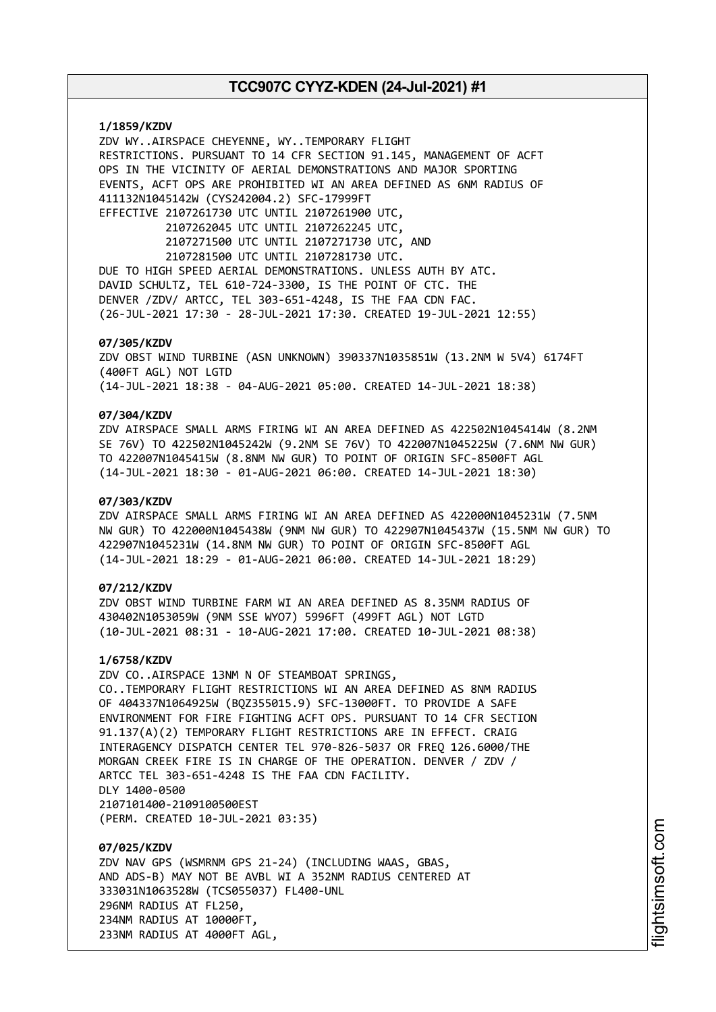**1/1859/KZDV** ZDV WY..AIRSPACE CHEYENNE, WY..TEMPORARY FLIGHT RESTRICTIONS. PURSUANT TO 14 CFR SECTION 91.145, MANAGEMENT OF ACFT OPS IN THE VICINITY OF AERIAL DEMONSTRATIONS AND MAJOR SPORTING EVENTS, ACFT OPS ARE PROHIBITED WI AN AREA DEFINED AS 6NM RADIUS OF 411132N1045142W (CYS242004.2) SFC-17999FT EFFECTIVE 2107261730 UTC UNTIL 2107261900 UTC, 2107262045 UTC UNTIL 2107262245 UTC, 2107271500 UTC UNTIL 2107271730 UTC, AND 2107281500 UTC UNTIL 2107281730 UTC. DUE TO HIGH SPEED AERIAL DEMONSTRATIONS. UNLESS AUTH BY ATC. DAVID SCHULTZ, TEL 610-724-3300, IS THE POINT OF CTC. THE DENVER /ZDV/ ARTCC, TEL 303-651-4248, IS THE FAA CDN FAC. (26-JUL-2021 17:30 - 28-JUL-2021 17:30. CREATED 19-JUL-2021 12:55) **07/305/KZDV** ZDV OBST WIND TURBINE (ASN UNKNOWN) 390337N1035851W (13.2NM W 5V4) 6174FT

(400FT AGL) NOT LGTD

(14-JUL-2021 18:38 - 04-AUG-2021 05:00. CREATED 14-JUL-2021 18:38)

# **07/304/KZDV**

ZDV AIRSPACE SMALL ARMS FIRING WI AN AREA DEFINED AS 422502N1045414W (8.2NM SE 76V) TO 422502N1045242W (9.2NM SE 76V) TO 422007N1045225W (7.6NM NW GUR) TO 422007N1045415W (8.8NM NW GUR) TO POINT OF ORIGIN SFC-8500FT AGL (14-JUL-2021 18:30 - 01-AUG-2021 06:00. CREATED 14-JUL-2021 18:30)

### **07/303/KZDV**

ZDV AIRSPACE SMALL ARMS FIRING WI AN AREA DEFINED AS 422000N1045231W (7.5NM NW GUR) TO 422000N1045438W (9NM NW GUR) TO 422907N1045437W (15.5NM NW GUR) TO 422907N1045231W (14.8NM NW GUR) TO POINT OF ORIGIN SFC-8500FT AGL (14-JUL-2021 18:29 - 01-AUG-2021 06:00. CREATED 14-JUL-2021 18:29)

# **07/212/KZDV**

ZDV OBST WIND TURBINE FARM WI AN AREA DEFINED AS 8.35NM RADIUS OF 430402N1053059W (9NM SSE WYO7) 5996FT (499FT AGL) NOT LGTD (10-JUL-2021 08:31 - 10-AUG-2021 17:00. CREATED 10-JUL-2021 08:38)

#### **1/6758/KZDV**

ZDV CO..AIRSPACE 13NM N OF STEAMBOAT SPRINGS, CO..TEMPORARY FLIGHT RESTRICTIONS WI AN AREA DEFINED AS 8NM RADIUS OF 404337N1064925W (BQZ355015.9) SFC-13000FT. TO PROVIDE A SAFE ENVIRONMENT FOR FIRE FIGHTING ACFT OPS. PURSUANT TO 14 CFR SECTION 91.137(A)(2) TEMPORARY FLIGHT RESTRICTIONS ARE IN EFFECT. CRAIG INTERAGENCY DISPATCH CENTER TEL 970-826-5037 OR FREQ 126.6000/THE MORGAN CREEK FIRE IS IN CHARGE OF THE OPERATION. DENVER / ZDV / ARTCC TEL 303-651-4248 IS THE FAA CDN FACILITY. DLY 1400-0500 2107101400-2109100500EST (PERM. CREATED 10-JUL-2021 03:35)

**07/025/KZDV** ZDV NAV GPS (WSMRNM GPS 21-24) (INCLUDING WAAS, GBAS, AND ADS-B) MAY NOT BE AVBL WI A 352NM RADIUS CENTERED AT 333031N1063528W (TCS055037) FL400-UNL 296NM RADIUS AT FL250, 234NM RADIUS AT 10000FT, 233NM RADIUS AT 4000FT AGL,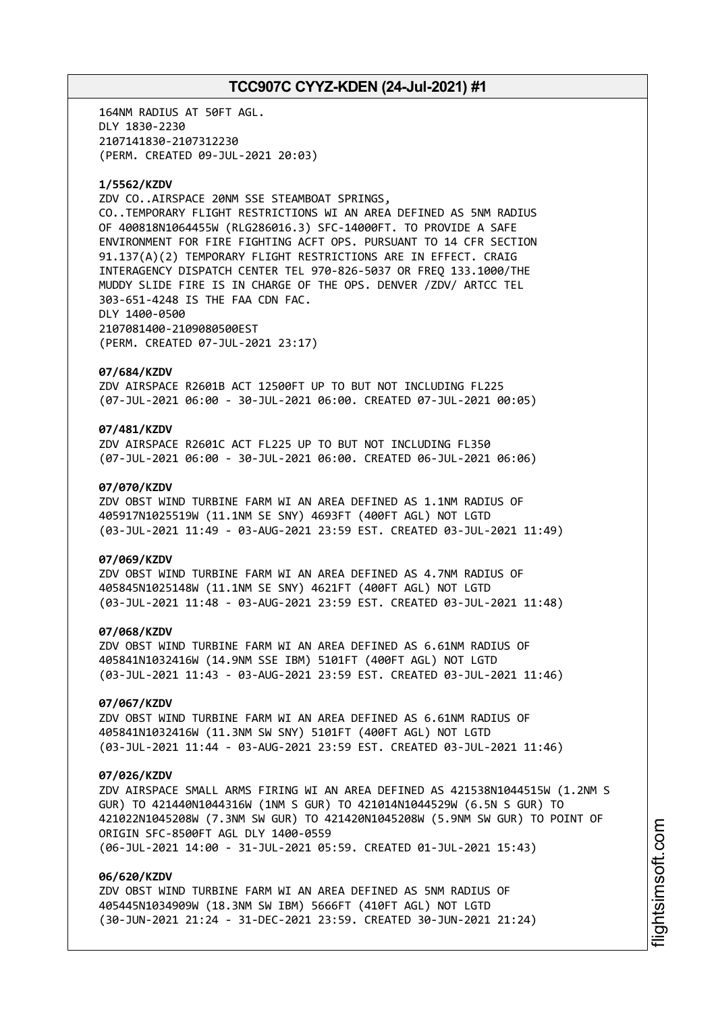164NM RADIUS AT 50FT AGL. DLY 1830-2230 2107141830-2107312230 (PERM. CREATED 09-JUL-2021 20:03)

### **1/5562/KZDV**

ZDV CO..AIRSPACE 20NM SSE STEAMBOAT SPRINGS, CO..TEMPORARY FLIGHT RESTRICTIONS WI AN AREA DEFINED AS 5NM RADIUS OF 400818N1064455W (RLG286016.3) SFC-14000FT. TO PROVIDE A SAFE ENVIRONMENT FOR FIRE FIGHTING ACFT OPS. PURSUANT TO 14 CFR SECTION 91.137(A)(2) TEMPORARY FLIGHT RESTRICTIONS ARE IN EFFECT. CRAIG INTERAGENCY DISPATCH CENTER TEL 970-826-5037 OR FREQ 133.1000/THE MUDDY SLIDE FIRE IS IN CHARGE OF THE OPS. DENVER /ZDV/ ARTCC TEL 303-651-4248 IS THE FAA CDN FAC. DLY 1400-0500 2107081400-2109080500EST (PERM. CREATED 07-JUL-2021 23:17)

#### **07/684/KZDV**

ZDV AIRSPACE R2601B ACT 12500FT UP TO BUT NOT INCLUDING FL225 (07-JUL-2021 06:00 - 30-JUL-2021 06:00. CREATED 07-JUL-2021 00:05)

# **07/481/KZDV**

ZDV AIRSPACE R2601C ACT FL225 UP TO BUT NOT INCLUDING FL350 (07-JUL-2021 06:00 - 30-JUL-2021 06:00. CREATED 06-JUL-2021 06:06)

### **07/070/KZDV**

ZDV OBST WIND TURBINE FARM WI AN AREA DEFINED AS 1.1NM RADIUS OF 405917N1025519W (11.1NM SE SNY) 4693FT (400FT AGL) NOT LGTD (03-JUL-2021 11:49 - 03-AUG-2021 23:59 EST. CREATED 03-JUL-2021 11:49)

#### **07/069/KZDV**

ZDV OBST WIND TURBINE FARM WI AN AREA DEFINED AS 4.7NM RADIUS OF 405845N1025148W (11.1NM SE SNY) 4621FT (400FT AGL) NOT LGTD (03-JUL-2021 11:48 - 03-AUG-2021 23:59 EST. CREATED 03-JUL-2021 11:48)

## **07/068/KZDV**

ZDV OBST WIND TURBINE FARM WI AN AREA DEFINED AS 6.61NM RADIUS OF 405841N1032416W (14.9NM SSE IBM) 5101FT (400FT AGL) NOT LGTD (03-JUL-2021 11:43 - 03-AUG-2021 23:59 EST. CREATED 03-JUL-2021 11:46)

## **07/067/KZDV**

ZDV OBST WIND TURBINE FARM WI AN AREA DEFINED AS 6.61NM RADIUS OF 405841N1032416W (11.3NM SW SNY) 5101FT (400FT AGL) NOT LGTD (03-JUL-2021 11:44 - 03-AUG-2021 23:59 EST. CREATED 03-JUL-2021 11:46)

### **07/026/KZDV**

ZDV AIRSPACE SMALL ARMS FIRING WI AN AREA DEFINED AS 421538N1044515W (1.2NM S GUR) TO 421440N1044316W (1NM S GUR) TO 421014N1044529W (6.5N S GUR) TO 421022N1045208W (7.3NM SW GUR) TO 421420N1045208W (5.9NM SW GUR) TO POINT OF ORIGIN SFC-8500FT AGL DLY 1400-0559 (06-JUL-2021 14:00 - 31-JUL-2021 05:59. CREATED 01-JUL-2021 15:43)

#### **06/620/KZDV**

ZDV OBST WIND TURBINE FARM WI AN AREA DEFINED AS 5NM RADIUS OF 405445N1034909W (18.3NM SW IBM) 5666FT (410FT AGL) NOT LGTD (30-JUN-2021 21:24 - 31-DEC-2021 23:59. CREATED 30-JUN-2021 21:24)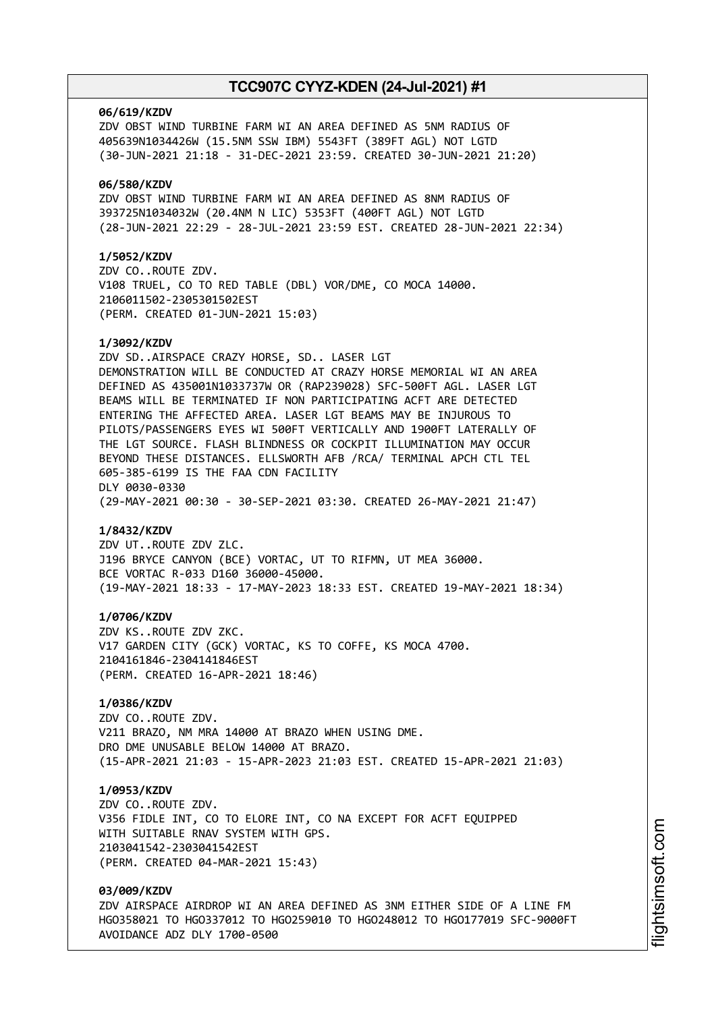#### **06/619/KZDV**

ZDV OBST WIND TURBINE FARM WI AN AREA DEFINED AS 5NM RADIUS OF 405639N1034426W (15.5NM SSW IBM) 5543FT (389FT AGL) NOT LGTD (30-JUN-2021 21:18 - 31-DEC-2021 23:59. CREATED 30-JUN-2021 21:20)

### **06/580/KZDV**

ZDV OBST WIND TURBINE FARM WI AN AREA DEFINED AS 8NM RADIUS OF 393725N1034032W (20.4NM N LIC) 5353FT (400FT AGL) NOT LGTD (28-JUN-2021 22:29 - 28-JUL-2021 23:59 EST. CREATED 28-JUN-2021 22:34)

## **1/5052/KZDV**

ZDV CO..ROUTE ZDV. V108 TRUEL, CO TO RED TABLE (DBL) VOR/DME, CO MOCA 14000. 2106011502-2305301502EST (PERM. CREATED 01-JUN-2021 15:03)

### **1/3092/KZDV**

ZDV SD..AIRSPACE CRAZY HORSE, SD.. LASER LGT DEMONSTRATION WILL BE CONDUCTED AT CRAZY HORSE MEMORIAL WI AN AREA DEFINED AS 435001N1033737W OR (RAP239028) SFC-500FT AGL. LASER LGT BEAMS WILL BE TERMINATED IF NON PARTICIPATING ACFT ARE DETECTED ENTERING THE AFFECTED AREA. LASER LGT BEAMS MAY BE INJUROUS TO PILOTS/PASSENGERS EYES WI 500FT VERTICALLY AND 1900FT LATERALLY OF THE LGT SOURCE. FLASH BLINDNESS OR COCKPIT ILLUMINATION MAY OCCUR BEYOND THESE DISTANCES. ELLSWORTH AFB /RCA/ TERMINAL APCH CTL TEL 605-385-6199 IS THE FAA CDN FACILITY DLY 0030-0330 (29-MAY-2021 00:30 - 30-SEP-2021 03:30. CREATED 26-MAY-2021 21:47)

#### **1/8432/KZDV**

ZDV UT..ROUTE ZDV ZLC. J196 BRYCE CANYON (BCE) VORTAC, UT TO RIFMN, UT MEA 36000. BCE VORTAC R-033 D160 36000-45000. (19-MAY-2021 18:33 - 17-MAY-2023 18:33 EST. CREATED 19-MAY-2021 18:34)

#### **1/0706/KZDV**

ZDV KS..ROUTE ZDV ZKC. V17 GARDEN CITY (GCK) VORTAC, KS TO COFFE, KS MOCA 4700. 2104161846-2304141846EST (PERM. CREATED 16-APR-2021 18:46)

# **1/0386/KZDV**

ZDV CO..ROUTE ZDV. V211 BRAZO, NM MRA 14000 AT BRAZO WHEN USING DME. DRO DME UNUSABLE BELOW 14000 AT BRAZO. (15-APR-2021 21:03 - 15-APR-2023 21:03 EST. CREATED 15-APR-2021 21:03)

#### **1/0953/KZDV**

ZDV CO..ROUTE ZDV. V356 FIDLE INT, CO TO ELORE INT, CO NA EXCEPT FOR ACFT EQUIPPED WITH SUITABLE RNAV SYSTEM WITH GPS. 2103041542-2303041542EST (PERM. CREATED 04-MAR-2021 15:43)

# **03/009/KZDV**

ZDV AIRSPACE AIRDROP WI AN AREA DEFINED AS 3NM EITHER SIDE OF A LINE FM HGO358021 TO HGO337012 TO HGO259010 TO HGO248012 TO HGO177019 SFC-9000FT AVOIDANCE ADZ DLY 1700-0500